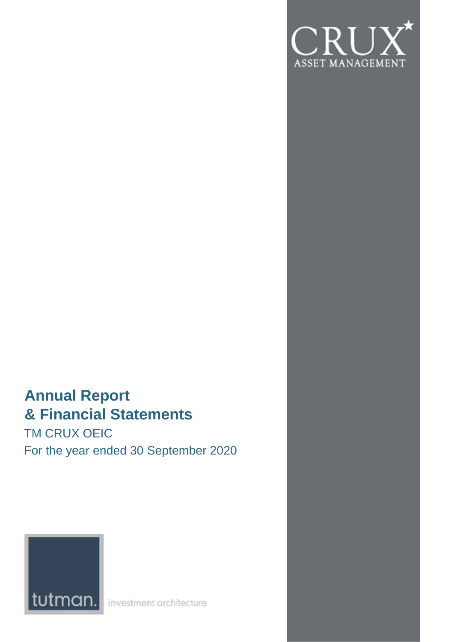

# **Annual Report & Financial Statements**

TM CRUX OEIC For the year ended 30 September 2020



investment architecture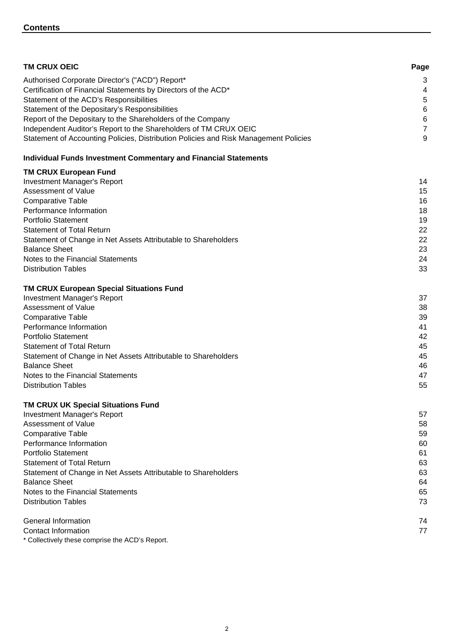| <b>TM CRUX OEIC</b>                                                                  | Page                    |
|--------------------------------------------------------------------------------------|-------------------------|
| Authorised Corporate Director's ("ACD") Report*                                      | 3                       |
| Certification of Financial Statements by Directors of the ACD*                       | $\overline{\mathbf{4}}$ |
| Statement of the ACD's Responsibilities                                              | 5                       |
| Statement of the Depositary's Responsibilities                                       | 6                       |
| Report of the Depositary to the Shareholders of the Company                          | 6                       |
| Independent Auditor's Report to the Shareholders of TM CRUX OEIC                     | 7                       |
| Statement of Accounting Policies, Distribution Policies and Risk Management Policies | 9                       |
| <b>Individual Funds Investment Commentary and Financial Statements</b>               |                         |
| <b>TM CRUX European Fund</b>                                                         |                         |
| <b>Investment Manager's Report</b>                                                   | 14                      |
| Assessment of Value                                                                  | 15                      |
| <b>Comparative Table</b>                                                             | 16                      |
| Performance Information                                                              | 18                      |
| <b>Portfolio Statement</b>                                                           | 19                      |
| <b>Statement of Total Return</b>                                                     | 22                      |
| Statement of Change in Net Assets Attributable to Shareholders                       | 22                      |
| <b>Balance Sheet</b>                                                                 | 23                      |
| Notes to the Financial Statements<br><b>Distribution Tables</b>                      | 24                      |
|                                                                                      | 33                      |
| <b>TM CRUX European Special Situations Fund</b>                                      |                         |
| <b>Investment Manager's Report</b>                                                   | 37                      |
| Assessment of Value                                                                  | 38                      |
| <b>Comparative Table</b>                                                             | 39                      |
| Performance Information                                                              | 41                      |
| <b>Portfolio Statement</b>                                                           | 42                      |
| <b>Statement of Total Return</b>                                                     | 45                      |
| Statement of Change in Net Assets Attributable to Shareholders                       | 45                      |
| <b>Balance Sheet</b><br>Notes to the Financial Statements                            | 46<br>47                |
| <b>Distribution Tables</b>                                                           | 55                      |
|                                                                                      |                         |
| TM CRUX UK Special Situations Fund                                                   |                         |
| <b>Investment Manager's Report</b>                                                   | 57                      |
| Assessment of Value                                                                  | 58                      |
| <b>Comparative Table</b>                                                             | 59                      |
| Performance Information                                                              | 60                      |

| Portfolio Statement                                            | 61 |
|----------------------------------------------------------------|----|
| <b>Statement of Total Return</b>                               | 63 |
| Statement of Change in Net Assets Attributable to Shareholders | 63 |
| <b>Balance Sheet</b>                                           | 64 |
| Notes to the Financial Statements                              | 65 |
| <b>Distribution Tables</b>                                     | 73 |
| General Information                                            | 74 |
| Contact Information                                            | 77 |
| * Collectively these comprise the ACD's Report.                |    |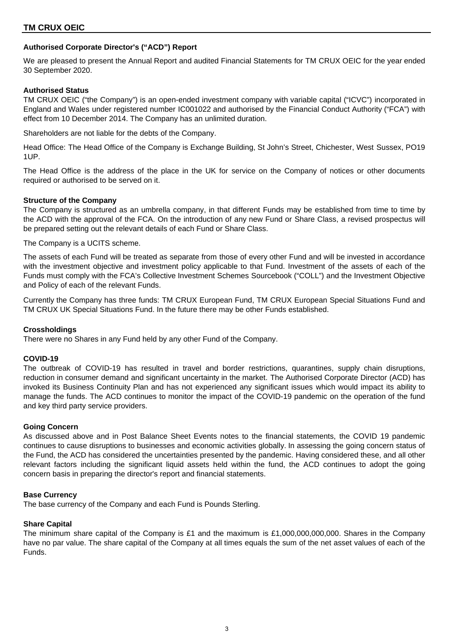## **Authorised Corporate Director's ("ACD") Report**

We are pleased to present the Annual Report and audited Financial Statements for TM CRUX OEIC for the year ended 30 September 2020.

## **Authorised Status**

TM CRUX OEIC ("the Company") is an open-ended investment company with variable capital ("ICVC") incorporated in England and Wales under registered number IC001022 and authorised by the Financial Conduct Authority ("FCA") with effect from 10 December 2014. The Company has an unlimited duration.

Shareholders are not liable for the debts of the Company.

Head Office: The Head Office of the Company is Exchange Building, St John's Street, Chichester, West Sussex, PO19 1UP.

The Head Office is the address of the place in the UK for service on the Company of notices or other documents required or authorised to be served on it.

## **Structure of the Company**

The Company is structured as an umbrella company, in that different Funds may be established from time to time by the ACD with the approval of the FCA. On the introduction of any new Fund or Share Class, a revised prospectus will be prepared setting out the relevant details of each Fund or Share Class.

The Company is a UCITS scheme.

The assets of each Fund will be treated as separate from those of every other Fund and will be invested in accordance with the investment objective and investment policy applicable to that Fund. Investment of the assets of each of the Funds must comply with the FCA's Collective Investment Schemes Sourcebook ("COLL") and the Investment Objective and Policy of each of the relevant Funds.

Currently the Company has three funds: TM CRUX European Fund, TM CRUX European Special Situations Fund and TM CRUX UK Special Situations Fund. In the future there may be other Funds established.

## **Crossholdings**

There were no Shares in any Fund held by any other Fund of the Company.

## **COVID-19**

The outbreak of COVID-19 has resulted in travel and border restrictions, quarantines, supply chain disruptions, reduction in consumer demand and significant uncertainty in the market. The Authorised Corporate Director (ACD) has invoked its Business Continuity Plan and has not experienced any significant issues which would impact its ability to manage the funds. The ACD continues to monitor the impact of the COVID-19 pandemic on the operation of the fund and key third party service providers.

## **Going Concern**

As discussed above and in Post Balance Sheet Events notes to the financial statements, the COVID 19 pandemic continues to cause disruptions to businesses and economic activities globally. In assessing the going concern status of the Fund, the ACD has considered the uncertainties presented by the pandemic. Having considered these, and all other relevant factors including the significant liquid assets held within the fund, the ACD continues to adopt the going concern basis in preparing the director's report and financial statements.

#### **Base Currency**

The base currency of the Company and each Fund is Pounds Sterling.

## **Share Capital**

The minimum share capital of the Company is £1 and the maximum is £1,000,000,000,000. Shares in the Company have no par value. The share capital of the Company at all times equals the sum of the net asset values of each of the Funds.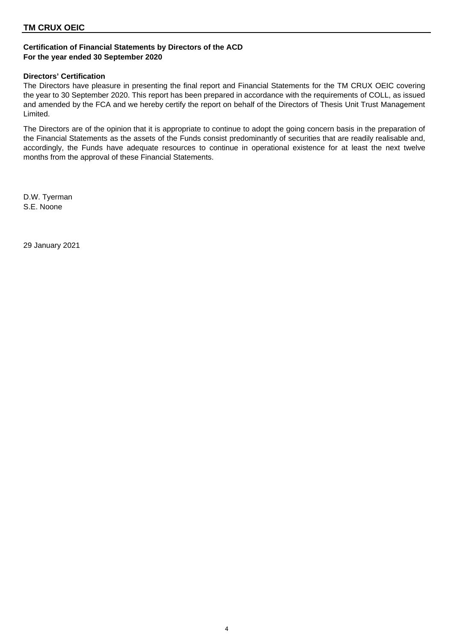## **Certification of Financial Statements by Directors of the ACD For the year ended 30 September 2020**

## **Directors' Certification**

The Directors have pleasure in presenting the final report and Financial Statements for the TM CRUX OEIC covering the year to 30 September 2020. This report has been prepared in accordance with the requirements of COLL, as issued and amended by the FCA and we hereby certify the report on behalf of the Directors of Thesis Unit Trust Management Limited.

The Directors are of the opinion that it is appropriate to continue to adopt the going concern basis in the preparation of the Financial Statements as the assets of the Funds consist predominantly of securities that are readily realisable and, accordingly, the Funds have adequate resources to continue in operational existence for at least the next twelve months from the approval of these Financial Statements.

D.W. Tyerman S.E. Noone

29 January 2021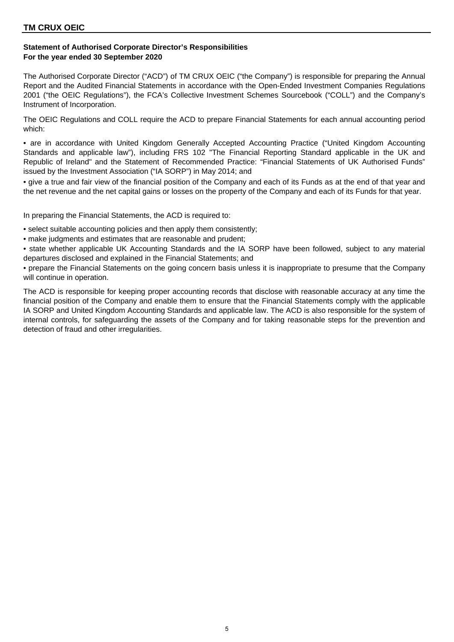## **Statement of Authorised Corporate Director's Responsibilities For the year ended 30 September 2020**

The Authorised Corporate Director ("ACD") of TM CRUX OEIC ("the Company") is responsible for preparing the Annual Report and the Audited Financial Statements in accordance with the Open-Ended Investment Companies Regulations 2001 ("the OEIC Regulations"), the FCA's Collective Investment Schemes Sourcebook ("COLL") and the Company's Instrument of Incorporation.

The OEIC Regulations and COLL require the ACD to prepare Financial Statements for each annual accounting period which:

• are in accordance with United Kingdom Generally Accepted Accounting Practice ("United Kingdom Accounting Standards and applicable law"), including FRS 102 "The Financial Reporting Standard applicable in the UK and Republic of Ireland" and the Statement of Recommended Practice: "Financial Statements of UK Authorised Funds" issued by the Investment Association ("IA SORP") in May 2014; and

• give a true and fair view of the financial position of the Company and each of its Funds as at the end of that year and the net revenue and the net capital gains or losses on the property of the Company and each of its Funds for that year.

In preparing the Financial Statements, the ACD is required to:

- select suitable accounting policies and then apply them consistently;
- make judgments and estimates that are reasonable and prudent;
- state whether applicable UK Accounting Standards and the IA SORP have been followed, subject to any material departures disclosed and explained in the Financial Statements; and
- prepare the Financial Statements on the going concern basis unless it is inappropriate to presume that the Company will continue in operation.

The ACD is responsible for keeping proper accounting records that disclose with reasonable accuracy at any time the financial position of the Company and enable them to ensure that the Financial Statements comply with the applicable IA SORP and United Kingdom Accounting Standards and applicable law. The ACD is also responsible for the system of internal controls, for safeguarding the assets of the Company and for taking reasonable steps for the prevention and detection of fraud and other irregularities.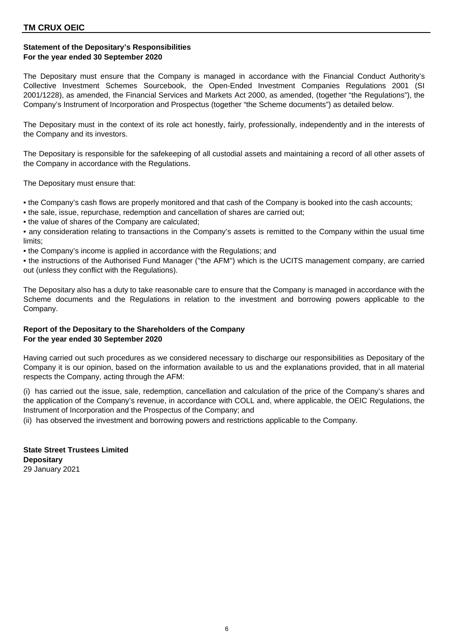## **Statement of the Depositary's Responsibilities For the year ended 30 September 2020**

The Depositary must ensure that the Company is managed in accordance with the Financial Conduct Authority's Collective Investment Schemes Sourcebook, the Open-Ended Investment Companies Regulations 2001 (SI 2001/1228), as amended, the Financial Services and Markets Act 2000, as amended, (together "the Regulations"), the Company's Instrument of Incorporation and Prospectus (together "the Scheme documents") as detailed below.

The Depositary must in the context of its role act honestly, fairly, professionally, independently and in the interests of the Company and its investors.

The Depositary is responsible for the safekeeping of all custodial assets and maintaining a record of all other assets of the Company in accordance with the Regulations.

The Depositary must ensure that:

- the Company's cash flows are properly monitored and that cash of the Company is booked into the cash accounts;
- the sale, issue, repurchase, redemption and cancellation of shares are carried out;
- the value of shares of the Company are calculated;

• any consideration relating to transactions in the Company's assets is remitted to the Company within the usual time limits;

• the Company's income is applied in accordance with the Regulations; and

• the instructions of the Authorised Fund Manager (''the AFM'') which is the UCITS management company, are carried out (unless they conflict with the Regulations).

The Depositary also has a duty to take reasonable care to ensure that the Company is managed in accordance with the Scheme documents and the Regulations in relation to the investment and borrowing powers applicable to the Company.

## **Report of the Depositary to the Shareholders of the Company For the year ended 30 September 2020**

Having carried out such procedures as we considered necessary to discharge our responsibilities as Depositary of the Company it is our opinion, based on the information available to us and the explanations provided, that in all material respects the Company, acting through the AFM:

(i) has carried out the issue, sale, redemption, cancellation and calculation of the price of the Company's shares and the application of the Company's revenue, in accordance with COLL and, where applicable, the OEIC Regulations, the Instrument of Incorporation and the Prospectus of the Company; and

(ii) has observed the investment and borrowing powers and restrictions applicable to the Company.

**State Street Trustees Limited Depositary** 29 January 2021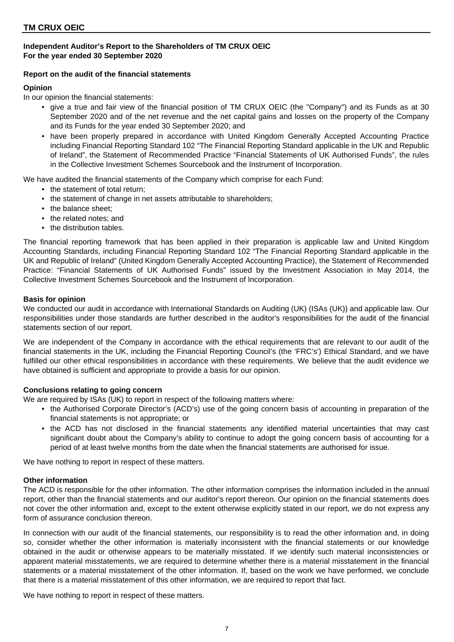## **Independent Auditor's Report to the Shareholders of TM CRUX OEIC For the year ended 30 September 2020**

## **Report on the audit of the financial statements**

## **Opinion**

In our opinion the financial statements:

- give a true and fair view of the financial position of TM CRUX OEIC (the "Company") and its Funds as at 30 September 2020 and of the net revenue and the net capital gains and losses on the property of the Company and its Funds for the year ended 30 September 2020; and
- have been properly prepared in accordance with United Kingdom Generally Accepted Accounting Practice including Financial Reporting Standard 102 "The Financial Reporting Standard applicable in the UK and Republic of Ireland", the Statement of Recommended Practice "Financial Statements of UK Authorised Funds", the rules in the Collective Investment Schemes Sourcebook and the Instrument of Incorporation.

We have audited the financial statements of the Company which comprise for each Fund:

- the statement of total return:
- the statement of change in net assets attributable to shareholders:
- the balance sheet:
- the related notes: and
- the distribution tables.

The financial reporting framework that has been applied in their preparation is applicable law and United Kingdom Accounting Standards, including Financial Reporting Standard 102 "The Financial Reporting Standard applicable in the UK and Republic of Ireland" (United Kingdom Generally Accepted Accounting Practice), the Statement of Recommended Practice: "Financial Statements of UK Authorised Funds" issued by the Investment Association in May 2014, the Collective Investment Schemes Sourcebook and the Instrument of Incorporation.

## **Basis for opinion**

We conducted our audit in accordance with International Standards on Auditing (UK) (ISAs (UK)) and applicable law. Our responsibilities under those standards are further described in the auditor's responsibilities for the audit of the financial statements section of our report.

We are independent of the Company in accordance with the ethical requirements that are relevant to our audit of the financial statements in the UK, including the Financial Reporting Council's (the 'FRC's') Ethical Standard, and we have fulfilled our other ethical responsibilities in accordance with these requirements. We believe that the audit evidence we have obtained is sufficient and appropriate to provide a basis for our opinion.

## **Conclusions relating to going concern**

We are required by ISAs (UK) to report in respect of the following matters where:

- the Authorised Corporate Director's (ACD's) use of the going concern basis of accounting in preparation of the financial statements is not appropriate; or
- the ACD has not disclosed in the financial statements any identified material uncertainties that may cast significant doubt about the Company's ability to continue to adopt the going concern basis of accounting for a period of at least twelve months from the date when the financial statements are authorised for issue.

We have nothing to report in respect of these matters.

## **Other information**

The ACD is responsible for the other information. The other information comprises the information included in the annual report, other than the financial statements and our auditor's report thereon. Our opinion on the financial statements does not cover the other information and, except to the extent otherwise explicitly stated in our report, we do not express any form of assurance conclusion thereon.

In connection with our audit of the financial statements, our responsibility is to read the other information and, in doing so, consider whether the other information is materially inconsistent with the financial statements or our knowledge obtained in the audit or otherwise appears to be materially misstated. If we identify such material inconsistencies or apparent material misstatements, we are required to determine whether there is a material misstatement in the financial statements or a material misstatement of the other information. If, based on the work we have performed, we conclude that there is a material misstatement of this other information, we are required to report that fact.

We have nothing to report in respect of these matters.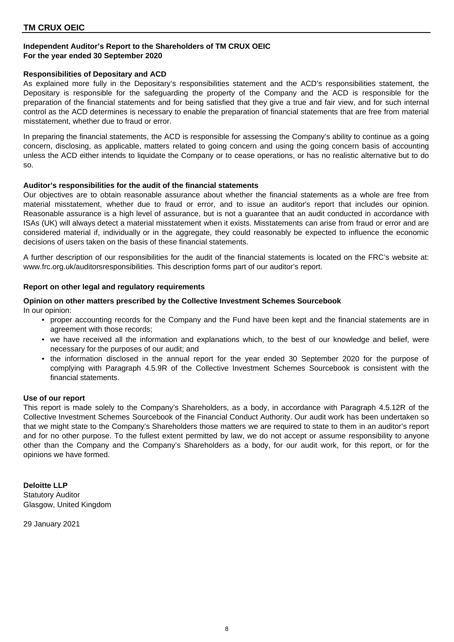## **Independent Auditor's Report to the Shareholders of TM CRUX OEIC For the year ended 30 September 2020**

## **Responsibilities of Depositary and ACD**

As explained more fully in the Depositary's responsibilities statement and the ACD's responsibilities statement, the Depositary is responsible for the safeguarding the property of the Company and the ACD is responsible for the preparation of the financial statements and for being satisfied that they give a true and fair view, and for such internal control as the ACD determines is necessary to enable the preparation of financial statements that are free from material misstatement, whether due to fraud or error.

In preparing the financial statements, the ACD is responsible for assessing the Company's ability to continue as a going concern, disclosing, as applicable, matters related to going concern and using the going concern basis of accounting unless the ACD either intends to liquidate the Company or to cease operations, or has no realistic alternative but to do so.

#### **Auditor's responsibilities for the audit of the financial statements**

Our objectives are to obtain reasonable assurance about whether the financial statements as a whole are free from material misstatement, whether due to fraud or error, and to issue an auditor's report that includes our opinion. Reasonable assurance is a high level of assurance, but is not a guarantee that an audit conducted in accordance with ISAs (UK) will always detect a material misstatement when it exists. Misstatements can arise from fraud or error and are considered material if, individually or in the aggregate, they could reasonably be expected to influence the economic decisions of users taken on the basis of these financial statements.

A further description of our responsibilities for the audit of the financial statements is located on the FRC's website at: www.frc.org.uk/auditorsresponsibilities. This description forms part of our auditor's report.

## **Report on other legal and regulatory requirements**

#### In our opinion: **Opinion on other matters prescribed by the Collective Investment Schemes Sourcebook**

- proper accounting records for the Company and the Fund have been kept and the financial statements are in agreement with those records;
- we have received all the information and explanations which, to the best of our knowledge and belief, were necessary for the purposes of our audit; and
- the information disclosed in the annual report for the year ended 30 September 2020 for the purpose of complying with Paragraph 4.5.9R of the Collective Investment Schemes Sourcebook is consistent with the financial statements.

#### **Use of our report**

This report is made solely to the Company's Shareholders, as a body, in accordance with Paragraph 4.5.12R of the Collective Investment Schemes Sourcebook of the Financial Conduct Authority. Our audit work has been undertaken so that we might state to the Company's Shareholders those matters we are required to state to them in an auditor's report and for no other purpose. To the fullest extent permitted by law, we do not accept or assume responsibility to anyone other than the Company and the Company's Shareholders as a body, for our audit work, for this report, or for the opinions we have formed.

**Deloitte LLP** Statutory Auditor Glasgow, United Kingdom

29 January 2021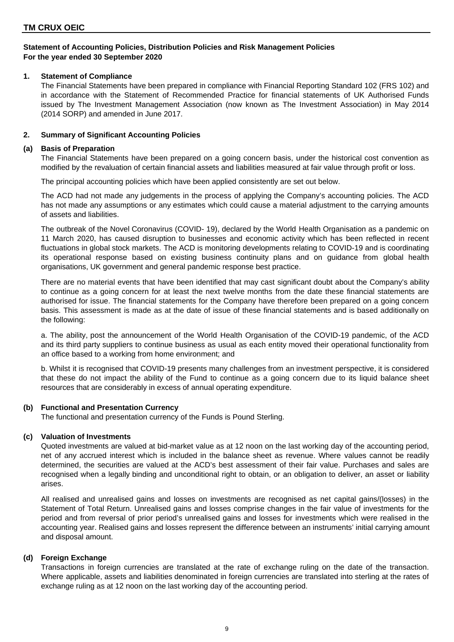## **1. Statement of Compliance**

The Financial Statements have been prepared in compliance with Financial Reporting Standard 102 (FRS 102) and in accordance with the Statement of Recommended Practice for financial statements of UK Authorised Funds issued by The Investment Management Association (now known as The Investment Association) in May 2014 (2014 SORP) and amended in June 2017.

## **2. Summary of Significant Accounting Policies**

## **(a) Basis of Preparation**

The Financial Statements have been prepared on a going concern basis, under the historical cost convention as modified by the revaluation of certain financial assets and liabilities measured at fair value through profit or loss.

The principal accounting policies which have been applied consistently are set out below.

The ACD had not made any judgements in the process of applying the Company's accounting policies. The ACD has not made any assumptions or any estimates which could cause a material adjustment to the carrying amounts of assets and liabilities.

The outbreak of the Novel Coronavirus (COVID- 19), declared by the World Health Organisation as a pandemic on 11 March 2020, has caused disruption to businesses and economic activity which has been reflected in recent fluctuations in global stock markets. The ACD is monitoring developments relating to COVID-19 and is coordinating its operational response based on existing business continuity plans and on guidance from global health organisations, UK government and general pandemic response best practice.

There are no material events that have been identified that may cast significant doubt about the Company's ability to continue as a going concern for at least the next twelve months from the date these financial statements are authorised for issue. The financial statements for the Company have therefore been prepared on a going concern basis. This assessment is made as at the date of issue of these financial statements and is based additionally on the following:

a. The ability, post the announcement of the World Health Organisation of the COVID-19 pandemic, of the ACD and its third party suppliers to continue business as usual as each entity moved their operational functionality from an office based to a working from home environment; and

b. Whilst it is recognised that COVID-19 presents many challenges from an investment perspective, it is considered that these do not impact the ability of the Fund to continue as a going concern due to its liquid balance sheet resources that are considerably in excess of annual operating expenditure.

## **(b) Functional and Presentation Currency**

The functional and presentation currency of the Funds is Pound Sterling.

## **(c) Valuation of Investments**

Quoted investments are valued at bid-market value as at 12 noon on the last working day of the accounting period, net of any accrued interest which is included in the balance sheet as revenue. Where values cannot be readily determined, the securities are valued at the ACD's best assessment of their fair value. Purchases and sales are recognised when a legally binding and unconditional right to obtain, or an obligation to deliver, an asset or liability arises.

All realised and unrealised gains and losses on investments are recognised as net capital gains/(losses) in the Statement of Total Return. Unrealised gains and losses comprise changes in the fair value of investments for the period and from reversal of prior period's unrealised gains and losses for investments which were realised in the accounting year. Realised gains and losses represent the difference between an instruments' initial carrying amount and disposal amount.

## **(d) Foreign Exchange**

Transactions in foreign currencies are translated at the rate of exchange ruling on the date of the transaction. Where applicable, assets and liabilities denominated in foreign currencies are translated into sterling at the rates of exchange ruling as at 12 noon on the last working day of the accounting period.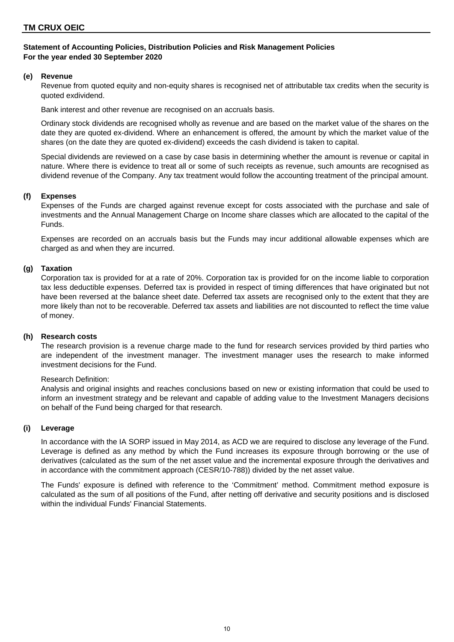## **(e) Revenue**

Revenue from quoted equity and non-equity shares is recognised net of attributable tax credits when the security is quoted exdividend.

Bank interest and other revenue are recognised on an accruals basis.

Ordinary stock dividends are recognised wholly as revenue and are based on the market value of the shares on the date they are quoted ex-dividend. Where an enhancement is offered, the amount by which the market value of the shares (on the date they are quoted ex-dividend) exceeds the cash dividend is taken to capital.

Special dividends are reviewed on a case by case basis in determining whether the amount is revenue or capital in nature. Where there is evidence to treat all or some of such receipts as revenue, such amounts are recognised as dividend revenue of the Company. Any tax treatment would follow the accounting treatment of the principal amount.

## **(f) Expenses**

Expenses of the Funds are charged against revenue except for costs associated with the purchase and sale of investments and the Annual Management Charge on Income share classes which are allocated to the capital of the Funds.

Expenses are recorded on an accruals basis but the Funds may incur additional allowable expenses which are charged as and when they are incurred.

## **(g) Taxation**

Corporation tax is provided for at a rate of 20%. Corporation tax is provided for on the income liable to corporation tax less deductible expenses. Deferred tax is provided in respect of timing differences that have originated but not have been reversed at the balance sheet date. Deferred tax assets are recognised only to the extent that they are more likely than not to be recoverable. Deferred tax assets and liabilities are not discounted to reflect the time value of money.

## **(h) Research costs**

The research provision is a revenue charge made to the fund for research services provided by third parties who are independent of the investment manager. The investment manager uses the research to make informed investment decisions for the Fund.

#### Research Definition:

Analysis and original insights and reaches conclusions based on new or existing information that could be used to inform an investment strategy and be relevant and capable of adding value to the Investment Managers decisions on behalf of the Fund being charged for that research.

## **(i) Leverage**

In accordance with the IA SORP issued in May 2014, as ACD we are required to disclose any leverage of the Fund. Leverage is defined as any method by which the Fund increases its exposure through borrowing or the use of derivatives (calculated as the sum of the net asset value and the incremental exposure through the derivatives and in accordance with the commitment approach (CESR/10-788)) divided by the net asset value.

The Funds' exposure is defined with reference to the 'Commitment' method. Commitment method exposure is calculated as the sum of all positions of the Fund, after netting off derivative and security positions and is disclosed within the individual Funds' Financial Statements.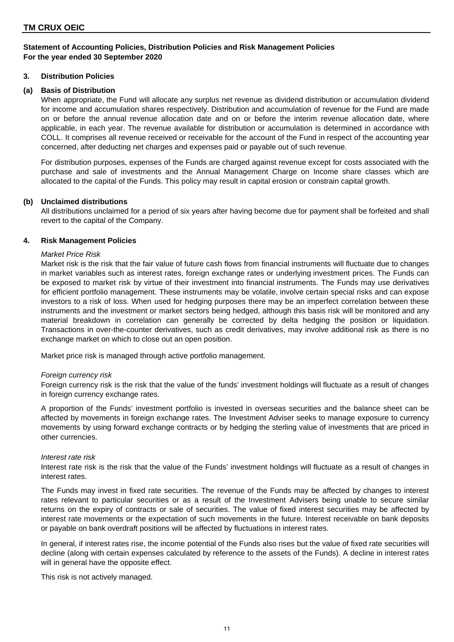## **3. Distribution Policies**

## **(a) Basis of Distribution**

When appropriate, the Fund will allocate any surplus net revenue as dividend distribution or accumulation dividend for income and accumulation shares respectively. Distribution and accumulation of revenue for the Fund are made on or before the annual revenue allocation date and on or before the interim revenue allocation date, where applicable, in each year. The revenue available for distribution or accumulation is determined in accordance with COLL. It comprises all revenue received or receivable for the account of the Fund in respect of the accounting year concerned, after deducting net charges and expenses paid or payable out of such revenue.

For distribution purposes, expenses of the Funds are charged against revenue except for costs associated with the purchase and sale of investments and the Annual Management Charge on Income share classes which are allocated to the capital of the Funds. This policy may result in capital erosion or constrain capital growth.

## **(b) Unclaimed distributions**

All distributions unclaimed for a period of six years after having become due for payment shall be forfeited and shall revert to the capital of the Company.

## **4. Risk Management Policies**

## *Market Price Risk*

Market risk is the risk that the fair value of future cash flows from financial instruments will fluctuate due to changes in market variables such as interest rates, foreign exchange rates or underlying investment prices. The Funds can be exposed to market risk by virtue of their investment into financial instruments. The Funds may use derivatives for efficient portfolio management. These instruments may be volatile, involve certain special risks and can expose investors to a risk of loss. When used for hedging purposes there may be an imperfect correlation between these instruments and the investment or market sectors being hedged, although this basis risk will be monitored and any material breakdown in correlation can generally be corrected by delta hedging the position or liquidation. Transactions in over-the-counter derivatives, such as credit derivatives, may involve additional risk as there is no exchange market on which to close out an open position.

Market price risk is managed through active portfolio management.

#### *Foreign currency risk*

Foreign currency risk is the risk that the value of the funds' investment holdings will fluctuate as a result of changes in foreign currency exchange rates.

A proportion of the Funds' investment portfolio is invested in overseas securities and the balance sheet can be affected by movements in foreign exchange rates. The Investment Adviser seeks to manage exposure to currency movements by using forward exchange contracts or by hedging the sterling value of investments that are priced in other currencies.

#### *Interest rate risk*

Interest rate risk is the risk that the value of the Funds' investment holdings will fluctuate as a result of changes in interest rates.

The Funds may invest in fixed rate securities. The revenue of the Funds may be affected by changes to interest rates relevant to particular securities or as a result of the Investment Advisers being unable to secure similar returns on the expiry of contracts or sale of securities. The value of fixed interest securities may be affected by interest rate movements or the expectation of such movements in the future. Interest receivable on bank deposits or payable on bank overdraft positions will be affected by fluctuations in interest rates.

In general, if interest rates rise, the income potential of the Funds also rises but the value of fixed rate securities will decline (along with certain expenses calculated by reference to the assets of the Funds). A decline in interest rates will in general have the opposite effect.

This risk is not actively managed.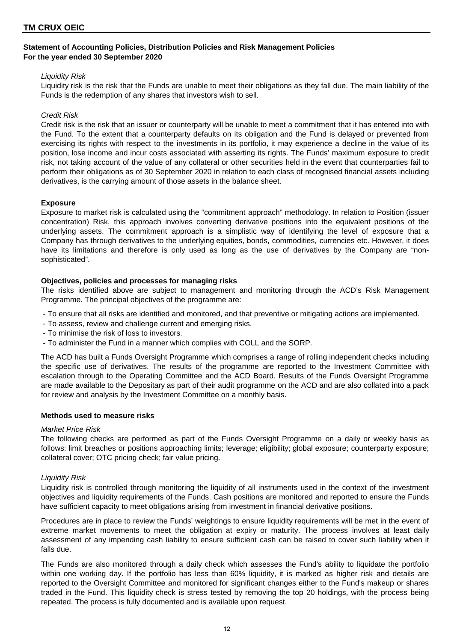#### *Liquidity Risk*

Liquidity risk is the risk that the Funds are unable to meet their obligations as they fall due. The main liability of the Funds is the redemption of any shares that investors wish to sell.

## *Credit Risk*

Credit risk is the risk that an issuer or counterparty will be unable to meet a commitment that it has entered into with the Fund. To the extent that a counterparty defaults on its obligation and the Fund is delayed or prevented from exercising its rights with respect to the investments in its portfolio, it may experience a decline in the value of its position, lose income and incur costs associated with asserting its rights. The Funds' maximum exposure to credit risk, not taking account of the value of any collateral or other securities held in the event that counterparties fail to perform their obligations as of 30 September 2020 in relation to each class of recognised financial assets including derivatives, is the carrying amount of those assets in the balance sheet.

## **Exposure**

Exposure to market risk is calculated using the "commitment approach" methodology. In relation to Position (issuer concentration) Risk, this approach involves converting derivative positions into the equivalent positions of the underlying assets. The commitment approach is a simplistic way of identifying the level of exposure that a Company has through derivatives to the underlying equities, bonds, commodities, currencies etc. However, it does have its limitations and therefore is only used as long as the use of derivatives by the Company are "nonsophisticated".

## **Objectives, policies and processes for managing risks**

The risks identified above are subject to management and monitoring through the ACD's Risk Management Programme. The principal objectives of the programme are:

- To ensure that all risks are identified and monitored, and that preventive or mitigating actions are implemented.

- To assess, review and challenge current and emerging risks.
- To minimise the risk of loss to investors.
- To administer the Fund in a manner which complies with COLL and the SORP.

The ACD has built a Funds Oversight Programme which comprises a range of rolling independent checks including the specific use of derivatives. The results of the programme are reported to the Investment Committee with escalation through to the Operating Committee and the ACD Board. Results of the Funds Oversight Programme are made available to the Depositary as part of their audit programme on the ACD and are also collated into a pack for review and analysis by the Investment Committee on a monthly basis.

#### **Methods used to measure risks**

#### *Market Price Risk*

The following checks are performed as part of the Funds Oversight Programme on a daily or weekly basis as follows: limit breaches or positions approaching limits; leverage; eligibility; global exposure; counterparty exposure; collateral cover; OTC pricing check; fair value pricing.

#### *Liquidity Risk*

Liquidity risk is controlled through monitoring the liquidity of all instruments used in the context of the investment objectives and liquidity requirements of the Funds. Cash positions are monitored and reported to ensure the Funds have sufficient capacity to meet obligations arising from investment in financial derivative positions.

Procedures are in place to review the Funds' weightings to ensure liquidity requirements will be met in the event of extreme market movements to meet the obligation at expiry or maturity. The process involves at least daily assessment of any impending cash liability to ensure sufficient cash can be raised to cover such liability when it falls due.

The Funds are also monitored through a daily check which assesses the Fund's ability to liquidate the portfolio within one working day. If the portfolio has less than 60% liquidity, it is marked as higher risk and details are reported to the Oversight Committee and monitored for significant changes either to the Fund's makeup or shares traded in the Fund. This liquidity check is stress tested by removing the top 20 holdings, with the process being repeated. The process is fully documented and is available upon request.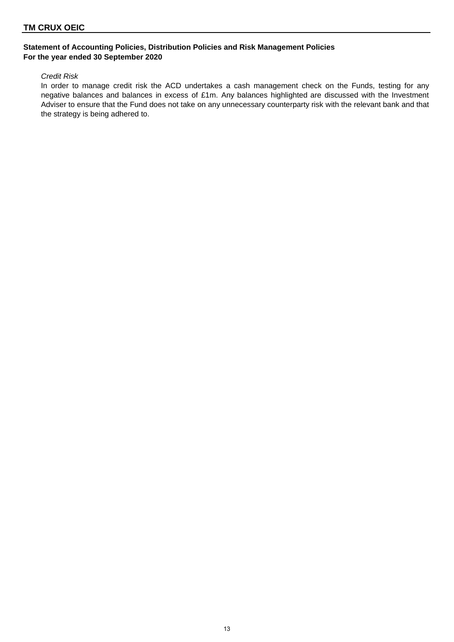## **TM CRUX OEIC**

## **Statement of Accounting Policies, Distribution Policies and Risk Management Policies For the year ended 30 September 2020**

#### *Credit Risk*

In order to manage credit risk the ACD undertakes a cash management check on the Funds, testing for any negative balances and balances in excess of £1m. Any balances highlighted are discussed with the Investment Adviser to ensure that the Fund does not take on any unnecessary counterparty risk with the relevant bank and that the strategy is being adhered to.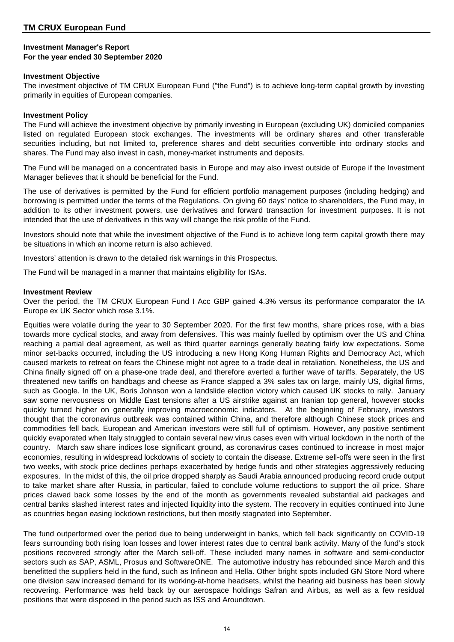## **Investment Manager's Report For the year ended 30 September 2020**

## **Investment Objective**

The investment objective of TM CRUX European Fund ("the Fund") is to achieve long-term capital growth by investing primarily in equities of European companies.

## **Investment Policy**

The Fund will achieve the investment objective by primarily investing in European (excluding UK) domiciled companies listed on regulated European stock exchanges. The investments will be ordinary shares and other transferable securities including, but not limited to, preference shares and debt securities convertible into ordinary stocks and shares. The Fund may also invest in cash, money-market instruments and deposits.

The Fund will be managed on a concentrated basis in Europe and may also invest outside of Europe if the Investment Manager believes that it should be beneficial for the Fund.

The use of derivatives is permitted by the Fund for efficient portfolio management purposes (including hedging) and borrowing is permitted under the terms of the Regulations. On giving 60 days' notice to shareholders, the Fund may, in addition to its other investment powers, use derivatives and forward transaction for investment purposes. It is not intended that the use of derivatives in this way will change the risk profile of the Fund.

Investors should note that while the investment objective of the Fund is to achieve long term capital growth there may be situations in which an income return is also achieved.

Investors' attention is drawn to the detailed risk warnings in this Prospectus.

The Fund will be managed in a manner that maintains eligibility for ISAs.

## **Investment Review**

Over the period, the TM CRUX European Fund I Acc GBP gained 4.3% versus its performance comparator the IA Europe ex UK Sector which rose 3.1%.

Equities were volatile during the year to 30 September 2020. For the first few months, share prices rose, with a bias towards more cyclical stocks, and away from defensives. This was mainly fuelled by optimism over the US and China reaching a partial deal agreement, as well as third quarter earnings generally beating fairly low expectations. Some minor set-backs occurred, including the US introducing a new Hong Kong Human Rights and Democracy Act, which caused markets to retreat on fears the Chinese might not agree to a trade deal in retaliation. Nonetheless, the US and China finally signed off on a phase-one trade deal, and therefore averted a further wave of tariffs. Separately, the US threatened new tariffs on handbags and cheese as France slapped a 3% sales tax on large, mainly US, digital firms, such as Google. In the UK, Boris Johnson won a landslide election victory which caused UK stocks to rally. January saw some nervousness on Middle East tensions after a US airstrike against an Iranian top general, however stocks quickly turned higher on generally improving macroeconomic indicators. At the beginning of February, investors thought that the coronavirus outbreak was contained within China, and therefore although Chinese stock prices and commodities fell back, European and American investors were still full of optimism. However, any positive sentiment quickly evaporated when Italy struggled to contain several new virus cases even with virtual lockdown in the north of the country. March saw share indices lose significant ground, as coronavirus cases continued to increase in most major economies, resulting in widespread lockdowns of society to contain the disease. Extreme sell-offs were seen in the first two weeks, with stock price declines perhaps exacerbated by hedge funds and other strategies aggressively reducing exposures. In the midst of this, the oil price dropped sharply as Saudi Arabia announced producing record crude output to take market share after Russia, in particular, failed to conclude volume reductions to support the oil price. Share prices clawed back some losses by the end of the month as governments revealed substantial aid packages and central banks slashed interest rates and injected liquidity into the system. The recovery in equities continued into June as countries began easing lockdown restrictions, but then mostly stagnated into September.

The fund outperformed over the period due to being underweight in banks, which fell back significantly on COVID-19 fears surrounding both rising loan losses and lower interest rates due to central bank activity. Many of the fund's stock positions recovered strongly after the March sell-off. These included many names in software and semi-conductor sectors such as SAP, ASML, Prosus and SoftwareONE. The automotive industry has rebounded since March and this benefitted the suppliers held in the fund, such as Infineon and Hella. Other bright spots included GN Store Nord where one division saw increased demand for its working-at-home headsets, whilst the hearing aid business has been slowly recovering. Performance was held back by our aerospace holdings Safran and Airbus, as well as a few residual positions that were disposed in the period such as ISS and Aroundtown.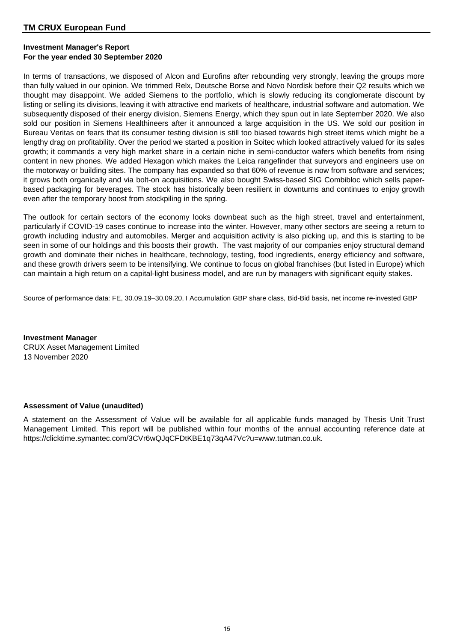## **Investment Manager's Report For the year ended 30 September 2020**

In terms of transactions, we disposed of Alcon and Eurofins after rebounding very strongly, leaving the groups more than fully valued in our opinion. We trimmed Relx, Deutsche Borse and Novo Nordisk before their Q2 results which we thought may disappoint. We added Siemens to the portfolio, which is slowly reducing its conglomerate discount by listing or selling its divisions, leaving it with attractive end markets of healthcare, industrial software and automation. We subsequently disposed of their energy division, Siemens Energy, which they spun out in late September 2020. We also sold our position in Siemens Healthineers after it announced a large acquisition in the US. We sold our position in Bureau Veritas on fears that its consumer testing division is still too biased towards high street items which might be a lengthy drag on profitability. Over the period we started a position in Soitec which looked attractively valued for its sales growth; it commands a very high market share in a certain niche in semi-conductor wafers which benefits from rising content in new phones. We added Hexagon which makes the Leica rangefinder that surveyors and engineers use on the motorway or building sites. The company has expanded so that 60% of revenue is now from software and services; it grows both organically and via bolt-on acquisitions. We also bought Swiss-based SIG Combibloc which sells paperbased packaging for beverages. The stock has historically been resilient in downturns and continues to enjoy growth even after the temporary boost from stockpiling in the spring.

The outlook for certain sectors of the economy looks downbeat such as the high street, travel and entertainment, particularly if COVID-19 cases continue to increase into the winter. However, many other sectors are seeing a return to growth including industry and automobiles. Merger and acquisition activity is also picking up, and this is starting to be seen in some of our holdings and this boosts their growth. The vast majority of our companies enjoy structural demand growth and dominate their niches in healthcare, technology, testing, food ingredients, energy efficiency and software, and these growth drivers seem to be intensifying. We continue to focus on global franchises (but listed in Europe) which can maintain a high return on a capital-light business model, and are run by managers with significant equity stakes.

Source of performance data: FE, 30.09.19–30.09.20, I Accumulation GBP share class, Bid-Bid basis, net income re-invested GBP

**Investment Manager** CRUX Asset Management Limited 13 November 2020

## **Assessment of Value (unaudited)**

A statement on the Assessment of Value will be available for all applicable funds managed by Thesis Unit Trust Management Limited. This report will be published within four months of the annual accounting reference date at https://clicktime.symantec.com/3CVr6wQJqCFDtKBE1q73qA47Vc?u=www.tutman.co.uk.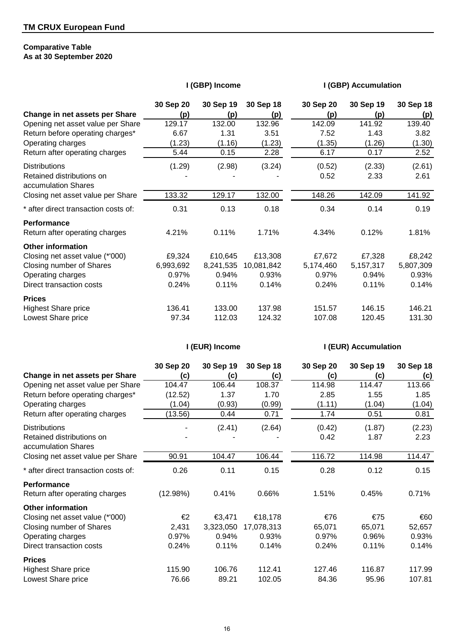## **Comparative Table As at 30 September 2020**

|  |  | I (GBP) Income |
|--|--|----------------|
|--|--|----------------|

## **I (GBP) Accumulation**

|                                                  | 30 Sep 20 | 30 Sep 19 | 30 Sep 18  | 30 Sep 20 | 30 Sep 19 | 30 Sep 18 |
|--------------------------------------------------|-----------|-----------|------------|-----------|-----------|-----------|
| Change in net assets per Share                   | (p)       | (p)       | (p)        | (p)       | (p)       | (p)       |
| Opening net asset value per Share                | 129.17    | 132.00    | 132.96     | 142.09    | 141.92    | 139.40    |
| Return before operating charges*                 | 6.67      | 1.31      | 3.51       | 7.52      | 1.43      | 3.82      |
| Operating charges                                | (1.23)    | (1.16)    | (1.23)     | (1.35)    | (1.26)    | (1.30)    |
| Return after operating charges                   | 5.44      | 0.15      | 2.28       | 6.17      | 0.17      | 2.52      |
| <b>Distributions</b>                             | (1.29)    | (2.98)    | (3.24)     | (0.52)    | (2.33)    | (2.61)    |
| Retained distributions on<br>accumulation Shares |           |           |            | 0.52      | 2.33      | 2.61      |
| Closing net asset value per Share                | 133.32    | 129.17    | 132.00     | 148.26    | 142.09    | 141.92    |
| * after direct transaction costs of:             | 0.31      | 0.13      | 0.18       | 0.34      | 0.14      | 0.19      |
| <b>Performance</b>                               |           |           |            |           |           |           |
| Return after operating charges                   | 4.21%     | 0.11%     | 1.71%      | 4.34%     | 0.12%     | 1.81%     |
| <b>Other information</b>                         |           |           |            |           |           |           |
| Closing net asset value (*'000)                  | £9,324    | £10,645   | £13,308    | £7,672    | £7,328    | £8,242    |
| Closing number of Shares                         | 6,993,692 | 8,241,535 | 10,081,842 | 5,174,460 | 5,157,317 | 5,807,309 |
| Operating charges                                | 0.97%     | 0.94%     | 0.93%      | 0.97%     | 0.94%     | 0.93%     |
| Direct transaction costs                         | 0.24%     | 0.11%     | 0.14%      | 0.24%     | 0.11%     | 0.14%     |
| <b>Prices</b>                                    |           |           |            |           |           |           |
| <b>Highest Share price</b>                       | 136.41    | 133.00    | 137.98     | 151.57    | 146.15    | 146.21    |
| Lowest Share price                               | 97.34     | 112.03    | 124.32     | 107.08    | 120.45    | 131.30    |

## **I (EUR) Income I (EUR) Accumulation**

|                                                  | 30 Sep 20 | 30 Sep 19 | 30 Sep 18  | 30 Sep 20 | 30 Sep 19 | 30 Sep 18 |
|--------------------------------------------------|-----------|-----------|------------|-----------|-----------|-----------|
| Change in net assets per Share                   | (c)       | (c)       | (c)        | (c)       | (c)       | (c)       |
| Opening net asset value per Share                | 104.47    | 106.44    | 108.37     | 114.98    | 114.47    | 113.66    |
| Return before operating charges*                 | (12.52)   | 1.37      | 1.70       | 2.85      | 1.55      | 1.85      |
| Operating charges                                | (1.04)    | (0.93)    | (0.99)     | (1.11)    | (1.04)    | (1.04)    |
| Return after operating charges                   | (13.56)   | 0.44      | 0.71       | 1.74      | 0.51      | 0.81      |
| <b>Distributions</b>                             |           | (2.41)    | (2.64)     | (0.42)    | (1.87)    | (2.23)    |
| Retained distributions on<br>accumulation Shares |           |           |            | 0.42      | 1.87      | 2.23      |
| Closing net asset value per Share                | 90.91     | 104.47    | 106.44     | 116.72    | 114.98    | 114.47    |
| * after direct transaction costs of:             | 0.26      | 0.11      | 0.15       | 0.28      | 0.12      | 0.15      |
| <b>Performance</b>                               |           |           |            |           |           |           |
| Return after operating charges                   | (12.98%)  | 0.41%     | 0.66%      | 1.51%     | 0.45%     | 0.71%     |
| <b>Other information</b>                         |           |           |            |           |           |           |
| Closing net asset value (*'000)                  | €2        | €3,471    | €18,178    | €76       | €75       | €60       |
| Closing number of Shares                         | 2,431     | 3,323,050 | 17,078,313 | 65,071    | 65,071    | 52,657    |
| Operating charges                                | 0.97%     | 0.94%     | 0.93%      | 0.97%     | 0.96%     | 0.93%     |
| Direct transaction costs                         | 0.24%     | 0.11%     | 0.14%      | 0.24%     | 0.11%     | 0.14%     |
| <b>Prices</b>                                    |           |           |            |           |           |           |
| <b>Highest Share price</b>                       | 115.90    | 106.76    | 112.41     | 127.46    | 116.87    | 117.99    |
| Lowest Share price                               | 76.66     | 89.21     | 102.05     | 84.36     | 95.96     | 107.81    |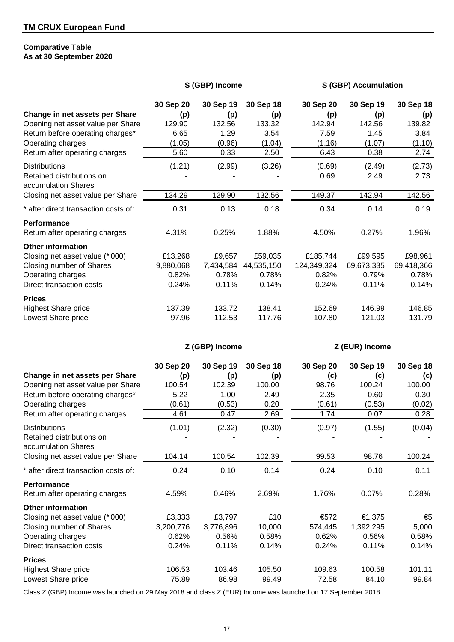## **Comparative Table As at 30 September 2020**

## **S (GBP) Income S (GBP) Accumulation**

|                                                      | 30 Sep 20 | 30 Sep 19 | 30 Sep 18  | 30 Sep 20   | 30 Sep 19  | 30 Sep 18  |
|------------------------------------------------------|-----------|-----------|------------|-------------|------------|------------|
| Change in net assets per Share                       | (p)       | (p)       | (p)        | (p)         | (p)        | (p)        |
| Opening net asset value per Share                    | 129.90    | 132.56    | 133.32     | 142.94      | 142.56     | 139.82     |
| Return before operating charges*                     | 6.65      | 1.29      | 3.54       | 7.59        | 1.45       | 3.84       |
| Operating charges                                    | (1.05)    | (0.96)    | (1.04)     | (1.16)      | (1.07)     | (1.10)     |
| Return after operating charges                       | 5.60      | 0.33      | 2.50       | 6.43        | 0.38       | 2.74       |
| <b>Distributions</b>                                 | (1.21)    | (2.99)    | (3.26)     | (0.69)      | (2.49)     | (2.73)     |
| Retained distributions on<br>accumulation Shares     |           |           |            | 0.69        | 2.49       | 2.73       |
| Closing net asset value per Share                    | 134.29    | 129.90    | 132.56     | 149.37      | 142.94     | 142.56     |
| * after direct transaction costs of:                 | 0.31      | 0.13      | 0.18       | 0.34        | 0.14       | 0.19       |
| <b>Performance</b><br>Return after operating charges | 4.31%     | 0.25%     | 1.88%      | 4.50%       | 0.27%      | 1.96%      |
| <b>Other information</b>                             |           |           |            |             |            |            |
| Closing net asset value (*'000)                      | £13,268   | £9,657    | £59,035    | £185,744    | £99,595    | £98,961    |
| Closing number of Shares                             | 9,880,068 | 7,434,584 | 44,535,150 | 124,349,324 | 69,673,335 | 69,418,366 |
| Operating charges                                    | 0.82%     | 0.78%     | 0.78%      | 0.82%       | 0.79%      | 0.78%      |
| Direct transaction costs                             | 0.24%     | 0.11%     | 0.14%      | 0.24%       | 0.11%      | 0.14%      |
| <b>Prices</b>                                        |           |           |            |             |            |            |
| <b>Highest Share price</b>                           | 137.39    | 133.72    | 138.41     | 152.69      | 146.99     | 146.85     |
| Lowest Share price                                   | 97.96     | 112.53    | 117.76     | 107.80      | 121.03     | 131.79     |

## **Z (GBP) Income Z (EUR) Income**

|                                                  | 30 Sep 20 | 30 Sep 19 | 30 Sep 18 | 30 Sep 20 | 30 Sep 19 | 30 Sep 18 |
|--------------------------------------------------|-----------|-----------|-----------|-----------|-----------|-----------|
| Change in net assets per Share                   | (p)       | (p)       | (p)       | (c)       | (c)       | (c)       |
| Opening net asset value per Share                | 100.54    | 102.39    | 100.00    | 98.76     | 100.24    | 100.00    |
| Return before operating charges*                 | 5.22      | 1.00      | 2.49      | 2.35      | 0.60      | 0.30      |
| Operating charges                                | (0.61)    | (0.53)    | 0.20      | (0.61)    | (0.53)    | (0.02)    |
| Return after operating charges                   | 4.61      | 0.47      | 2.69      | 1.74      | 0.07      | 0.28      |
| <b>Distributions</b>                             | (1.01)    | (2.32)    | (0.30)    | (0.97)    | (1.55)    | (0.04)    |
| Retained distributions on<br>accumulation Shares |           |           |           |           |           |           |
| Closing net asset value per Share                | 104.14    | 100.54    | 102.39    | 99.53     | 98.76     | 100.24    |
| * after direct transaction costs of:             | 0.24      | 0.10      | 0.14      | 0.24      | 0.10      | 0.11      |
| <b>Performance</b>                               |           |           |           |           |           |           |
| Return after operating charges                   | 4.59%     | 0.46%     | 2.69%     | 1.76%     | 0.07%     | 0.28%     |
| <b>Other information</b>                         |           |           |           |           |           |           |
| Closing net asset value (*'000)                  | £3,333    | £3,797    | £10       | €572      | €1,375    | €5        |
| Closing number of Shares                         | 3,200,776 | 3,776,896 | 10,000    | 574,445   | 1,392,295 | 5,000     |
| Operating charges                                | 0.62%     | 0.56%     | 0.58%     | 0.62%     | 0.56%     | 0.58%     |
| Direct transaction costs                         | 0.24%     | 0.11%     | 0.14%     | 0.24%     | 0.11%     | 0.14%     |
| <b>Prices</b>                                    |           |           |           |           |           |           |
| <b>Highest Share price</b>                       | 106.53    | 103.46    | 105.50    | 109.63    | 100.58    | 101.11    |
| Lowest Share price                               | 75.89     | 86.98     | 99.49     | 72.58     | 84.10     | 99.84     |

Class Z (GBP) Income was launched on 29 May 2018 and class Z (EUR) Income was launched on 17 September 2018.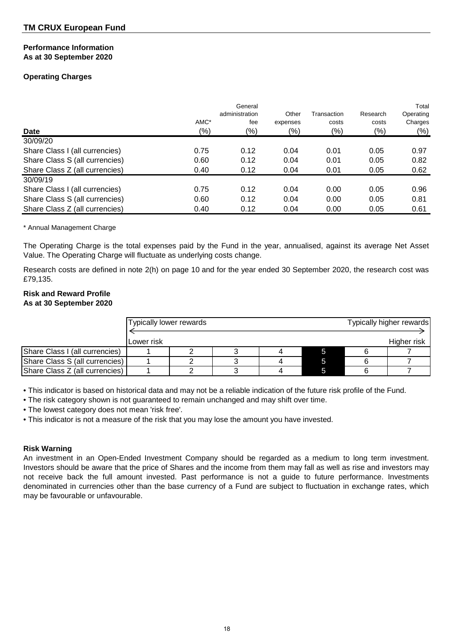#### **Performance Information As at 30 September 2020**

## **Operating Charges**

| <b>Date</b>                    | AMC*<br>$(\%)$ | General<br>administration<br>fee<br>(9/6) | Other<br>expenses<br>$(\%)$ | Transaction<br>costs<br>$(\%)$ | Research<br>costs<br>(% ) | Total<br>Operating<br>Charges<br>$(\%)$ |
|--------------------------------|----------------|-------------------------------------------|-----------------------------|--------------------------------|---------------------------|-----------------------------------------|
| 30/09/20                       |                |                                           |                             |                                |                           |                                         |
| Share Class I (all currencies) | 0.75           | 0.12                                      | 0.04                        | 0.01                           | 0.05                      | 0.97                                    |
| Share Class S (all currencies) | 0.60           | 0.12                                      | 0.04                        | 0.01                           | 0.05                      | 0.82                                    |
| Share Class Z (all currencies) | 0.40           | 0.12                                      | 0.04                        | 0.01                           | 0.05                      | 0.62                                    |
| 30/09/19                       |                |                                           |                             |                                |                           |                                         |
| Share Class I (all currencies) | 0.75           | 0.12                                      | 0.04                        | 0.00                           | 0.05                      | 0.96                                    |
| Share Class S (all currencies) | 0.60           | 0.12                                      | 0.04                        | 0.00                           | 0.05                      | 0.81                                    |
| Share Class Z (all currencies) | 0.40           | 0.12                                      | 0.04                        | 0.00                           | 0.05                      | 0.61                                    |

\* Annual Management Charge

The Operating Charge is the total expenses paid by the Fund in the year, annualised, against its average Net Asset Value. The Operating Charge will fluctuate as underlying costs change.

Research costs are defined in note 2(h) on page 10 and for the year ended 30 September 2020, the research cost was £79,135.

## **Risk and Reward Profile As at 30 September 2020**

|                                |            | Typically lower rewards |  |  |  |  | Typically higher rewards |
|--------------------------------|------------|-------------------------|--|--|--|--|--------------------------|
|                                | Lower risk |                         |  |  |  |  | Higher risk              |
| Share Class I (all currencies) |            |                         |  |  |  |  |                          |
| Share Class S (all currencies) |            |                         |  |  |  |  |                          |
| Share Class Z (all currencies) |            |                         |  |  |  |  |                          |

• This indicator is based on historical data and may not be a reliable indication of the future risk profile of the Fund.

• The risk category shown is not guaranteed to remain unchanged and may shift over time.

• The lowest category does not mean 'risk free'.

• This indicator is not a measure of the risk that you may lose the amount you have invested.

## **Risk Warning**

An investment in an Open-Ended Investment Company should be regarded as a medium to long term investment. Investors should be aware that the price of Shares and the income from them may fall as well as rise and investors may not receive back the full amount invested. Past performance is not a guide to future performance. Investments denominated in currencies other than the base currency of a Fund are subject to fluctuation in exchange rates, which may be favourable or unfavourable.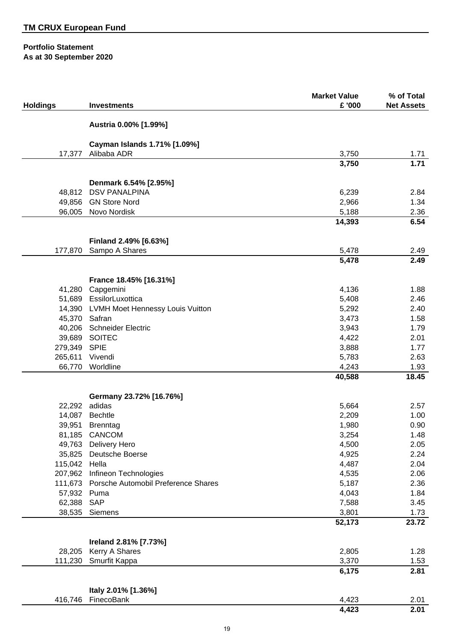## **Portfolio Statement As at 30 September 2020**

|                   |                                             | <b>Market Value</b> | % of Total        |
|-------------------|---------------------------------------------|---------------------|-------------------|
| <b>Holdings</b>   | <b>Investments</b>                          | £ '000              | <b>Net Assets</b> |
|                   |                                             |                     |                   |
|                   | Austria 0.00% [1.99%]                       |                     |                   |
|                   |                                             |                     |                   |
| 17,377            | Cayman Islands 1.71% [1.09%]<br>Alibaba ADR | 3,750               | 1.71              |
|                   |                                             | 3,750               | 1.71              |
|                   |                                             |                     |                   |
|                   | Denmark 6.54% [2.95%]                       |                     |                   |
|                   | 48,812 DSV PANALPINA                        | 6,239               | 2.84              |
|                   | 49,856 GN Store Nord                        | 2,966               | 1.34              |
|                   | 96,005 Novo Nordisk                         | 5,188               | 2.36              |
|                   |                                             | 14,393              | 6.54              |
|                   | Finland 2.49% [6.63%]                       |                     |                   |
| 177,870           | Sampo A Shares                              | 5,478               | 2.49              |
|                   |                                             | 5,478               | 2.49              |
|                   |                                             |                     |                   |
|                   | France 18.45% [16.31%]                      |                     |                   |
| 41,280            | Capgemini                                   | 4,136               | 1.88              |
| 51,689            | EssilorLuxottica                            | 5,408               | 2.46              |
|                   | 14,390 LVMH Moet Hennessy Louis Vuitton     | 5,292               | 2.40              |
|                   | 45,370 Safran                               | 3,473               | 1.58              |
|                   | 40,206 Schneider Electric                   | 3,943               | 1.79              |
|                   | 39,689 SOITEC                               | 4,422               | 2.01              |
| 279,349 SPIE      |                                             | 3,888               | 1.77              |
| 265,611           | Vivendi                                     | 5,783               | 2.63              |
| 66,770            | Worldline                                   | 4,243               | 1.93              |
|                   |                                             | 40,588              | 18.45             |
|                   | Germany 23.72% [16.76%]                     |                     |                   |
| 22,292            | adidas                                      | 5,664               | 2.57              |
|                   | 14,087 Bechtle                              | 2,209               | 1.00              |
|                   | 39,951 Brenntag                             | 1,980               | 0.90              |
|                   | 81,185 CANCOM                               | 3,254               | 1.48              |
|                   | 49,763 Delivery Hero                        | 4,500               | 2.05              |
| 35,825            | Deutsche Boerse                             | 4,925               | 2.24              |
| 115,042           | Hella                                       | 4,487               | 2.04              |
| 207,962           | Infineon Technologies                       | 4,535               | 2.06              |
| 111,673           | Porsche Automobil Preference Shares         | 5,187               | 2.36              |
| 57,932            | Puma                                        | 4,043               | 1.84              |
| 62,388            | <b>SAP</b>                                  | 7,588               | 3.45              |
| 38,535            | Siemens                                     | 3,801               | 1.73              |
|                   |                                             | 52,173              | 23.72             |
|                   |                                             |                     |                   |
|                   | Ireland 2.81% [7.73%]                       |                     |                   |
| 28,205<br>111,230 | Kerry A Shares<br>Smurfit Kappa             | 2,805<br>3,370      | 1.28              |
|                   |                                             | 6,175               | 1.53<br>2.81      |
|                   |                                             |                     |                   |
|                   | Italy 2.01% [1.36%]                         |                     |                   |
| 416,746           | FinecoBank                                  | 4,423               | 2.01              |
|                   |                                             | 4,423               | 2.01              |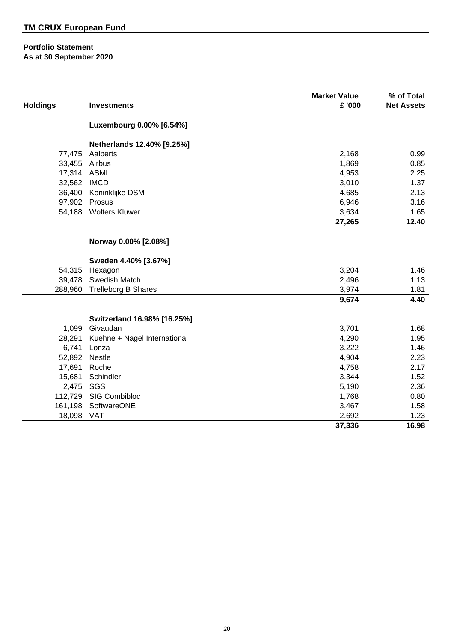## **Portfolio Statement As at 30 September 2020**

|                 |                              | <b>Market Value</b> | % of Total        |
|-----------------|------------------------------|---------------------|-------------------|
| <b>Holdings</b> | <b>Investments</b>           | £ '000              | <b>Net Assets</b> |
|                 |                              |                     |                   |
|                 | Luxembourg 0.00% [6.54%]     |                     |                   |
|                 | Netherlands 12.40% [9.25%]   |                     |                   |
| 77,475          | Aalberts                     | 2,168               | 0.99              |
| 33,455          | Airbus                       | 1,869               | 0.85              |
| 17,314 ASML     |                              | 4,953               | 2.25              |
| 32,562          | <b>IMCD</b>                  | 3,010               | 1.37              |
| 36,400          | Koninklijke DSM              | 4,685               | 2.13              |
| 97,902          | Prosus                       | 6,946               | 3.16              |
| 54,188          | <b>Wolters Kluwer</b>        | 3,634               | 1.65              |
|                 |                              | 27,265              | 12.40             |
|                 | Norway 0.00% [2.08%]         |                     |                   |
|                 | Sweden 4.40% [3.67%]         |                     |                   |
| 54,315          | Hexagon                      | 3,204               | 1.46              |
| 39,478          | Swedish Match                | 2,496               | 1.13              |
| 288,960         | <b>Trelleborg B Shares</b>   | 3,974               | 1.81              |
|                 |                              | 9,674               | 4.40              |
|                 | Switzerland 16.98% [16.25%]  |                     |                   |
| 1,099           | Givaudan                     | 3,701               | 1.68              |
| 28,291          | Kuehne + Nagel International | 4,290               | 1.95              |
| 6,741           | Lonza                        | 3,222               | 1.46              |
| 52,892          | Nestle                       | 4,904               | 2.23              |
| 17,691          | Roche                        | 4,758               | 2.17              |
| 15,681          | Schindler                    | 3,344               | 1.52              |
| 2,475           | SGS                          | 5,190               | 2.36              |
| 112,729         | SIG Combibloc                | 1,768               | 0.80              |
| 161,198         | SoftwareONE                  | 3,467               | 1.58              |
| 18,098          | <b>VAT</b>                   | 2,692               | 1.23              |
|                 |                              | 37,336              | 16.98             |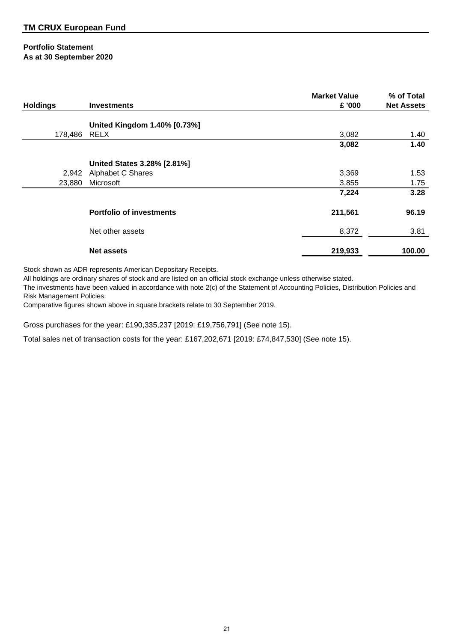## **Portfolio Statement As at 30 September 2020**

| <b>Holdings</b> | <b>Investments</b>              | <b>Market Value</b><br>£ '000 | % of Total<br><b>Net Assets</b> |
|-----------------|---------------------------------|-------------------------------|---------------------------------|
|                 |                                 |                               |                                 |
|                 | United Kingdom 1.40% [0.73%]    |                               |                                 |
| 178,486 RELX    |                                 | 3,082                         | 1.40                            |
|                 |                                 | 3,082                         | 1.40                            |
|                 | United States 3.28% [2.81%]     |                               |                                 |
|                 | 2,942 Alphabet C Shares         | 3,369                         | 1.53                            |
| 23,880          | Microsoft                       | 3,855                         | 1.75                            |
|                 |                                 | 7,224                         | 3.28                            |
|                 | <b>Portfolio of investments</b> | 211,561                       | 96.19                           |
|                 | Net other assets                | 8,372                         | 3.81                            |
|                 | <b>Net assets</b>               | 219,933                       | 100.00                          |

Stock shown as ADR represents American Depositary Receipts.

All holdings are ordinary shares of stock and are listed on an official stock exchange unless otherwise stated.

The investments have been valued in accordance with note 2(c) of the Statement of Accounting Policies, Distribution Policies and Risk Management Policies.

Comparative figures shown above in square brackets relate to 30 September 2019.

Gross purchases for the year: £190,335,237 [2019: £19,756,791] (See note 15).

Total sales net of transaction costs for the year: £167,202,671 [2019: £74,847,530] (See note 15).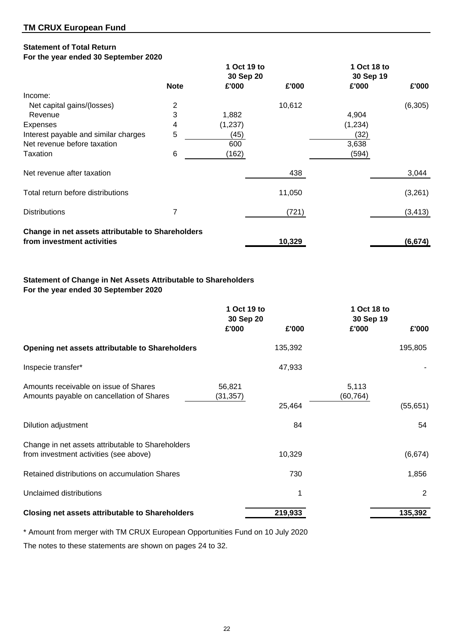## **Statement of Total Return**

## **For the year ended 30 September 2020**

|                                                   |                | 1 Oct 19 to |        | 1 Oct 18 to |          |
|---------------------------------------------------|----------------|-------------|--------|-------------|----------|
|                                                   |                | 30 Sep 20   |        | 30 Sep 19   |          |
|                                                   | <b>Note</b>    | £'000       | £'000  | £'000       | £'000    |
| Income:                                           |                |             |        |             |          |
| Net capital gains/(losses)                        | $\overline{c}$ |             | 10,612 |             | (6,305)  |
| Revenue                                           | 3              | 1,882       |        | 4,904       |          |
| <b>Expenses</b>                                   | 4              | (1,237)     |        | (1,234)     |          |
| Interest payable and similar charges              | 5              | (45)        |        | (32)        |          |
| Net revenue before taxation                       |                | 600         |        | 3,638       |          |
| Taxation                                          | 6              | (162)       |        | (594)       |          |
| Net revenue after taxation                        |                |             | 438    |             | 3,044    |
| Total return before distributions                 |                |             | 11,050 |             | (3,261)  |
| <b>Distributions</b>                              |                |             | (721)  |             | (3, 413) |
| Change in net assets attributable to Shareholders |                |             |        |             |          |
| from investment activities                        |                |             | 10,329 |             | (6, 674) |

## **Statement of Change in Net Assets Attributable to Shareholders For the year ended 30 September 2020**

|                                                                                             | 1 Oct 19 to<br>30 Sep 20 |         | 1 Oct 18 to<br>30 Sep 19 |           |
|---------------------------------------------------------------------------------------------|--------------------------|---------|--------------------------|-----------|
|                                                                                             | £'000                    | £'000   | £'000                    | £'000     |
| Opening net assets attributable to Shareholders                                             |                          | 135,392 |                          | 195,805   |
| Inspecie transfer*                                                                          |                          | 47,933  |                          |           |
| Amounts receivable on issue of Shares<br>Amounts payable on cancellation of Shares          | 56,821<br>(31, 357)      | 25,464  | 5,113<br>(60, 764)       | (55, 651) |
| Dilution adjustment                                                                         |                          | 84      |                          | 54        |
| Change in net assets attributable to Shareholders<br>from investment activities (see above) |                          | 10,329  |                          | (6,674)   |
| Retained distributions on accumulation Shares                                               |                          | 730     |                          | 1,856     |
| Unclaimed distributions                                                                     |                          | 1       |                          | 2         |
| <b>Closing net assets attributable to Shareholders</b>                                      |                          | 219,933 |                          | 135,392   |

\* Amount from merger with TM CRUX European Opportunities Fund on 10 July 2020

The notes to these statements are shown on pages 24 to 32.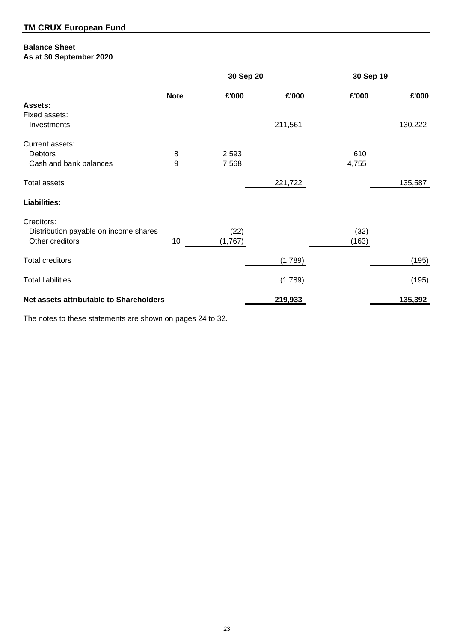## **Balance Sheet As at 30 September 2020**

|                                         | 30 Sep 20   |         | 30 Sep 19 |       |         |
|-----------------------------------------|-------------|---------|-----------|-------|---------|
|                                         | <b>Note</b> | £'000   | £'000     | £'000 | £'000   |
| <b>Assets:</b>                          |             |         |           |       |         |
| Fixed assets:                           |             |         |           |       |         |
| Investments                             |             |         | 211,561   |       | 130,222 |
| Current assets:                         |             |         |           |       |         |
| Debtors                                 | 8           | 2,593   |           | 610   |         |
| Cash and bank balances                  | 9           | 7,568   |           | 4,755 |         |
| <b>Total assets</b>                     |             |         | 221,722   |       | 135,587 |
| <b>Liabilities:</b>                     |             |         |           |       |         |
| Creditors:                              |             |         |           |       |         |
| Distribution payable on income shares   |             | (22)    |           | (32)  |         |
| Other creditors                         | 10          | (1,767) |           | (163) |         |
| <b>Total creditors</b>                  |             |         | (1,789)   |       | (195)   |
|                                         |             |         |           |       |         |
| <b>Total liabilities</b>                |             |         | (1,789)   |       | (195)   |
| Net assets attributable to Shareholders |             |         | 219,933   |       | 135,392 |

The notes to these statements are shown on pages 24 to 32.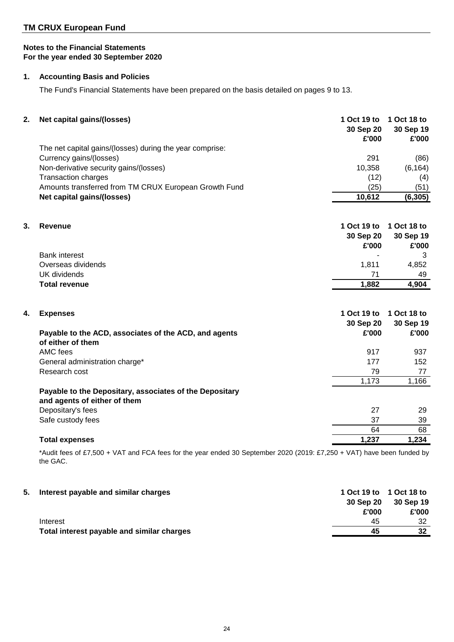## **TM CRUX European Fund**

## **Notes to the Financial Statements For the year ended 30 September 2020**

## **1. Accounting Basis and Policies**

The Fund's Financial Statements have been prepared on the basis detailed on pages 9 to 13.

| The net capital gains/(losses) during the year comprise:<br>Currency gains/(losses)<br>291<br>(86)<br>Non-derivative security gains/(losses)<br>10,358<br>(6, 164)<br><b>Transaction charges</b><br>(12)<br>(4)<br>Amounts transferred from TM CRUX European Growth Fund<br>(25)<br>(51)<br>10,612<br>Net capital gains/(losses)<br>(6, 305)<br>3.<br>1 Oct 19 to<br>1 Oct 18 to<br>Revenue<br>30 Sep 20<br>30 Sep 19<br>£'000<br>£'000<br><b>Bank interest</b><br>3<br>1,811<br>Overseas dividends<br>4,852<br><b>UK</b> dividends<br>71<br>49<br>4,904<br><b>Total revenue</b><br>1,882<br>1 Oct 19 to<br>1 Oct 18 to<br><b>Expenses</b><br>4.<br>30 Sep 20<br>30 Sep 19<br>£'000<br>£'000<br>Payable to the ACD, associates of the ACD, and agents<br>of either of them<br>AMC fees<br>917<br>937<br>177<br>General administration charge*<br>152<br>Research cost<br>79<br>77<br>1,173<br>1,166<br>Payable to the Depositary, associates of the Depositary<br>and agents of either of them<br>Depositary's fees<br>27<br>29<br>Safe custody fees<br>37<br>39<br>64<br>68<br>1,237<br>1,234<br><b>Total expenses</b> | 2. | Net capital gains/(losses) | 1 Oct 19 to<br>30 Sep 20<br>£'000 | 1 Oct 18 to<br>30 Sep 19<br>£'000 |
|-------------------------------------------------------------------------------------------------------------------------------------------------------------------------------------------------------------------------------------------------------------------------------------------------------------------------------------------------------------------------------------------------------------------------------------------------------------------------------------------------------------------------------------------------------------------------------------------------------------------------------------------------------------------------------------------------------------------------------------------------------------------------------------------------------------------------------------------------------------------------------------------------------------------------------------------------------------------------------------------------------------------------------------------------------------------------------------------------------------------------|----|----------------------------|-----------------------------------|-----------------------------------|
|                                                                                                                                                                                                                                                                                                                                                                                                                                                                                                                                                                                                                                                                                                                                                                                                                                                                                                                                                                                                                                                                                                                         |    |                            |                                   |                                   |
|                                                                                                                                                                                                                                                                                                                                                                                                                                                                                                                                                                                                                                                                                                                                                                                                                                                                                                                                                                                                                                                                                                                         |    |                            |                                   |                                   |
|                                                                                                                                                                                                                                                                                                                                                                                                                                                                                                                                                                                                                                                                                                                                                                                                                                                                                                                                                                                                                                                                                                                         |    |                            |                                   |                                   |
|                                                                                                                                                                                                                                                                                                                                                                                                                                                                                                                                                                                                                                                                                                                                                                                                                                                                                                                                                                                                                                                                                                                         |    |                            |                                   |                                   |
|                                                                                                                                                                                                                                                                                                                                                                                                                                                                                                                                                                                                                                                                                                                                                                                                                                                                                                                                                                                                                                                                                                                         |    |                            |                                   |                                   |
|                                                                                                                                                                                                                                                                                                                                                                                                                                                                                                                                                                                                                                                                                                                                                                                                                                                                                                                                                                                                                                                                                                                         |    |                            |                                   |                                   |
|                                                                                                                                                                                                                                                                                                                                                                                                                                                                                                                                                                                                                                                                                                                                                                                                                                                                                                                                                                                                                                                                                                                         |    |                            |                                   |                                   |
|                                                                                                                                                                                                                                                                                                                                                                                                                                                                                                                                                                                                                                                                                                                                                                                                                                                                                                                                                                                                                                                                                                                         |    |                            |                                   |                                   |
|                                                                                                                                                                                                                                                                                                                                                                                                                                                                                                                                                                                                                                                                                                                                                                                                                                                                                                                                                                                                                                                                                                                         |    |                            |                                   |                                   |
|                                                                                                                                                                                                                                                                                                                                                                                                                                                                                                                                                                                                                                                                                                                                                                                                                                                                                                                                                                                                                                                                                                                         |    |                            |                                   |                                   |
|                                                                                                                                                                                                                                                                                                                                                                                                                                                                                                                                                                                                                                                                                                                                                                                                                                                                                                                                                                                                                                                                                                                         |    |                            |                                   |                                   |
|                                                                                                                                                                                                                                                                                                                                                                                                                                                                                                                                                                                                                                                                                                                                                                                                                                                                                                                                                                                                                                                                                                                         |    |                            |                                   |                                   |
|                                                                                                                                                                                                                                                                                                                                                                                                                                                                                                                                                                                                                                                                                                                                                                                                                                                                                                                                                                                                                                                                                                                         |    |                            |                                   |                                   |
|                                                                                                                                                                                                                                                                                                                                                                                                                                                                                                                                                                                                                                                                                                                                                                                                                                                                                                                                                                                                                                                                                                                         |    |                            |                                   |                                   |
|                                                                                                                                                                                                                                                                                                                                                                                                                                                                                                                                                                                                                                                                                                                                                                                                                                                                                                                                                                                                                                                                                                                         |    |                            |                                   |                                   |
|                                                                                                                                                                                                                                                                                                                                                                                                                                                                                                                                                                                                                                                                                                                                                                                                                                                                                                                                                                                                                                                                                                                         |    |                            |                                   |                                   |
|                                                                                                                                                                                                                                                                                                                                                                                                                                                                                                                                                                                                                                                                                                                                                                                                                                                                                                                                                                                                                                                                                                                         |    |                            |                                   |                                   |
|                                                                                                                                                                                                                                                                                                                                                                                                                                                                                                                                                                                                                                                                                                                                                                                                                                                                                                                                                                                                                                                                                                                         |    |                            |                                   |                                   |
|                                                                                                                                                                                                                                                                                                                                                                                                                                                                                                                                                                                                                                                                                                                                                                                                                                                                                                                                                                                                                                                                                                                         |    |                            |                                   |                                   |
|                                                                                                                                                                                                                                                                                                                                                                                                                                                                                                                                                                                                                                                                                                                                                                                                                                                                                                                                                                                                                                                                                                                         |    |                            |                                   |                                   |
|                                                                                                                                                                                                                                                                                                                                                                                                                                                                                                                                                                                                                                                                                                                                                                                                                                                                                                                                                                                                                                                                                                                         |    |                            |                                   |                                   |
|                                                                                                                                                                                                                                                                                                                                                                                                                                                                                                                                                                                                                                                                                                                                                                                                                                                                                                                                                                                                                                                                                                                         |    |                            |                                   |                                   |
|                                                                                                                                                                                                                                                                                                                                                                                                                                                                                                                                                                                                                                                                                                                                                                                                                                                                                                                                                                                                                                                                                                                         |    |                            |                                   |                                   |
|                                                                                                                                                                                                                                                                                                                                                                                                                                                                                                                                                                                                                                                                                                                                                                                                                                                                                                                                                                                                                                                                                                                         |    |                            |                                   |                                   |

\*Audit fees of £7,500 + VAT and FCA fees for the year ended 30 September 2020 (2019: £7,250 + VAT) have been funded by the GAC.

| 5. | Interest payable and similar charges       |           | 1 Oct 19 to 1 Oct 18 to |
|----|--------------------------------------------|-----------|-------------------------|
|    |                                            | 30 Sep 20 | 30 Sep 19               |
|    |                                            | £'000     | £'000                   |
|    | Interest                                   | 45        | 32                      |
|    | Total interest payable and similar charges | 45        | 32                      |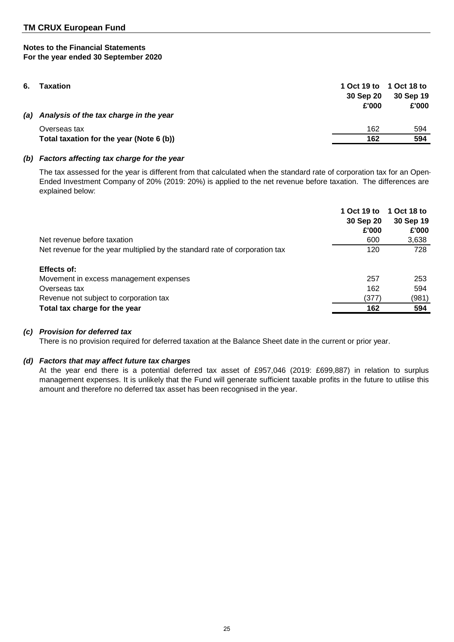| 6. | Taxation                                   | 30 Sep 20<br>£'000 | 1 Oct 19 to 1 Oct 18 to<br>30 Sep 19<br>£'000 |
|----|--------------------------------------------|--------------------|-----------------------------------------------|
|    | (a) Analysis of the tax charge in the year |                    |                                               |
|    | Overseas tax                               | 162                | 594                                           |
|    | Total taxation for the year (Note 6 (b))   | 162                | 594                                           |
|    |                                            |                    |                                               |

## *(b) Factors affecting tax charge for the year*

The tax assessed for the year is different from that calculated when the standard rate of corporation tax for an Open-Ended Investment Company of 20% (2019: 20%) is applied to the net revenue before taxation. The differences are explained below:

|                                                                             | 1 Oct 19 to<br>30 Sep 20<br>£'000 | 1 Oct 18 to<br>30 Sep 19<br>£'000 |
|-----------------------------------------------------------------------------|-----------------------------------|-----------------------------------|
| Net revenue before taxation                                                 | 600                               | 3,638                             |
| Net revenue for the year multiplied by the standard rate of corporation tax | 120                               | 728                               |
| Effects of:                                                                 |                                   |                                   |
| Movement in excess management expenses                                      | 257                               | 253                               |
| Overseas tax                                                                | 162                               | 594                               |
| Revenue not subject to corporation tax                                      | (377)                             | (981)                             |
| Total tax charge for the year                                               | 162                               | 594                               |

## *(c) Provision for deferred tax*

There is no provision required for deferred taxation at the Balance Sheet date in the current or prior year.

#### *(d) Factors that may affect future tax charges*

At the year end there is a potential deferred tax asset of £957,046 (2019: £699,887) in relation to surplus management expenses. It is unlikely that the Fund will generate sufficient taxable profits in the future to utilise this amount and therefore no deferred tax asset has been recognised in the year.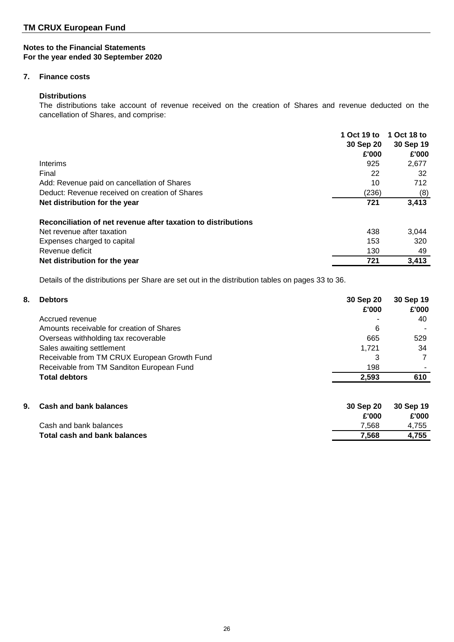## **7. Finance costs**

## **Distributions**

The distributions take account of revenue received on the creation of Shares and revenue deducted on the cancellation of Shares, and comprise:

|                                                               | 1 Oct 19 to | 1 Oct 18 to |
|---------------------------------------------------------------|-------------|-------------|
|                                                               | 30 Sep 20   | 30 Sep 19   |
|                                                               | £'000       | £'000       |
| Interims                                                      | 925         | 2,677       |
| Final                                                         | 22          | 32          |
| Add: Revenue paid on cancellation of Shares                   | 10          | 712         |
| Deduct: Revenue received on creation of Shares                | (236)       | (8)         |
| Net distribution for the year                                 | 721         | 3,413       |
| Reconciliation of net revenue after taxation to distributions |             |             |
| Net revenue after taxation                                    | 438         | 3.044       |
| Expenses charged to capital                                   | 153         | 320         |
| Revenue deficit                                               | 130         | 49          |
| Net distribution for the year                                 | 721         | 3,413       |

Details of the distributions per Share are set out in the distribution tables on pages 33 to 36.

| 8. | <b>Debtors</b>                               | 30 Sep 20<br>£'000 | 30 Sep 19<br>£'000 |
|----|----------------------------------------------|--------------------|--------------------|
|    | Accrued revenue                              |                    | 40                 |
|    | Amounts receivable for creation of Shares    | 6                  |                    |
|    | Overseas withholding tax recoverable         | 665                | 529                |
|    | Sales awaiting settlement                    | 1,721              | 34                 |
|    | Receivable from TM CRUX European Growth Fund | 3                  |                    |
|    | Receivable from TM Sanditon European Fund    | 198                |                    |
|    | <b>Total debtors</b>                         | 2,593              | 610                |
| 9. | <b>Cash and bank balances</b>                | 30 Sep 20          | 30 Sep 19          |
|    |                                              | £'000              | £'000              |
|    | Cash and bank balances                       | 7.568              | 4.755              |

**Total cash and bank balances 7,568 4,755** 

26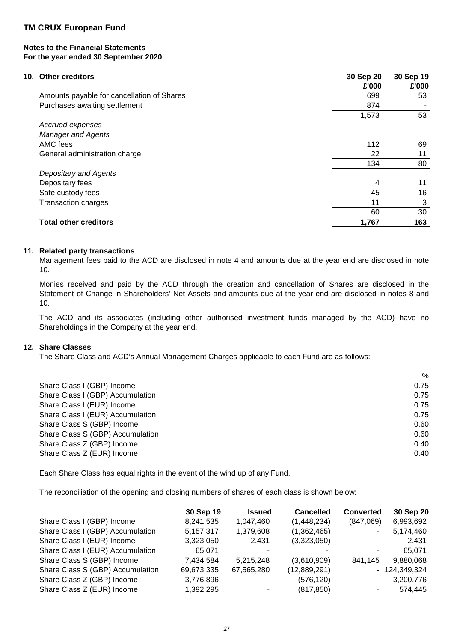| 10. Other creditors                        | 30 Sep 20<br>£'000 | 30 Sep 19<br>£'000 |
|--------------------------------------------|--------------------|--------------------|
| Amounts payable for cancellation of Shares | 699                | 53                 |
| Purchases awaiting settlement              | 874                |                    |
|                                            | 1,573              | 53                 |
| Accrued expenses                           |                    |                    |
| <b>Manager and Agents</b>                  |                    |                    |
| AMC fees                                   | 112                | 69                 |
| General administration charge              | 22                 | 11                 |
|                                            | 134                | 80                 |
| Depositary and Agents                      |                    |                    |
| Depositary fees                            | 4                  | 11                 |
| Safe custody fees                          | 45                 | 16                 |
| <b>Transaction charges</b>                 | 11                 | 3                  |
|                                            | 60                 | 30                 |
| <b>Total other creditors</b>               | 1,767              | 163                |

## **11. Related party transactions**

Management fees paid to the ACD are disclosed in note 4 and amounts due at the year end are disclosed in note 10.

Monies received and paid by the ACD through the creation and cancellation of Shares are disclosed in the Statement of Change in Shareholders' Net Assets and amounts due at the year end are disclosed in notes 8 and 10.

The ACD and its associates (including other authorised investment funds managed by the ACD) have no Shareholdings in the Company at the year end.

## **12. Share Classes**

The Share Class and ACD's Annual Management Charges applicable to each Fund are as follows:

|                                  | %    |
|----------------------------------|------|
| Share Class I (GBP) Income       | 0.75 |
| Share Class I (GBP) Accumulation | 0.75 |
| Share Class I (EUR) Income       | 0.75 |
| Share Class I (EUR) Accumulation | 0.75 |
| Share Class S (GBP) Income       | 0.60 |
| Share Class S (GBP) Accumulation | 0.60 |
| Share Class Z (GBP) Income       | 0.40 |
| Share Class Z (EUR) Income       | 0.40 |
|                                  |      |

Each Share Class has equal rights in the event of the wind up of any Fund.

The reconciliation of the opening and closing numbers of shares of each class is shown below:

|                                  | 30 Sep 19  | <b>Issued</b> | <b>Cancelled</b> | <b>Converted</b> | 30 Sep 20      |
|----------------------------------|------------|---------------|------------------|------------------|----------------|
| Share Class I (GBP) Income       | 8,241,535  | 1,047,460     | (1,448,234)      | (847,069)        | 6,993,692      |
| Share Class I (GBP) Accumulation | 5,157,317  | 1,379,608     | (1,362,465)      |                  | 5,174,460      |
| Share Class I (EUR) Income       | 3,323,050  | 2.431         | (3,323,050)      |                  | 2.431          |
| Share Class I (EUR) Accumulation | 65,071     |               |                  |                  | 65.071         |
| Share Class S (GBP) Income       | 7,434,584  | 5,215,248     | (3,610,909)      | 841,145          | 9,880,068      |
| Share Class S (GBP) Accumulation | 69,673,335 | 67,565,280    | (12,889,291)     |                  | $-124,349,324$ |
| Share Class Z (GBP) Income       | 3,776,896  |               | (576, 120)       |                  | 3,200,776      |
| Share Class Z (EUR) Income       | 1,392,295  |               | (817, 850)       |                  | 574.445        |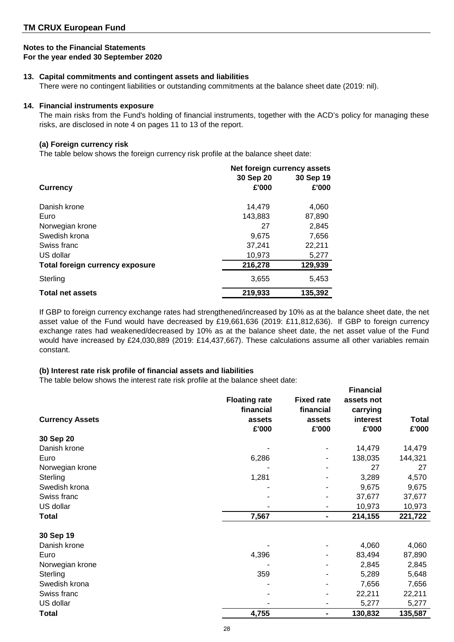## **Notes to the Financial Statements**

**For the year ended 30 September 2020**

## **13. Capital commitments and contingent assets and liabilities**

There were no contingent liabilities or outstanding commitments at the balance sheet date (2019: nil).

## **14. Financial instruments exposure**

The main risks from the Fund's holding of financial instruments, together with the ACD's policy for managing these risks, are disclosed in note 4 on pages 11 to 13 of the report.

## **(a) Foreign currency risk**

The table below shows the foreign currency risk profile at the balance sheet date:

|                                        | Net foreign currency assets |           |  |  |
|----------------------------------------|-----------------------------|-----------|--|--|
|                                        | 30 Sep 20                   | 30 Sep 19 |  |  |
| <b>Currency</b>                        | £'000                       | £'000     |  |  |
| Danish krone                           | 14.479                      | 4,060     |  |  |
| Euro                                   | 143,883                     | 87,890    |  |  |
| Norwegian krone                        | 27                          | 2,845     |  |  |
| Swedish krona                          | 9,675                       | 7,656     |  |  |
| Swiss franc                            | 37,241                      | 22,211    |  |  |
| US dollar                              | 10,973                      | 5,277     |  |  |
| <b>Total foreign currency exposure</b> | 216,278                     | 129,939   |  |  |
| Sterling                               | 3,655                       | 5,453     |  |  |
| <b>Total net assets</b>                | 219,933                     | 135.392   |  |  |

If GBP to foreign currency exchange rates had strengthened/increased by 10% as at the balance sheet date, the net asset value of the Fund would have decreased by £19,661,636 (2019: £11,812,636). If GBP to foreign currency exchange rates had weakened/decreased by 10% as at the balance sheet date, the net asset value of the Fund would have increased by £24,030,889 (2019: £14,437,667). These calculations assume all other variables remain constant.

## **(b) Interest rate risk profile of financial assets and liabilities**

The table below shows the interest rate risk profile at the balance sheet date:

|                        | <b>Floating rate</b><br>financial | <b>Fixed rate</b>            | <b>Financial</b><br>assets not |                       |
|------------------------|-----------------------------------|------------------------------|--------------------------------|-----------------------|
| <b>Currency Assets</b> | assets<br>£'000                   | financial<br>assets<br>£'000 | carrying<br>interest<br>£'000  | <b>Total</b><br>£'000 |
| 30 Sep 20              |                                   |                              |                                |                       |
| Danish krone           |                                   |                              | 14,479                         | 14,479                |
| Euro                   | 6,286                             |                              | 138,035                        | 144,321               |
| Norwegian krone        |                                   |                              | 27                             | 27                    |
| Sterling               | 1,281                             |                              | 3,289                          | 4,570                 |
| Swedish krona          |                                   |                              | 9,675                          | 9,675                 |
| Swiss franc            |                                   |                              | 37,677                         | 37,677                |
| US dollar              |                                   |                              | 10,973                         | 10,973                |
| Total                  | 7,567                             | $\blacksquare$               | 214,155                        | 221,722               |
| 30 Sep 19              |                                   |                              |                                |                       |
| Danish krone           |                                   |                              | 4,060                          | 4,060                 |
| Euro                   | 4,396                             |                              | 83,494                         | 87,890                |
| Norwegian krone        |                                   |                              | 2,845                          | 2,845                 |
| Sterling               | 359                               |                              | 5,289                          | 5,648                 |
| Swedish krona          |                                   |                              | 7,656                          | 7,656                 |
| Swiss franc            |                                   |                              | 22,211                         | 22,211                |
| US dollar              |                                   |                              | 5,277                          | 5,277                 |
| <b>Total</b>           | 4,755                             | -                            | 130,832                        | 135,587               |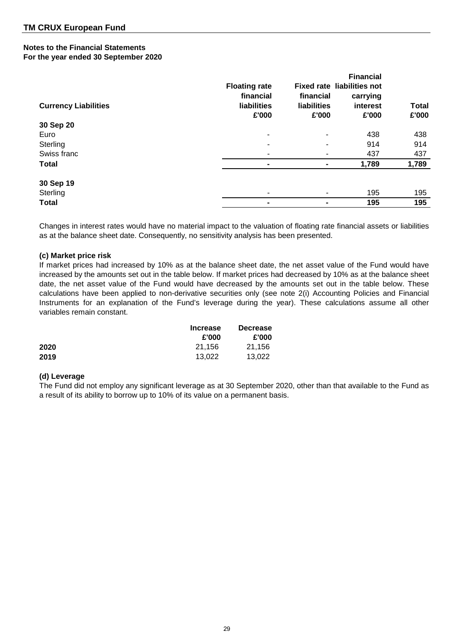| <b>Currency Liabilities</b> | <b>Floating rate</b><br>financial<br>liabilities<br>£'000 | financial<br>liabilities<br>£'000 | <b>Financial</b><br><b>Fixed rate liabilities not</b><br>carrying<br>interest<br>£'000 | <b>Total</b><br>£'000 |
|-----------------------------|-----------------------------------------------------------|-----------------------------------|----------------------------------------------------------------------------------------|-----------------------|
| 30 Sep 20                   |                                                           |                                   |                                                                                        |                       |
| Euro                        |                                                           | $\blacksquare$                    | 438                                                                                    | 438                   |
| Sterling                    |                                                           | ۰                                 | 914                                                                                    | 914                   |
| Swiss franc                 |                                                           | ۰                                 | 437                                                                                    | 437                   |
| <b>Total</b>                |                                                           |                                   | 1,789                                                                                  | 1,789                 |
| 30 Sep 19                   |                                                           |                                   |                                                                                        |                       |
| Sterling                    |                                                           |                                   | 195                                                                                    | 195                   |
| <b>Total</b>                |                                                           |                                   | 195                                                                                    | 195                   |

Changes in interest rates would have no material impact to the valuation of floating rate financial assets or liabilities as at the balance sheet date. Consequently, no sensitivity analysis has been presented.

## **(c) Market price risk**

If market prices had increased by 10% as at the balance sheet date, the net asset value of the Fund would have increased by the amounts set out in the table below. If market prices had decreased by 10% as at the balance sheet date, the net asset value of the Fund would have decreased by the amounts set out in the table below. These calculations have been applied to non-derivative securities only (see note 2(i) Accounting Policies and Financial Instruments for an explanation of the Fund's leverage during the year). These calculations assume all other variables remain constant.

|      | <b>Increase</b> | <b>Decrease</b> |
|------|-----------------|-----------------|
|      | £'000           | £'000           |
| 2020 | 21.156          | 21.156          |
| 2019 | 13.022          | 13.022          |

#### **(d) Leverage**

The Fund did not employ any significant leverage as at 30 September 2020, other than that available to the Fund as a result of its ability to borrow up to 10% of its value on a permanent basis.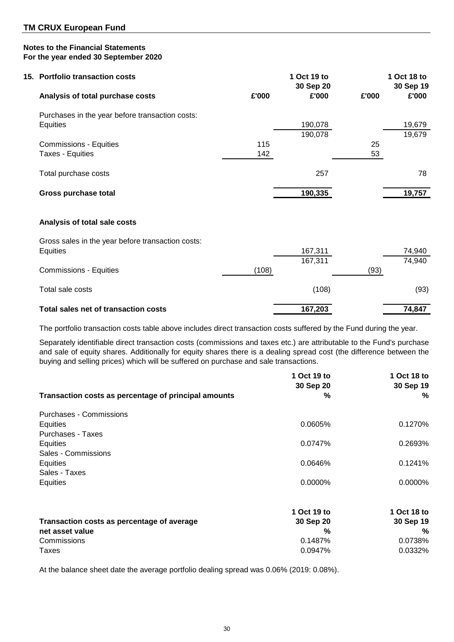| 15. Portfolio transaction costs                   |       | 1 Oct 19 to<br>30 Sep 20 |       | 1 Oct 18 to<br>30 Sep 19 |
|---------------------------------------------------|-------|--------------------------|-------|--------------------------|
| Analysis of total purchase costs                  | £'000 | £'000                    | £'000 | £'000                    |
| Purchases in the year before transaction costs:   |       |                          |       |                          |
| Equities                                          |       | 190,078                  |       | 19,679                   |
| <b>Commissions - Equities</b>                     | 115   | 190,078                  | 25    | 19,679                   |
| Taxes - Equities                                  | 142   |                          | 53    |                          |
| Total purchase costs                              |       | 257                      |       | 78                       |
| Gross purchase total                              |       | 190,335                  |       | 19,757                   |
| Analysis of total sale costs                      |       |                          |       |                          |
| Gross sales in the year before transaction costs: |       |                          |       |                          |
| Equities                                          |       | 167,311<br>167,311       |       | 74,940<br>74,940         |
| <b>Commissions - Equities</b>                     | (108) |                          | (93)  |                          |
| Total sale costs                                  |       | (108)                    |       | (93)                     |

## Total sales net of transaction costs **167,203 167,203 167,203 167,203 167,203**

The portfolio transaction costs table above includes direct transaction costs suffered by the Fund during the year.

Separately identifiable direct transaction costs (commissions and taxes etc.) are attributable to the Fund's purchase and sale of equity shares. Additionally for equity shares there is a dealing spread cost (the difference between the buying and selling prices) which will be suffered on purchase and sale transactions.

| Transaction costs as percentage of principal amounts | 1 Oct 19 to<br>30 Sep 20<br>% | 1 Oct 18 to<br>30 Sep 19<br>% |
|------------------------------------------------------|-------------------------------|-------------------------------|
|                                                      |                               |                               |
| Purchases - Commissions                              |                               |                               |
| Equities                                             | 0.0605%                       | 0.1270%                       |
| <b>Purchases - Taxes</b>                             |                               |                               |
| Equities                                             | 0.0747%                       | 0.2693%                       |
| Sales - Commissions                                  |                               |                               |
| Equities                                             | 0.0646%                       | 0.1241%                       |
| Sales - Taxes                                        |                               |                               |
| Equities                                             | 0.0000%                       | 0.0000%                       |
|                                                      | 1 Oct 19 to                   | 1 Oct 18 to                   |
| Transaction costs as percentage of average           | 30 Sep 20                     | 30 Sep 19                     |
| net asset value                                      | %                             | %                             |
| Commissions                                          | 0.1487%                       | 0.0738%                       |
| Taxes                                                | 0.0947%                       | 0.0332%                       |

At the balance sheet date the average portfolio dealing spread was 0.06% (2019: 0.08%).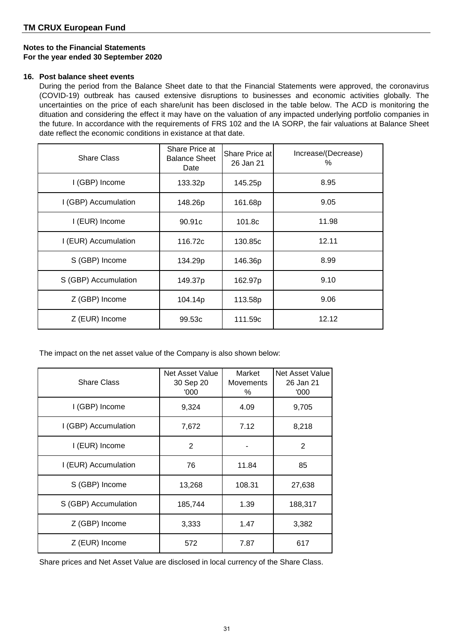## **16. Post balance sheet events**

During the period from the Balance Sheet date to that the Financial Statements were approved, the coronavirus (COVID-19) outbreak has caused extensive disruptions to businesses and economic activities globally. The uncertainties on the price of each share/unit has been disclosed in the table below. The ACD is monitoring the dituation and considering the effect it may have on the valuation of any impacted underlying portfolio companies in the future. In accordance with the requirements of FRS 102 and the IA SORP, the fair valuations at Balance Sheet date reflect the economic conditions in existance at that date.

| <b>Share Class</b>   | Share Price at<br><b>Balance Sheet</b><br>Date | Share Price at<br>26 Jan 21 | Increase/(Decrease)<br>℅ |
|----------------------|------------------------------------------------|-----------------------------|--------------------------|
| I (GBP) Income       | 133.32p                                        | 145.25p                     | 8.95                     |
| I (GBP) Accumulation | 148.26p                                        | 161.68p                     | 9.05                     |
| I (EUR) Income       | 90.91c                                         | 101.8c                      | 11.98                    |
| I (EUR) Accumulation | 116.72c                                        | 130.85c                     | 12.11                    |
| S (GBP) Income       | 134.29p                                        | 146.36p                     | 8.99                     |
| S (GBP) Accumulation | 149.37p                                        | 162.97p                     | 9.10                     |
| Z (GBP) Income       | 104.14p                                        | 113.58p                     | 9.06                     |
| Z (EUR) Income       | 99.53c                                         | 111.59c                     | 12.12                    |

The impact on the net asset value of the Company is also shown below:

| <b>Share Class</b>   | Net Asset Value<br>30 Sep 20<br>'000 | Market<br><b>Movements</b><br>% | Net Asset Value<br>26 Jan 21<br>'000 |
|----------------------|--------------------------------------|---------------------------------|--------------------------------------|
| I (GBP) Income       | 9,324                                | 4.09                            | 9,705                                |
| I (GBP) Accumulation | 7,672                                | 7.12                            | 8,218                                |
| I (EUR) Income       | $\overline{2}$                       |                                 | $\overline{2}$                       |
| I (EUR) Accumulation | 76                                   | 11.84                           | 85                                   |
| S (GBP) Income       | 13,268                               | 108.31                          | 27,638                               |
| S (GBP) Accumulation | 185,744                              | 1.39                            | 188,317                              |
| Z (GBP) Income       | 3,333                                | 1.47                            | 3,382                                |
| Z (EUR) Income       | 572                                  | 7.87                            | 617                                  |

Share prices and Net Asset Value are disclosed in local currency of the Share Class.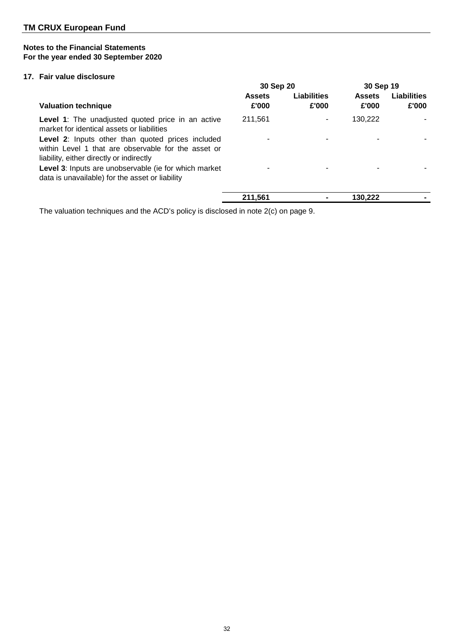## **17. Fair value disclosure**

|                                                                                                                                                      | 30 Sep 20              |                             | 30 Sep 19              |                             |
|------------------------------------------------------------------------------------------------------------------------------------------------------|------------------------|-----------------------------|------------------------|-----------------------------|
| <b>Valuation technique</b>                                                                                                                           | <b>Assets</b><br>£'000 | <b>Liabilities</b><br>£'000 | <b>Assets</b><br>£'000 | <b>Liabilities</b><br>£'000 |
| <b>Level 1:</b> The unadjusted quoted price in an active<br>market for identical assets or liabilities                                               | 211,561                |                             | 130,222                |                             |
| Level 2: Inputs other than quoted prices included<br>within Level 1 that are observable for the asset or<br>liability, either directly or indirectly |                        |                             |                        |                             |
| Level 3: Inputs are unobservable (ie for which market<br>data is unavailable) for the asset or liability                                             | ۰                      |                             |                        |                             |
|                                                                                                                                                      | 211.561                |                             | 130.222                |                             |

The valuation techniques and the ACD's policy is disclosed in note 2(c) on page 9.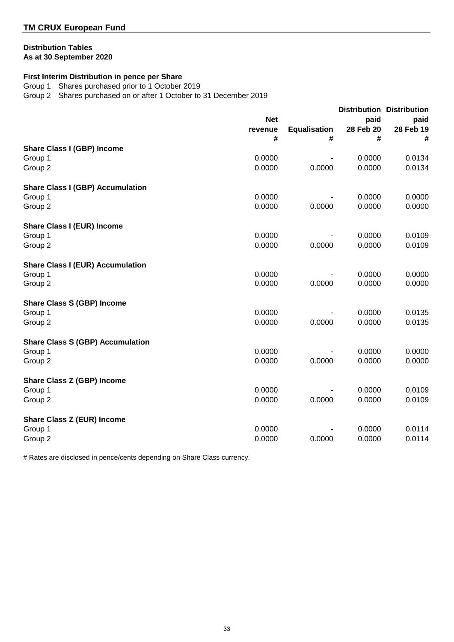## **Distribution Tables As at 30 September 2020**

## **First Interim Distribution in pence per Share**

Group 1 Shares purchased prior to 1 October 2019

Group 2 Shares purchased on or after 1 October to 31 December 2019

|                                         | <b>Net</b> |                     | paid      | <b>Distribution Distribution</b><br>paid |           |
|-----------------------------------------|------------|---------------------|-----------|------------------------------------------|-----------|
|                                         | revenue    | <b>Equalisation</b> | 28 Feb 20 |                                          | 28 Feb 19 |
|                                         | #          | #                   | #         | #                                        |           |
| <b>Share Class I (GBP) Income</b>       |            |                     |           |                                          |           |
| Group 1                                 | 0.0000     |                     | 0.0000    | 0.0134                                   |           |
| Group 2                                 | 0.0000     | 0.0000              | 0.0000    | 0.0134                                   |           |
| <b>Share Class I (GBP) Accumulation</b> |            |                     |           |                                          |           |
| Group 1                                 | 0.0000     |                     | 0.0000    | 0.0000                                   |           |
| Group <sub>2</sub>                      | 0.0000     | 0.0000              | 0.0000    | 0.0000                                   |           |
| <b>Share Class I (EUR) Income</b>       |            |                     |           |                                          |           |
| Group 1                                 | 0.0000     |                     | 0.0000    | 0.0109                                   |           |
| Group 2                                 | 0.0000     | 0.0000              | 0.0000    | 0.0109                                   |           |
| <b>Share Class I (EUR) Accumulation</b> |            |                     |           |                                          |           |
| Group 1                                 | 0.0000     |                     | 0.0000    | 0.0000                                   |           |
| Group 2                                 | 0.0000     | 0.0000              | 0.0000    | 0.0000                                   |           |
| <b>Share Class S (GBP) Income</b>       |            |                     |           |                                          |           |
| Group 1                                 | 0.0000     |                     | 0.0000    | 0.0135                                   |           |
| Group <sub>2</sub>                      | 0.0000     | 0.0000              | 0.0000    | 0.0135                                   |           |
| <b>Share Class S (GBP) Accumulation</b> |            |                     |           |                                          |           |
| Group 1                                 | 0.0000     |                     | 0.0000    | 0.0000                                   |           |
| Group 2                                 | 0.0000     | 0.0000              | 0.0000    | 0.0000                                   |           |
| <b>Share Class Z (GBP) Income</b>       |            |                     |           |                                          |           |
| Group 1                                 | 0.0000     |                     | 0.0000    | 0.0109                                   |           |
| Group 2                                 | 0.0000     | 0.0000              | 0.0000    | 0.0109                                   |           |
| <b>Share Class Z (EUR) Income</b>       |            |                     |           |                                          |           |
| Group 1                                 | 0.0000     |                     | 0.0000    | 0.0114                                   |           |
| Group 2                                 | 0.0000     | 0.0000              | 0.0000    | 0.0114                                   |           |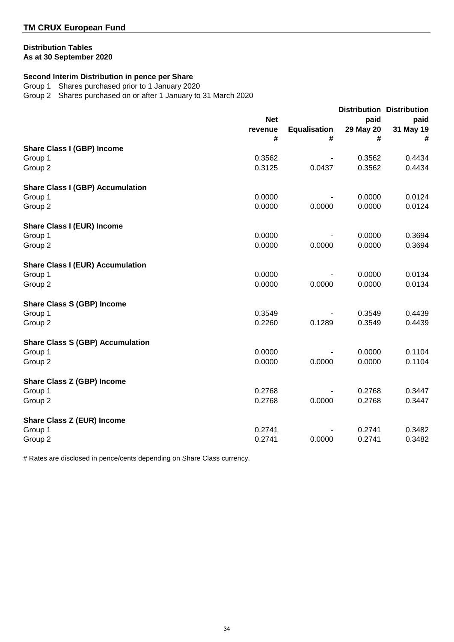## **Distribution Tables**

**As at 30 September 2020**

## **Second Interim Distribution in pence per Share**

Group 1 Shares purchased prior to 1 January 2020

Group 2 Shares purchased on or after 1 January to 31 March 2020

|                                         |            |                     |           | <b>Distribution Distribution</b> |
|-----------------------------------------|------------|---------------------|-----------|----------------------------------|
|                                         | <b>Net</b> |                     | paid      | paid                             |
|                                         | revenue    | <b>Equalisation</b> | 29 May 20 | 31 May 19                        |
|                                         | #          | #                   | #         | #                                |
| <b>Share Class I (GBP) Income</b>       |            |                     |           |                                  |
| Group 1                                 | 0.3562     |                     | 0.3562    | 0.4434                           |
| Group 2                                 | 0.3125     | 0.0437              | 0.3562    | 0.4434                           |
| <b>Share Class I (GBP) Accumulation</b> |            |                     |           |                                  |
| Group 1                                 | 0.0000     |                     | 0.0000    | 0.0124                           |
| Group 2                                 | 0.0000     | 0.0000              | 0.0000    | 0.0124                           |
| <b>Share Class I (EUR) Income</b>       |            |                     |           |                                  |
| Group 1                                 | 0.0000     |                     | 0.0000    | 0.3694                           |
| Group 2                                 | 0.0000     | 0.0000              | 0.0000    | 0.3694                           |
| <b>Share Class I (EUR) Accumulation</b> |            |                     |           |                                  |
| Group 1                                 | 0.0000     |                     | 0.0000    | 0.0134                           |
| Group 2                                 | 0.0000     | 0.0000              | 0.0000    | 0.0134                           |
| <b>Share Class S (GBP) Income</b>       |            |                     |           |                                  |
| Group 1                                 | 0.3549     |                     | 0.3549    | 0.4439                           |
| Group <sub>2</sub>                      | 0.2260     | 0.1289              | 0.3549    | 0.4439                           |
| <b>Share Class S (GBP) Accumulation</b> |            |                     |           |                                  |
| Group 1                                 | 0.0000     |                     | 0.0000    | 0.1104                           |
| Group 2                                 | 0.0000     | 0.0000              | 0.0000    | 0.1104                           |
| <b>Share Class Z (GBP) Income</b>       |            |                     |           |                                  |
| Group 1                                 | 0.2768     |                     | 0.2768    | 0.3447                           |
| Group 2                                 | 0.2768     | 0.0000              | 0.2768    | 0.3447                           |
| <b>Share Class Z (EUR) Income</b>       |            |                     |           |                                  |
| Group 1                                 | 0.2741     |                     | 0.2741    | 0.3482                           |
| Group 2                                 | 0.2741     | 0.0000              | 0.2741    | 0.3482                           |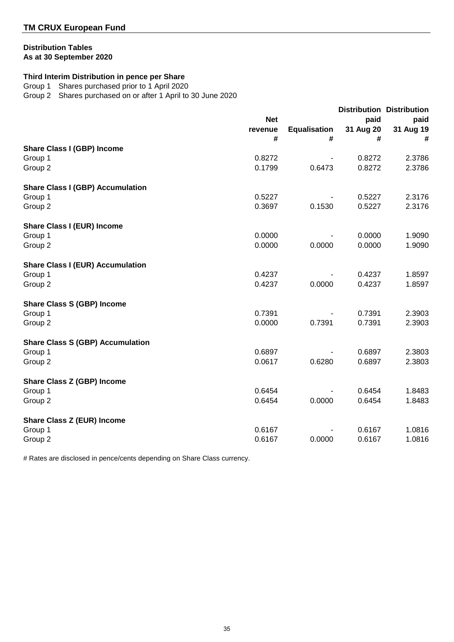## **Distribution Tables As at 30 September 2020**

## **Third Interim Distribution in pence per Share**

Group 1 Shares purchased prior to 1 April 2020

Group 2 Shares purchased on or after 1 April to 30 June 2020

|                                         | <b>Net</b> |                     |           | <b>Distribution Distribution</b><br>paid<br>paid |           |
|-----------------------------------------|------------|---------------------|-----------|--------------------------------------------------|-----------|
|                                         | revenue    | <b>Equalisation</b> | 31 Aug 20 |                                                  | 31 Aug 19 |
|                                         | #          | #                   | #         | #                                                |           |
| <b>Share Class I (GBP) Income</b>       |            |                     |           |                                                  |           |
| Group 1                                 | 0.8272     |                     | 0.8272    | 2.3786                                           |           |
| Group 2                                 | 0.1799     | 0.6473              | 0.8272    | 2.3786                                           |           |
| <b>Share Class I (GBP) Accumulation</b> |            |                     |           |                                                  |           |
| Group 1                                 | 0.5227     |                     | 0.5227    | 2.3176                                           |           |
| Group 2                                 | 0.3697     | 0.1530              | 0.5227    | 2.3176                                           |           |
| <b>Share Class I (EUR) Income</b>       |            |                     |           |                                                  |           |
| Group 1                                 | 0.0000     |                     | 0.0000    | 1.9090                                           |           |
| Group 2                                 | 0.0000     | 0.0000              | 0.0000    | 1.9090                                           |           |
| <b>Share Class I (EUR) Accumulation</b> |            |                     |           |                                                  |           |
| Group 1                                 | 0.4237     |                     | 0.4237    | 1.8597                                           |           |
| Group 2                                 | 0.4237     | 0.0000              | 0.4237    | 1.8597                                           |           |
| <b>Share Class S (GBP) Income</b>       |            |                     |           |                                                  |           |
| Group 1                                 | 0.7391     |                     | 0.7391    | 2.3903                                           |           |
| Group 2                                 | 0.0000     | 0.7391              | 0.7391    | 2.3903                                           |           |
| <b>Share Class S (GBP) Accumulation</b> |            |                     |           |                                                  |           |
| Group 1                                 | 0.6897     |                     | 0.6897    | 2.3803                                           |           |
| Group 2                                 | 0.0617     | 0.6280              | 0.6897    | 2.3803                                           |           |
| <b>Share Class Z (GBP) Income</b>       |            |                     |           |                                                  |           |
| Group 1                                 | 0.6454     |                     | 0.6454    | 1.8483                                           |           |
| Group 2                                 | 0.6454     | 0.0000              | 0.6454    | 1.8483                                           |           |
| <b>Share Class Z (EUR) Income</b>       |            |                     |           |                                                  |           |
| Group 1                                 | 0.6167     |                     | 0.6167    | 1.0816                                           |           |
| Group 2                                 | 0.6167     | 0.0000              | 0.6167    | 1.0816                                           |           |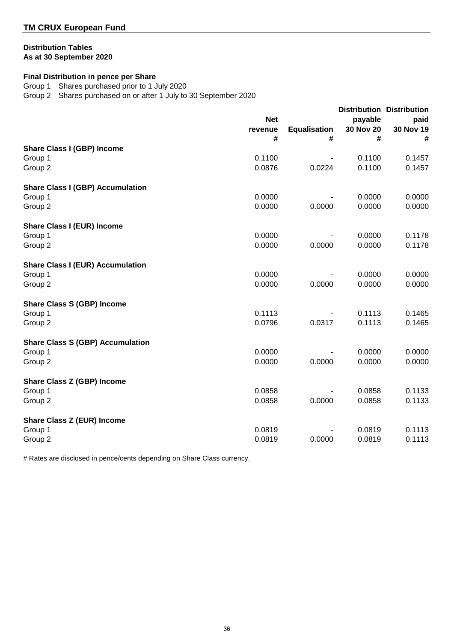## **Distribution Tables As at 30 September 2020**

## **Final Distribution in pence per Share**

Group 1 Shares purchased prior to 1 July 2020

Group 2 Shares purchased on or after 1 July to 30 September 2020

|                                         | <b>Net</b><br>revenue | <b>Equalisation</b> | payable<br><b>30 Nov 20</b> | <b>Distribution Distribution</b><br>paid<br>30 Nov 19 |
|-----------------------------------------|-----------------------|---------------------|-----------------------------|-------------------------------------------------------|
|                                         | #                     | #                   | #                           | #                                                     |
| <b>Share Class I (GBP) Income</b>       | 0.1100                |                     | 0.1100                      | 0.1457                                                |
| Group 1<br>Group 2                      | 0.0876                | 0.0224              | 0.1100                      | 0.1457                                                |
|                                         |                       |                     |                             |                                                       |
| <b>Share Class I (GBP) Accumulation</b> |                       |                     |                             |                                                       |
| Group 1                                 | 0.0000                |                     | 0.0000                      | 0.0000                                                |
| Group 2                                 | 0.0000                | 0.0000              | 0.0000                      | 0.0000                                                |
| <b>Share Class I (EUR) Income</b>       |                       |                     |                             |                                                       |
| Group 1                                 | 0.0000                |                     | 0.0000                      | 0.1178                                                |
| Group 2                                 | 0.0000                | 0.0000              | 0.0000                      | 0.1178                                                |
| <b>Share Class I (EUR) Accumulation</b> |                       |                     |                             |                                                       |
| Group 1                                 | 0.0000                |                     | 0.0000                      | 0.0000                                                |
| Group 2                                 | 0.0000                | 0.0000              | 0.0000                      | 0.0000                                                |
| <b>Share Class S (GBP) Income</b>       |                       |                     |                             |                                                       |
| Group 1                                 | 0.1113                |                     | 0.1113                      | 0.1465                                                |
| Group <sub>2</sub>                      | 0.0796                | 0.0317              | 0.1113                      | 0.1465                                                |
| <b>Share Class S (GBP) Accumulation</b> |                       |                     |                             |                                                       |
| Group 1                                 | 0.0000                |                     | 0.0000                      | 0.0000                                                |
| Group 2                                 | 0.0000                | 0.0000              | 0.0000                      | 0.0000                                                |
| <b>Share Class Z (GBP) Income</b>       |                       |                     |                             |                                                       |
| Group 1                                 | 0.0858                |                     | 0.0858                      | 0.1133                                                |
| Group 2                                 | 0.0858                | 0.0000              | 0.0858                      | 0.1133                                                |
| <b>Share Class Z (EUR) Income</b>       |                       |                     |                             |                                                       |
| Group 1                                 | 0.0819                |                     | 0.0819                      | 0.1113                                                |
| Group 2                                 | 0.0819                | 0.0000              | 0.0819                      | 0.1113                                                |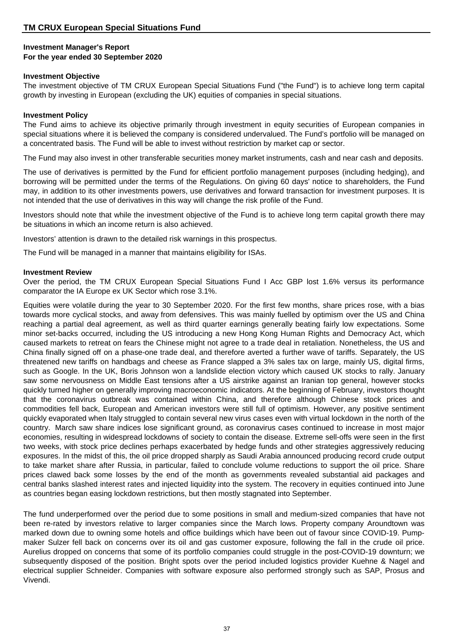#### **Investment Manager's Report For the year ended 30 September 2020**

#### **Investment Objective**

The investment objective of TM CRUX European Special Situations Fund ("the Fund") is to achieve long term capital growth by investing in European (excluding the UK) equities of companies in special situations.

#### **Investment Policy**

The Fund aims to achieve its objective primarily through investment in equity securities of European companies in special situations where it is believed the company is considered undervalued. The Fund's portfolio will be managed on a concentrated basis. The Fund will be able to invest without restriction by market cap or sector.

The Fund may also invest in other transferable securities money market instruments, cash and near cash and deposits.

The use of derivatives is permitted by the Fund for efficient portfolio management purposes (including hedging), and borrowing will be permitted under the terms of the Regulations. On giving 60 days' notice to shareholders, the Fund may, in addition to its other investments powers, use derivatives and forward transaction for investment purposes. It is not intended that the use of derivatives in this way will change the risk profile of the Fund.

Investors should note that while the investment objective of the Fund is to achieve long term capital growth there may be situations in which an income return is also achieved.

Investors' attention is drawn to the detailed risk warnings in this prospectus.

The Fund will be managed in a manner that maintains eligibility for ISAs.

#### **Investment Review**

Over the period, the TM CRUX European Special Situations Fund I Acc GBP lost 1.6% versus its performance comparator the IA Europe ex UK Sector which rose 3.1%.

Equities were volatile during the year to 30 September 2020. For the first few months, share prices rose, with a bias towards more cyclical stocks, and away from defensives. This was mainly fuelled by optimism over the US and China reaching a partial deal agreement, as well as third quarter earnings generally beating fairly low expectations. Some minor set-backs occurred, including the US introducing a new Hong Kong Human Rights and Democracy Act, which caused markets to retreat on fears the Chinese might not agree to a trade deal in retaliation. Nonetheless, the US and China finally signed off on a phase-one trade deal, and therefore averted a further wave of tariffs. Separately, the US threatened new tariffs on handbags and cheese as France slapped a 3% sales tax on large, mainly US, digital firms, such as Google. In the UK, Boris Johnson won a landslide election victory which caused UK stocks to rally. January saw some nervousness on Middle East tensions after a US airstrike against an Iranian top general, however stocks quickly turned higher on generally improving macroeconomic indicators. At the beginning of February, investors thought that the coronavirus outbreak was contained within China, and therefore although Chinese stock prices and commodities fell back, European and American investors were still full of optimism. However, any positive sentiment quickly evaporated when Italy struggled to contain several new virus cases even with virtual lockdown in the north of the country. March saw share indices lose significant ground, as coronavirus cases continued to increase in most major economies, resulting in widespread lockdowns of society to contain the disease. Extreme sell-offs were seen in the first two weeks, with stock price declines perhaps exacerbated by hedge funds and other strategies aggressively reducing exposures. In the midst of this, the oil price dropped sharply as Saudi Arabia announced producing record crude output to take market share after Russia, in particular, failed to conclude volume reductions to support the oil price. Share prices clawed back some losses by the end of the month as governments revealed substantial aid packages and central banks slashed interest rates and injected liquidity into the system. The recovery in equities continued into June as countries began easing lockdown restrictions, but then mostly stagnated into September.

The fund underperformed over the period due to some positions in small and medium-sized companies that have not been re-rated by investors relative to larger companies since the March lows. Property company Aroundtown was marked down due to owning some hotels and office buildings which have been out of favour since COVID-19. Pumpmaker Sulzer fell back on concerns over its oil and gas customer exposure, following the fall in the crude oil price. Aurelius dropped on concerns that some of its portfolio companies could struggle in the post-COVID-19 downturn; we subsequently disposed of the position. Bright spots over the period included logistics provider Kuehne & Nagel and electrical supplier Schneider. Companies with software exposure also performed strongly such as SAP, Prosus and Vivendi.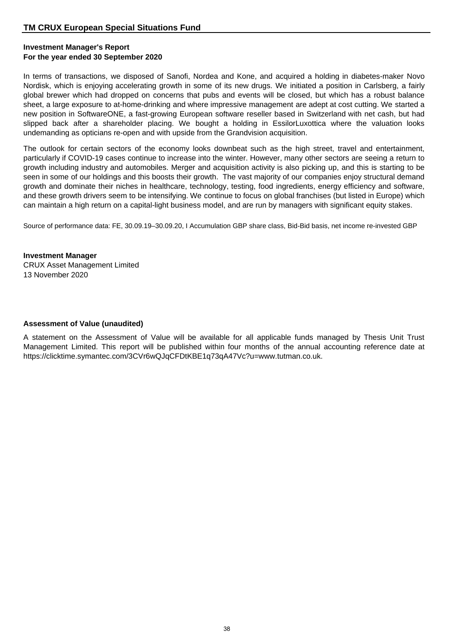## **Investment Manager's Report For the year ended 30 September 2020**

In terms of transactions, we disposed of Sanofi, Nordea and Kone, and acquired a holding in diabetes-maker Novo Nordisk, which is enjoying accelerating growth in some of its new drugs. We initiated a position in Carlsberg, a fairly global brewer which had dropped on concerns that pubs and events will be closed, but which has a robust balance sheet, a large exposure to at-home-drinking and where impressive management are adept at cost cutting. We started a new position in SoftwareONE, a fast-growing European software reseller based in Switzerland with net cash, but had slipped back after a shareholder placing. We bought a holding in EssilorLuxottica where the valuation looks undemanding as opticians re-open and with upside from the Grandvision acquisition.

The outlook for certain sectors of the economy looks downbeat such as the high street, travel and entertainment, particularly if COVID-19 cases continue to increase into the winter. However, many other sectors are seeing a return to growth including industry and automobiles. Merger and acquisition activity is also picking up, and this is starting to be seen in some of our holdings and this boosts their growth. The vast majority of our companies enjoy structural demand growth and dominate their niches in healthcare, technology, testing, food ingredients, energy efficiency and software, and these growth drivers seem to be intensifying. We continue to focus on global franchises (but listed in Europe) which can maintain a high return on a capital-light business model, and are run by managers with significant equity stakes.

Source of performance data: FE, 30.09.19–30.09.20, I Accumulation GBP share class, Bid-Bid basis, net income re-invested GBP

**Investment Manager** CRUX Asset Management Limited 13 November 2020

## **Assessment of Value (unaudited)**

A statement on the Assessment of Value will be available for all applicable funds managed by Thesis Unit Trust Management Limited. This report will be published within four months of the annual accounting reference date at https://clicktime.symantec.com/3CVr6wQJqCFDtKBE1q73qA47Vc?u=www.tutman.co.uk.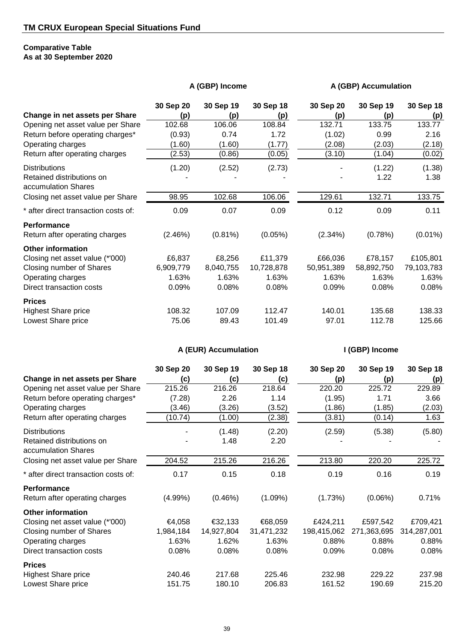## **Comparative Table As at 30 September 2020**

|  | A (GBP) Income |
|--|----------------|
|--|----------------|

**A (GBP) Accumulation** 

|                                                  | 30 Sep 20 | 30 Sep 19  | 30 Sep 18  | 30 Sep 20  | 30 Sep 19  | 30 Sep 18  |
|--------------------------------------------------|-----------|------------|------------|------------|------------|------------|
| Change in net assets per Share                   | (p)       | (p)        | (p)        | (p)        | (p)        | <u>(p)</u> |
| Opening net asset value per Share                | 102.68    | 106.06     | 108.84     | 132.71     | 133.75     | 133.77     |
| Return before operating charges*                 | (0.93)    | 0.74       | 1.72       | (1.02)     | 0.99       | 2.16       |
| Operating charges                                | (1.60)    | (1.60)     | (1.77)     | (2.08)     | (2.03)     | (2.18)     |
| Return after operating charges                   | (2.53)    | (0.86)     | (0.05)     | (3.10)     | (1.04)     | (0.02)     |
| <b>Distributions</b>                             | (1.20)    | (2.52)     | (2.73)     |            | (1.22)     | (1.38)     |
| Retained distributions on<br>accumulation Shares |           |            |            |            | 1.22       | 1.38       |
| Closing net asset value per Share                | 98.95     | 102.68     | 106.06     | 129.61     | 132.71     | 133.75     |
| * after direct transaction costs of:             | 0.09      | 0.07       | 0.09       | 0.12       | 0.09       | 0.11       |
| <b>Performance</b>                               |           |            |            |            |            |            |
| Return after operating charges                   | (2.46%)   | $(0.81\%)$ | $(0.05\%)$ | $(2.34\%)$ | (0.78%)    | $(0.01\%)$ |
| <b>Other information</b>                         |           |            |            |            |            |            |
| Closing net asset value (*'000)                  | £6,837    | £8,256     | £11,379    | £66,036    | £78,157    | £105,801   |
| Closing number of Shares                         | 6,909,779 | 8,040,755  | 10,728,878 | 50,951,389 | 58,892,750 | 79,103,783 |
| Operating charges                                | 1.63%     | 1.63%      | 1.63%      | 1.63%      | 1.63%      | 1.63%      |
| Direct transaction costs                         | 0.09%     | 0.08%      | 0.08%      | 0.09%      | 0.08%      | 0.08%      |
| <b>Prices</b>                                    |           |            |            |            |            |            |
| <b>Highest Share price</b>                       | 108.32    | 107.09     | 112.47     | 140.01     | 135.68     | 138.33     |
| Lowest Share price                               | 75.06     | 89.43      | 101.49     | 97.01      | 112.78     | 125.66     |

**A (EUR) Accumulation I (GBP) Income**

|                                                  | 30 Sep 20  | 30 Sep 19  | 30 Sep 18  | 30 Sep 20   | 30 Sep 19   | 30 Sep 18   |
|--------------------------------------------------|------------|------------|------------|-------------|-------------|-------------|
| Change in net assets per Share                   | (c)        | (c)        | (c)        | (p)         | (p)         | (p)         |
| Opening net asset value per Share                | 215.26     | 216.26     | 218.64     | 220.20      | 225.72      | 229.89      |
| Return before operating charges*                 | (7.28)     | 2.26       | 1.14       | (1.95)      | 1.71        | 3.66        |
| Operating charges                                | (3.46)     | (3.26)     | (3.52)     | (1.86)      | (1.85)      | (2.03)      |
| Return after operating charges                   | (10.74)    | (1.00)     | (2.38)     | (3.81)      | (0.14)      | 1.63        |
| <b>Distributions</b>                             |            | (1.48)     | (2.20)     | (2.59)      | (5.38)      | (5.80)      |
| Retained distributions on<br>accumulation Shares |            | 1.48       | 2.20       |             |             |             |
| Closing net asset value per Share                | 204.52     | 215.26     | 216.26     | 213.80      | 220.20      | 225.72      |
| * after direct transaction costs of:             | 0.17       | 0.15       | 0.18       | 0.19        | 0.16        | 0.19        |
| Performance                                      |            |            |            |             |             |             |
| Return after operating charges                   | $(4.99\%)$ | (0.46%)    | $(1.09\%)$ | (1.73%)     | $(0.06\%)$  | 0.71%       |
| <b>Other information</b>                         |            |            |            |             |             |             |
| Closing net asset value (*'000)                  | €4,058     | €32,133    | €68,059    | £424,211    | £597,542    | £709,421    |
| Closing number of Shares                         | 1,984,184  | 14,927,804 | 31,471,232 | 198,415,062 | 271,363,695 | 314,287,001 |
| Operating charges                                | 1.63%      | 1.62%      | 1.63%      | 0.88%       | 0.88%       | 0.88%       |
| Direct transaction costs                         | 0.08%      | 0.08%      | 0.08%      | 0.09%       | 0.08%       | 0.08%       |
| <b>Prices</b>                                    |            |            |            |             |             |             |
| <b>Highest Share price</b>                       | 240.46     | 217.68     | 225.46     | 232.98      | 229.22      | 237.98      |
| Lowest Share price                               | 151.75     | 180.10     | 206.83     | 161.52      | 190.69      | 215.20      |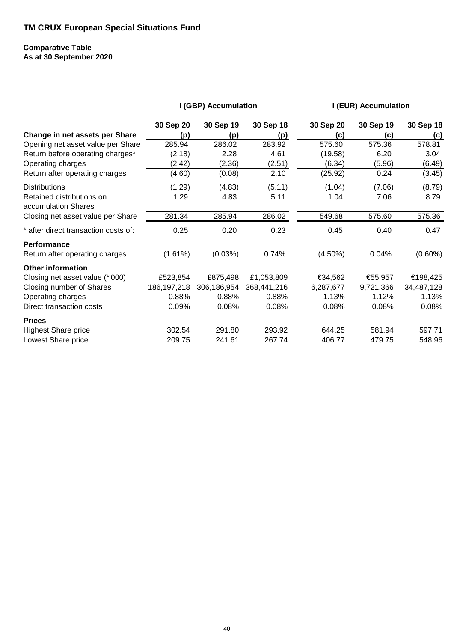## **Comparative Table As at 30 September 2020**

|                                                  | I (GBP) Accumulation |             |             | I (EUR) Accumulation |           |            |
|--------------------------------------------------|----------------------|-------------|-------------|----------------------|-----------|------------|
|                                                  | 30 Sep 20            | 30 Sep 19   | 30 Sep 18   | 30 Sep 20            | 30 Sep 19 | 30 Sep 18  |
| Change in net assets per Share                   | (p)                  | (p)         | <u>(p)</u>  | (c)                  | (c)       | <u>(c)</u> |
| Opening net asset value per Share                | 285.94               | 286.02      | 283.92      | 575.60               | 575.36    | 578.81     |
| Return before operating charges*                 | (2.18)               | 2.28        | 4.61        | (19.58)              | 6.20      | 3.04       |
| Operating charges                                | (2.42)               | (2.36)      | (2.51)      | (6.34)               | (5.96)    | (6.49)     |
| Return after operating charges                   | (4.60)               | (0.08)      | 2.10        | (25.92)              | 0.24      | (3.45)     |
| <b>Distributions</b>                             | (1.29)               | (4.83)      | (5.11)      | (1.04)               | (7.06)    | (8.79)     |
| Retained distributions on<br>accumulation Shares | 1.29                 | 4.83        | 5.11        | 1.04                 | 7.06      | 8.79       |
| Closing net asset value per Share                | 281.34               | 285.94      | 286.02      | 549.68               | 575.60    | 575.36     |
| * after direct transaction costs of:             | 0.25                 | 0.20        | 0.23        | 0.45                 | 0.40      | 0.47       |
| Performance                                      |                      |             |             |                      |           |            |
| Return after operating charges                   | (1.61%)              | (0.03%)     | 0.74%       | $(4.50\%)$           | 0.04%     | $(0.60\%)$ |
| <b>Other information</b>                         |                      |             |             |                      |           |            |
| Closing net asset value (*'000)                  | £523,854             | £875,498    | £1,053,809  | €34,562              | €55,957   | €198,425   |
| Closing number of Shares                         | 186, 197, 218        | 306,186,954 | 368,441,216 | 6,287,677            | 9,721,366 | 34,487,128 |
| Operating charges                                | 0.88%                | 0.88%       | 0.88%       | 1.13%                | 1.12%     | 1.13%      |
| Direct transaction costs                         | 0.09%                | 0.08%       | 0.08%       | 0.08%                | 0.08%     | 0.08%      |
| <b>Prices</b>                                    |                      |             |             |                      |           |            |
| <b>Highest Share price</b>                       | 302.54               | 291.80      | 293.92      | 644.25               | 581.94    | 597.71     |
| Lowest Share price                               | 209.75               | 241.61      | 267.74      | 406.77               | 479.75    | 548.96     |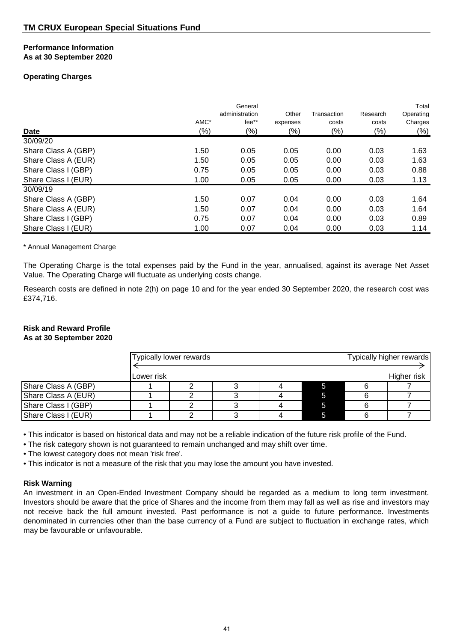#### **Performance Information As at 30 September 2020**

## **Operating Charges**

| <b>Date</b>         | AMC*<br>$(\%)$ | General<br>administration<br>fee**<br>$(\%)$ | Other<br>expenses<br>$(\%)$ | Transaction<br>costs<br>$(\%)$ | Research<br>costs<br>$(\%)$ | Total<br>Operating<br>Charges<br>$(\%)$ |
|---------------------|----------------|----------------------------------------------|-----------------------------|--------------------------------|-----------------------------|-----------------------------------------|
| 30/09/20            |                |                                              |                             |                                |                             |                                         |
| Share Class A (GBP) | 1.50           | 0.05                                         | 0.05                        | 0.00                           | 0.03                        | 1.63                                    |
| Share Class A (EUR) | 1.50           | 0.05                                         | 0.05                        | 0.00                           | 0.03                        | 1.63                                    |
| Share Class I (GBP) | 0.75           | 0.05                                         | 0.05                        | 0.00                           | 0.03                        | 0.88                                    |
| Share Class I (EUR) | 1.00           | 0.05                                         | 0.05                        | 0.00                           | 0.03                        | 1.13                                    |
| 30/09/19            |                |                                              |                             |                                |                             |                                         |
| Share Class A (GBP) | 1.50           | 0.07                                         | 0.04                        | 0.00                           | 0.03                        | 1.64                                    |
| Share Class A (EUR) | 1.50           | 0.07                                         | 0.04                        | 0.00                           | 0.03                        | 1.64                                    |
| Share Class I (GBP) | 0.75           | 0.07                                         | 0.04                        | 0.00                           | 0.03                        | 0.89                                    |
| Share Class I (EUR) | 1.00           | 0.07                                         | 0.04                        | 0.00                           | 0.03                        | 1.14                                    |

\* Annual Management Charge

The Operating Charge is the total expenses paid by the Fund in the year, annualised, against its average Net Asset Value. The Operating Charge will fluctuate as underlying costs change.

Research costs are defined in note 2(h) on page 10 and for the year ended 30 September 2020, the research cost was £374,716.

## **Risk and Reward Profile**

## **As at 30 September 2020**

|                     | Typically lower rewards |  |  |  |  | Typically higher rewards |  |
|---------------------|-------------------------|--|--|--|--|--------------------------|--|
|                     | Lower risk              |  |  |  |  | Higher risk              |  |
| Share Class A (GBP) |                         |  |  |  |  |                          |  |
| Share Class A (EUR) |                         |  |  |  |  |                          |  |
| Share Class I (GBP) |                         |  |  |  |  |                          |  |
| Share Class I (EUR) |                         |  |  |  |  |                          |  |

• This indicator is based on historical data and may not be a reliable indication of the future risk profile of the Fund.

• The risk category shown is not guaranteed to remain unchanged and may shift over time.

• The lowest category does not mean 'risk free'.

• This indicator is not a measure of the risk that you may lose the amount you have invested.

## **Risk Warning**

An investment in an Open-Ended Investment Company should be regarded as a medium to long term investment. Investors should be aware that the price of Shares and the income from them may fall as well as rise and investors may not receive back the full amount invested. Past performance is not a guide to future performance. Investments denominated in currencies other than the base currency of a Fund are subject to fluctuation in exchange rates, which may be favourable or unfavourable.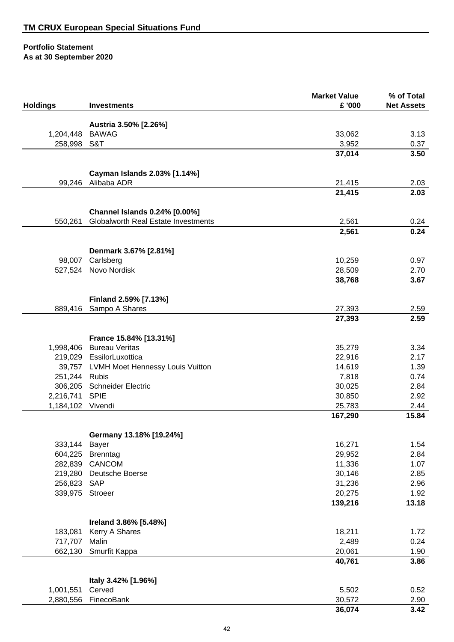|                      |                                         | <b>Market Value</b> | % of Total        |
|----------------------|-----------------------------------------|---------------------|-------------------|
| <b>Holdings</b>      | <b>Investments</b>                      | £ '000              | <b>Net Assets</b> |
|                      |                                         |                     |                   |
|                      | Austria 3.50% [2.26%]<br><b>BAWAG</b>   |                     |                   |
| 1,204,448<br>258,998 | S&T                                     | 33,062<br>3,952     | 3.13<br>0.37      |
|                      |                                         | 37,014              | 3.50              |
|                      |                                         |                     |                   |
|                      | Cayman Islands 2.03% [1.14%]            |                     |                   |
| 99,246               | Alibaba ADR                             | 21,415              | 2.03              |
|                      |                                         | 21,415              | 2.03              |
|                      | Channel Islands 0.24% [0.00%]           |                     |                   |
| 550,261              | Globalworth Real Estate Investments     | 2,561               | 0.24              |
|                      |                                         | 2,561               | 0.24              |
|                      |                                         |                     |                   |
| 98,007               | Denmark 3.67% [2.81%]<br>Carlsberg      | 10,259              | 0.97              |
| 527,524              | Novo Nordisk                            | 28,509              | 2.70              |
|                      |                                         | 38,768              | 3.67              |
|                      |                                         |                     |                   |
|                      | Finland 2.59% [7.13%]                   |                     |                   |
| 889,416              | Sampo A Shares                          | 27,393              | 2.59              |
|                      |                                         | 27,393              | 2.59              |
|                      | France 15.84% [13.31%]                  |                     |                   |
| 1,998,406            | <b>Bureau Veritas</b>                   | 35,279              | 3.34              |
|                      | 219,029 EssilorLuxottica                | 22,916              | 2.17              |
| 39,757               | <b>LVMH Moet Hennessy Louis Vuitton</b> | 14,619              | 1.39              |
| 251,244              | <b>Rubis</b>                            | 7,818               | 0.74              |
| 306,205              | <b>Schneider Electric</b>               | 30,025              | 2.84              |
| 2,216,741            | <b>SPIE</b>                             | 30,850              | 2.92              |
| 1,184,102 Vivendi    |                                         | 25,783<br>167,290   | 2.44<br>15.84     |
|                      |                                         |                     |                   |
|                      | Germany 13.18% [19.24%]                 |                     |                   |
| 333,144              | Bayer                                   | 16,271              | 1.54              |
| 604,225              | Brenntag                                | 29,952              | 2.84              |
| 282,839              | CANCOM                                  | 11,336              | 1.07              |
| 219,280              | Deutsche Boerse                         | 30,146              | 2.85              |
| 256,823<br>339,975   | <b>SAP</b>                              | 31,236              | 2.96              |
|                      | Stroeer                                 | 20,275<br>139,216   | 1.92<br>13.18     |
|                      |                                         |                     |                   |
|                      | Ireland 3.86% [5.48%]                   |                     |                   |
| 183,081              | Kerry A Shares                          | 18,211              | 1.72              |
| 717,707              | Malin                                   | 2,489               | 0.24              |
| 662,130              | Smurfit Kappa                           | 20,061              | 1.90              |
|                      |                                         | 40,761              | 3.86              |
|                      | Italy 3.42% [1.96%]                     |                     |                   |
| 1,001,551            | Cerved                                  | 5,502               | 0.52              |
| 2,880,556            | FinecoBank                              | 30,572              | 2.90              |
|                      |                                         | 36,074              | 3.42              |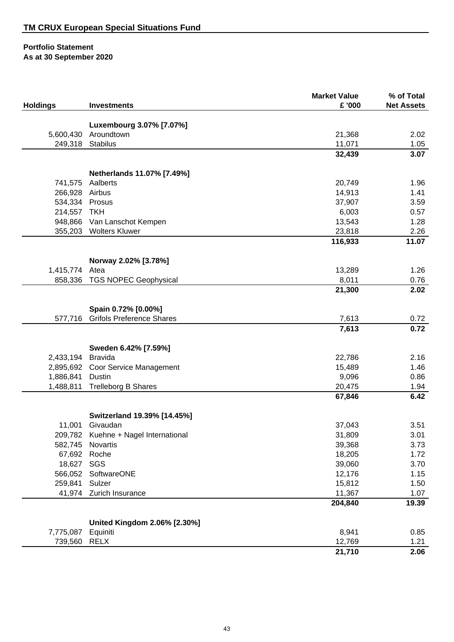|                      |                                      | <b>Market Value</b> | % of Total        |
|----------------------|--------------------------------------|---------------------|-------------------|
| <b>Holdings</b>      | <b>Investments</b>                   | £ '000              | <b>Net Assets</b> |
|                      |                                      |                     |                   |
|                      | Luxembourg 3.07% [7.07%]             |                     |                   |
| 5,600,430<br>249,318 | Aroundtown                           | 21,368              | 2.02<br>1.05      |
|                      | Stabilus                             | 11,071<br>32,439    | 3.07              |
|                      |                                      |                     |                   |
|                      | Netherlands 11.07% [7.49%]           |                     |                   |
| 741,575              | Aalberts                             | 20,749              | 1.96              |
| 266,928              | Airbus                               | 14,913              | 1.41              |
| 534,334              | Prosus                               | 37,907              | 3.59              |
| 214,557              | <b>TKH</b>                           | 6,003               | 0.57              |
| 948,866              | Van Lanschot Kempen                  | 13,543              | 1.28              |
| 355,203              | <b>Wolters Kluwer</b>                | 23,818              | 2.26              |
|                      |                                      | 116,933             | 11.07             |
|                      | Norway 2.02% [3.78%]                 |                     |                   |
| 1,415,774            | Atea                                 | 13,289              | 1.26              |
| 858,336              | <b>TGS NOPEC Geophysical</b>         | 8,011               | 0.76              |
|                      |                                      | 21,300              | 2.02              |
|                      |                                      |                     |                   |
|                      | Spain 0.72% [0.00%]                  |                     |                   |
| 577,716              | <b>Grifols Preference Shares</b>     | 7,613               | 0.72              |
|                      |                                      | 7,613               | 0.72              |
|                      | Sweden 6.42% [7.59%]                 |                     |                   |
| 2,433,194            | <b>Bravida</b>                       | 22,786              | 2.16              |
| 2,895,692            | Coor Service Management              | 15,489              | 1.46              |
| 1,886,841            | Dustin                               | 9,096               | 0.86              |
| 1,488,811            | <b>Trelleborg B Shares</b>           | 20,475              | 1.94              |
|                      |                                      | 67,846              | 6.42              |
|                      | Switzerland 19.39% [14.45%]          |                     |                   |
| 11,001               | Givaudan                             | 37,043              | 3.51              |
|                      | 209,782 Kuehne + Nagel International | 31,809              | 3.01              |
| 582,745              | Novartis                             | 39,368              | 3.73              |
| 67,692               | Roche                                | 18,205              | 1.72              |
| 18,627               | SGS                                  | 39,060              | 3.70              |
| 566,052              | SoftwareONE                          | 12,176              | 1.15              |
| 259,841              | Sulzer                               | 15,812              | 1.50              |
| 41,974               | Zurich Insurance                     | 11,367              | 1.07              |
|                      |                                      | 204,840             | 19.39             |
|                      | United Kingdom 2.06% [2.30%]         |                     |                   |
| 7,775,087            | Equiniti                             | 8,941               | 0.85              |
| 739,560              | <b>RELX</b>                          | 12,769              | 1.21              |
|                      |                                      | 21,710              | 2.06              |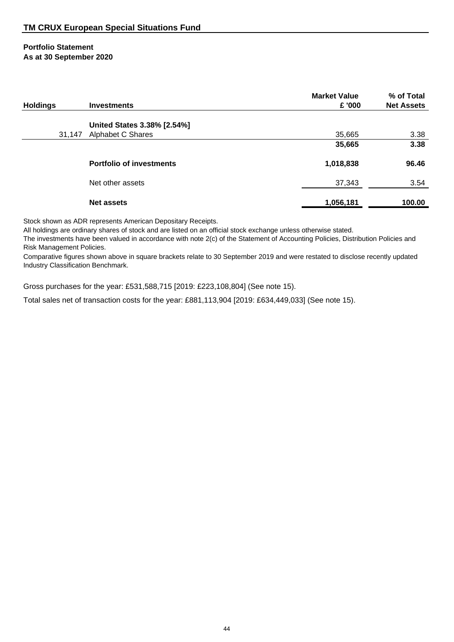| <b>Holdings</b> | <b>Investments</b>                               | <b>Market Value</b><br>£ '000 | % of Total<br><b>Net Assets</b> |
|-----------------|--------------------------------------------------|-------------------------------|---------------------------------|
| 31,147          | United States 3.38% [2.54%]<br>Alphabet C Shares | 35,665                        | 3.38                            |
|                 |                                                  | 35,665                        | 3.38                            |
|                 | <b>Portfolio of investments</b>                  | 1,018,838                     | 96.46                           |
|                 | Net other assets                                 | 37,343                        | 3.54                            |
|                 | <b>Net assets</b>                                | 1,056,181                     | 100.00                          |

Stock shown as ADR represents American Depositary Receipts.

All holdings are ordinary shares of stock and are listed on an official stock exchange unless otherwise stated.

The investments have been valued in accordance with note 2(c) of the Statement of Accounting Policies, Distribution Policies and Risk Management Policies.

Comparative figures shown above in square brackets relate to 30 September 2019 and were restated to disclose recently updated Industry Classification Benchmark.

Gross purchases for the year: £531,588,715 [2019: £223,108,804] (See note 15).

Total sales net of transaction costs for the year: £881,113,904 [2019: £634,449,033] (See note 15).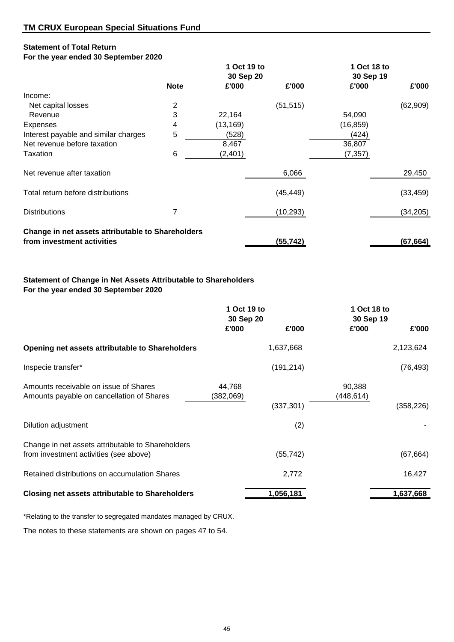## **Statement of Total Return**

## **For the year ended 30 September 2020**

|                                                   |                | 1 Oct 19 to |           | 1 Oct 18 to |           |
|---------------------------------------------------|----------------|-------------|-----------|-------------|-----------|
|                                                   |                | 30 Sep 20   |           | 30 Sep 19   |           |
|                                                   | <b>Note</b>    | £'000       | £'000     | £'000       | £'000     |
| Income:                                           |                |             |           |             |           |
| Net capital losses                                | 2              |             | (51, 515) |             | (62, 909) |
| Revenue                                           | 3              | 22,164      |           | 54,090      |           |
| <b>Expenses</b>                                   | 4              | (13, 169)   |           | (16, 859)   |           |
| Interest payable and similar charges              | $\overline{5}$ | (528)       |           | (424)       |           |
| Net revenue before taxation                       |                | 8,467       |           | 36,807      |           |
| Taxation                                          | 6              | (2,401)     |           | (7, 357)    |           |
| Net revenue after taxation                        |                |             | 6,066     |             | 29,450    |
| Total return before distributions                 |                |             | (45, 449) |             | (33, 459) |
| <b>Distributions</b>                              |                |             | (10, 293) |             | (34, 205) |
| Change in net assets attributable to Shareholders |                |             |           |             |           |
| from investment activities                        |                |             | (55, 742) |             | (67, 664) |

## **Statement of Change in Net Assets Attributable to Shareholders For the year ended 30 September 2020**

|                                                                                             | 1 Oct 19 to<br>30 Sep 20 | 1 Oct 18 to<br>30 Sep 19 |
|---------------------------------------------------------------------------------------------|--------------------------|--------------------------|
|                                                                                             | £'000<br>£'000           | £'000<br>£'000           |
| Opening net assets attributable to Shareholders                                             | 1,637,668                | 2,123,624                |
| Inspecie transfer*                                                                          | (191, 214)               | (76, 493)                |
| Amounts receivable on issue of Shares<br>Amounts payable on cancellation of Shares          | 44,768<br>(382,069)      | 90,388<br>(448, 614)     |
|                                                                                             | (337, 301)               | (358, 226)               |
| Dilution adjustment                                                                         | (2)                      |                          |
| Change in net assets attributable to Shareholders<br>from investment activities (see above) | (55, 742)                | (67, 664)                |
| Retained distributions on accumulation Shares                                               | 2,772                    | 16,427                   |
| <b>Closing net assets attributable to Shareholders</b>                                      | 1,056,181                | 1,637,668                |

\*Relating to the transfer to segregated mandates managed by CRUX.

The notes to these statements are shown on pages 47 to 54.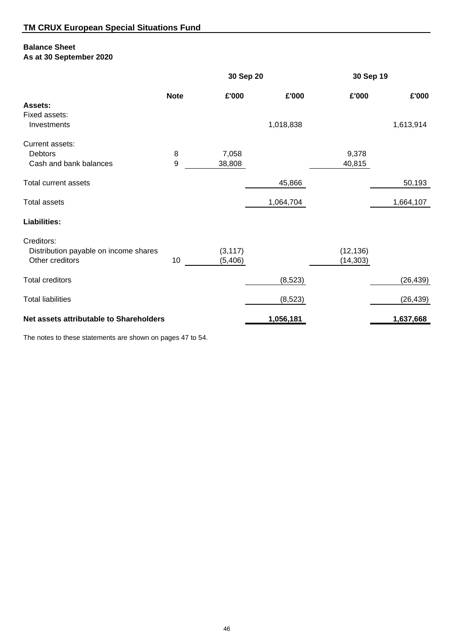## **Balance Sheet**

**As at 30 September 2020**

|                                         |             | 30 Sep 20 |           |           | 30 Sep 19 |  |
|-----------------------------------------|-------------|-----------|-----------|-----------|-----------|--|
|                                         | <b>Note</b> | £'000     | £'000     | £'000     | £'000     |  |
| Assets:                                 |             |           |           |           |           |  |
| Fixed assets:                           |             |           |           |           |           |  |
| Investments                             |             |           | 1,018,838 |           | 1,613,914 |  |
| Current assets:                         |             |           |           |           |           |  |
| Debtors                                 | 8           | 7,058     |           | 9,378     |           |  |
| Cash and bank balances                  | 9           | 38,808    |           | 40,815    |           |  |
| Total current assets                    |             |           | 45,866    |           | 50,193    |  |
| <b>Total assets</b>                     |             |           | 1,064,704 |           | 1,664,107 |  |
|                                         |             |           |           |           |           |  |
| <b>Liabilities:</b>                     |             |           |           |           |           |  |
| Creditors:                              |             |           |           |           |           |  |
| Distribution payable on income shares   |             | (3, 117)  |           | (12, 136) |           |  |
| Other creditors                         | 10          | (5,406)   |           | (14, 303) |           |  |
| <b>Total creditors</b>                  |             |           | (8,523)   |           | (26, 439) |  |
| <b>Total liabilities</b>                |             |           |           |           |           |  |
|                                         |             |           | (8,523)   |           | (26, 439) |  |
| Net assets attributable to Shareholders |             |           | 1,056,181 |           | 1,637,668 |  |

The notes to these statements are shown on pages 47 to 54.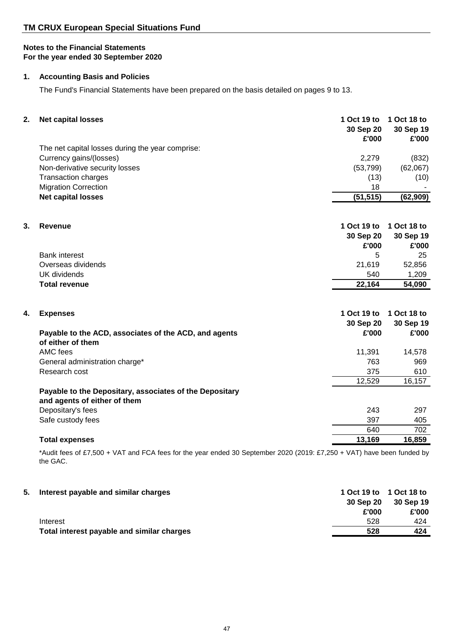## **1. Accounting Basis and Policies**

The Fund's Financial Statements have been prepared on the basis detailed on pages 9 to 13.

| 2. | <b>Net capital losses</b>                                                               | 1 Oct 19 to<br>30 Sep 20<br>£'000 | 1 Oct 18 to<br>30 Sep 19<br>£'000 |
|----|-----------------------------------------------------------------------------------------|-----------------------------------|-----------------------------------|
|    | The net capital losses during the year comprise:                                        |                                   |                                   |
|    | Currency gains/(losses)                                                                 | 2,279                             | (832)                             |
|    | Non-derivative security losses                                                          | (53, 799)                         | (62,067)                          |
|    | <b>Transaction charges</b>                                                              | (13)                              | (10)                              |
|    | <b>Migration Correction</b>                                                             | 18                                |                                   |
|    | <b>Net capital losses</b>                                                               | (51, 515)                         | (62, 909)                         |
|    |                                                                                         |                                   |                                   |
| 3. | <b>Revenue</b>                                                                          | 1 Oct 19 to                       | 1 Oct 18 to                       |
|    |                                                                                         | 30 Sep 20                         | 30 Sep 19                         |
|    |                                                                                         | £'000                             | £'000                             |
|    | <b>Bank interest</b>                                                                    | 5                                 | 25                                |
|    | Overseas dividends                                                                      | 21,619                            | 52,856                            |
|    | <b>UK</b> dividends                                                                     | 540                               | 1,209                             |
|    | <b>Total revenue</b>                                                                    | 22,164                            | 54,090                            |
|    |                                                                                         |                                   |                                   |
| 4. | <b>Expenses</b>                                                                         | 1 Oct 19 to                       | 1 Oct 18 to                       |
|    |                                                                                         | 30 Sep 20                         | 30 Sep 19                         |
|    | Payable to the ACD, associates of the ACD, and agents<br>of either of them              | £'000                             | £'000                             |
|    | AMC fees                                                                                | 11,391                            | 14,578                            |
|    | General administration charge*                                                          | 763                               | 969                               |
|    | Research cost                                                                           | 375                               | 610                               |
|    |                                                                                         | 12,529                            | 16,157                            |
|    | Payable to the Depositary, associates of the Depositary<br>and agents of either of them |                                   |                                   |
|    | Depositary's fees                                                                       | 243                               | 297                               |
|    | Safe custody fees                                                                       | 397                               | 405                               |
|    |                                                                                         | 640                               | 702                               |
|    | <b>Total expenses</b>                                                                   | 13,169                            | 16,859                            |
|    |                                                                                         |                                   |                                   |

\*Audit fees of £7,500 + VAT and FCA fees for the year ended 30 September 2020 (2019: £7,250 + VAT) have been funded by the GAC.

| 5. | Interest payable and similar charges       |           | 1 Oct 19 to 1 Oct 18 to |
|----|--------------------------------------------|-----------|-------------------------|
|    |                                            | 30 Sep 20 | 30 Sep 19               |
|    |                                            | £'000     | £'000                   |
|    | Interest                                   | 528       | 424                     |
|    | Total interest payable and similar charges | 528       | 424                     |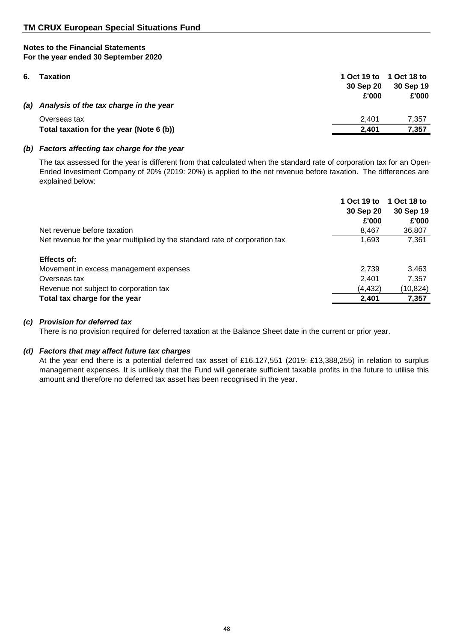# **Notes to the Financial Statements**

## **For the year ended 30 September 2020**

| 6.  | Taxation                                 | 30 Sep 20<br>£'000 | 1 Oct 19 to 1 Oct 18 to<br>30 Sep 19<br>£'000 |
|-----|------------------------------------------|--------------------|-----------------------------------------------|
| (a) | Analysis of the tax charge in the year   |                    |                                               |
|     | Overseas tax                             | 2.401              | 7.357                                         |
|     | Total taxation for the year (Note 6 (b)) | 2.401              | 7.357                                         |

## *(b) Factors affecting tax charge for the year*

The tax assessed for the year is different from that calculated when the standard rate of corporation tax for an Open-Ended Investment Company of 20% (2019: 20%) is applied to the net revenue before taxation. The differences are explained below:

|                                                                             | 1 Oct 19 to | 1 Oct 18 to |
|-----------------------------------------------------------------------------|-------------|-------------|
|                                                                             | 30 Sep 20   | 30 Sep 19   |
|                                                                             | £'000       | £'000       |
| Net revenue before taxation                                                 | 8,467       | 36,807      |
| Net revenue for the year multiplied by the standard rate of corporation tax | 1,693       | 7,361       |
| Effects of:                                                                 |             |             |
| Movement in excess management expenses                                      | 2.739       | 3,463       |
| Overseas tax                                                                | 2.401       | 7,357       |
| Revenue not subject to corporation tax                                      | (4, 432)    | (10, 824)   |
| Total tax charge for the year                                               | 2,401       | 7,357       |

## *(c) Provision for deferred tax*

There is no provision required for deferred taxation at the Balance Sheet date in the current or prior year.

## *(d) Factors that may affect future tax charges*

At the year end there is a potential deferred tax asset of £16,127,551 (2019: £13,388,255) in relation to surplus management expenses. It is unlikely that the Fund will generate sufficient taxable profits in the future to utilise this amount and therefore no deferred tax asset has been recognised in the year.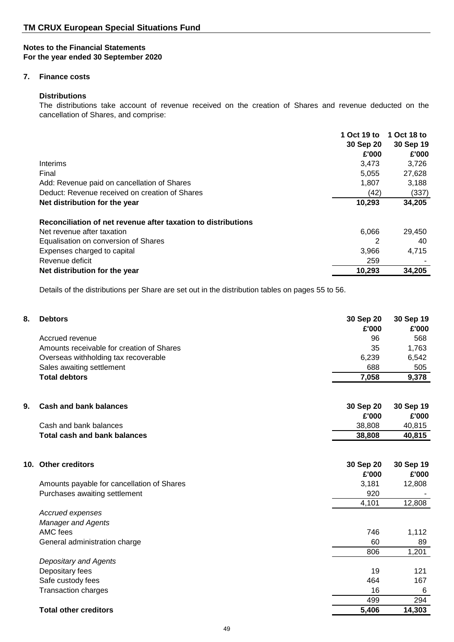## **7. Finance costs**

#### **Distributions**

The distributions take account of revenue received on the creation of Shares and revenue deducted on the cancellation of Shares, and comprise:

|                                                               | 1 Oct 19 to | 1 Oct 18 to |
|---------------------------------------------------------------|-------------|-------------|
|                                                               | 30 Sep 20   | 30 Sep 19   |
|                                                               | £'000       | £'000       |
| Interims                                                      | 3,473       | 3,726       |
| Final                                                         | 5,055       | 27,628      |
| Add: Revenue paid on cancellation of Shares                   | 1,807       | 3,188       |
| Deduct: Revenue received on creation of Shares                | (42)        | (337)       |
| Net distribution for the year                                 | 10,293      | 34,205      |
| Reconciliation of net revenue after taxation to distributions |             |             |
| Net revenue after taxation                                    | 6.066       | 29,450      |
| Equalisation on conversion of Shares                          | 2           | 40          |
| Expenses charged to capital                                   | 3.966       | 4,715       |
| Revenue deficit                                               | 259         |             |
| Net distribution for the year                                 | 10,293      | 34,205      |

Details of the distributions per Share are set out in the distribution tables on pages 55 to 56.

| 8. | <b>Debtors</b>                             | 30 Sep 20<br>£'000 | 30 Sep 19<br>£'000 |
|----|--------------------------------------------|--------------------|--------------------|
|    | Accrued revenue                            | 96                 | 568                |
|    | Amounts receivable for creation of Shares  | 35                 | 1,763              |
|    | Overseas withholding tax recoverable       | 6,239              | 6,542              |
|    | Sales awaiting settlement                  | 688                | 505                |
|    | <b>Total debtors</b>                       | 7,058              | 9,378              |
| 9. | <b>Cash and bank balances</b>              | 30 Sep 20          | 30 Sep 19          |
|    |                                            | £'000              | £'000              |
|    | Cash and bank balances                     | 38,808             | 40,815             |
|    | <b>Total cash and bank balances</b>        | 38,808             | 40,815             |
|    | 10. Other creditors                        | 30 Sep 20<br>£'000 | 30 Sep 19<br>£'000 |
|    | Amounts payable for cancellation of Shares | 3,181              | 12,808             |
|    | Purchases awaiting settlement              | 920                |                    |
|    |                                            | 4,101              | 12,808             |
|    | Accrued expenses                           |                    |                    |
|    | <b>Manager and Agents</b>                  |                    |                    |
|    | AMC fees                                   | 746                | 1,112              |
|    | General administration charge              | 60                 | 89                 |
|    |                                            | 806                | 1,201              |
|    | <b>Depositary and Agents</b>               |                    |                    |
|    | Depositary fees                            | 19                 | 121                |
|    | Safe custody fees                          | 464                | 167                |
|    | <b>Transaction charges</b>                 | 16                 | 6                  |
|    |                                            | 499                | 294                |
|    | <b>Total other creditors</b>               | 5,406              | 14,303             |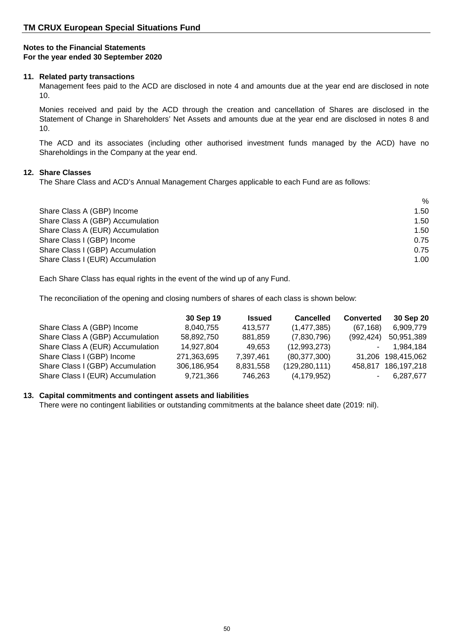#### **11. Related party transactions**

Management fees paid to the ACD are disclosed in note 4 and amounts due at the year end are disclosed in note 10.

Monies received and paid by the ACD through the creation and cancellation of Shares are disclosed in the Statement of Change in Shareholders' Net Assets and amounts due at the year end are disclosed in notes 8 and 10.

The ACD and its associates (including other authorised investment funds managed by the ACD) have no Shareholdings in the Company at the year end.

#### **12. Share Classes**

The Share Class and ACD's Annual Management Charges applicable to each Fund are as follows:

|                                  | %    |
|----------------------------------|------|
| Share Class A (GBP) Income       | 1.50 |
| Share Class A (GBP) Accumulation | 1.50 |
| Share Class A (EUR) Accumulation | 1.50 |
| Share Class I (GBP) Income       | 0.75 |
| Share Class I (GBP) Accumulation | 0.75 |
| Share Class I (EUR) Accumulation | 1.00 |

Each Share Class has equal rights in the event of the wind up of any Fund.

The reconciliation of the opening and closing numbers of shares of each class is shown below:

|                                  | 30 Sep 19   | <b>Issued</b> | <b>Cancelled</b> | <b>Converted</b> | 30 Sep 20           |
|----------------------------------|-------------|---------------|------------------|------------------|---------------------|
| Share Class A (GBP) Income       | 8,040,755   | 413.577       | (1, 477, 385)    | (67, 168)        | 6,909,779           |
| Share Class A (GBP) Accumulation | 58,892,750  | 881,859       | (7,830,796)      | (992, 424)       | 50,951,389          |
| Share Class A (EUR) Accumulation | 14,927,804  | 49.653        | (12,993,273)     |                  | 1.984.184           |
| Share Class I (GBP) Income       | 271,363,695 | 7,397,461     | (80, 377, 300)   |                  | 31,206 198,415,062  |
| Share Class I (GBP) Accumulation | 306,186,954 | 8,831,558     | (129, 280, 111)  |                  | 458,817 186,197,218 |
| Share Class I (EUR) Accumulation | 9,721,366   | 746,263       | (4, 179, 952)    |                  | 6,287,677           |

## **13. Capital commitments and contingent assets and liabilities**

There were no contingent liabilities or outstanding commitments at the balance sheet date (2019: nil).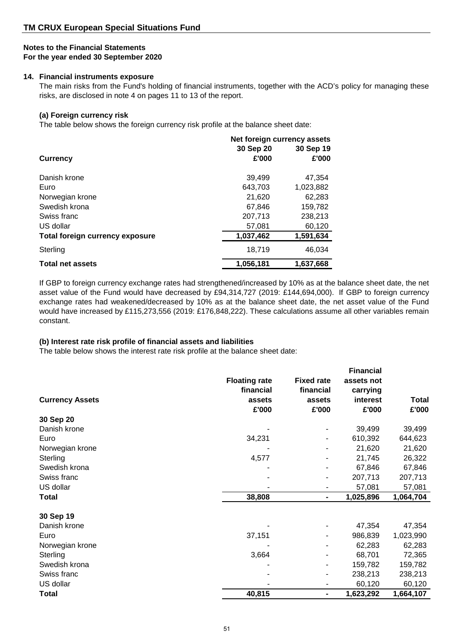## **Notes to the Financial Statements**

#### **For the year ended 30 September 2020**

#### **14. Financial instruments exposure**

The main risks from the Fund's holding of financial instruments, together with the ACD's policy for managing these risks, are disclosed in note 4 on pages 11 to 13 of the report.

## **(a) Foreign currency risk**

The table below shows the foreign currency risk profile at the balance sheet date:

|                                        | Net foreign currency assets |           |
|----------------------------------------|-----------------------------|-----------|
|                                        | 30 Sep 20                   | 30 Sep 19 |
| <b>Currency</b>                        | £'000                       | £'000     |
| Danish krone                           | 39,499                      | 47.354    |
| Euro                                   | 643,703                     | 1,023,882 |
| Norwegian krone                        | 21.620                      | 62,283    |
| Swedish krona                          | 67,846                      | 159,782   |
| Swiss franc                            | 207,713                     | 238,213   |
| US dollar                              | 57,081                      | 60,120    |
| <b>Total foreign currency exposure</b> | 1,037,462                   | 1,591,634 |
| Sterling                               | 18,719                      | 46.034    |
| <b>Total net assets</b>                | 1,056,181                   | 1,637,668 |

If GBP to foreign currency exchange rates had strengthened/increased by 10% as at the balance sheet date, the net asset value of the Fund would have decreased by £94,314,727 (2019: £144,694,000). If GBP to foreign currency exchange rates had weakened/decreased by 10% as at the balance sheet date, the net asset value of the Fund would have increased by £115,273,556 (2019: £176,848,222). These calculations assume all other variables remain constant.

## **(b) Interest rate risk profile of financial assets and liabilities**

The table below shows the interest rate risk profile at the balance sheet date:

| 30 Sep 20<br>Danish krone<br>39,499<br>34,231<br>610,392<br>Euro<br>Norwegian krone<br>21,620<br>4,577<br>Sterling<br>21,745<br>Swedish krona<br>67,846<br>Swiss franc<br>207,713<br>US dollar<br>57,081<br>38,808<br>1,025,896<br>Total<br>۰<br>30 Sep 19<br>Danish krone<br>47,354<br>Euro<br>37,151<br>986,839<br>1,023,990<br>62,283<br>Norwegian krone<br>3,664<br>Sterling<br>68,701<br>Swedish krona<br>159,782<br>238,213<br>Swiss franc<br>US dollar<br>60,120 | <b>Currency Assets</b> | <b>Floating rate</b><br>financial<br>assets<br>£'000 | <b>Fixed rate</b><br>financial<br>assets<br>£'000 | <b>Financial</b><br>assets not<br>carrying<br>interest<br>£'000 | Total<br>£'000 |
|-------------------------------------------------------------------------------------------------------------------------------------------------------------------------------------------------------------------------------------------------------------------------------------------------------------------------------------------------------------------------------------------------------------------------------------------------------------------------|------------------------|------------------------------------------------------|---------------------------------------------------|-----------------------------------------------------------------|----------------|
|                                                                                                                                                                                                                                                                                                                                                                                                                                                                         |                        |                                                      |                                                   |                                                                 |                |
|                                                                                                                                                                                                                                                                                                                                                                                                                                                                         |                        |                                                      |                                                   |                                                                 | 39,499         |
|                                                                                                                                                                                                                                                                                                                                                                                                                                                                         |                        |                                                      |                                                   |                                                                 | 644,623        |
|                                                                                                                                                                                                                                                                                                                                                                                                                                                                         |                        |                                                      |                                                   |                                                                 | 21,620         |
|                                                                                                                                                                                                                                                                                                                                                                                                                                                                         |                        |                                                      |                                                   |                                                                 | 26,322         |
|                                                                                                                                                                                                                                                                                                                                                                                                                                                                         |                        |                                                      |                                                   |                                                                 | 67,846         |
|                                                                                                                                                                                                                                                                                                                                                                                                                                                                         |                        |                                                      |                                                   |                                                                 | 207,713        |
|                                                                                                                                                                                                                                                                                                                                                                                                                                                                         |                        |                                                      |                                                   |                                                                 | 57,081         |
|                                                                                                                                                                                                                                                                                                                                                                                                                                                                         |                        |                                                      |                                                   |                                                                 | 1,064,704      |
|                                                                                                                                                                                                                                                                                                                                                                                                                                                                         |                        |                                                      |                                                   |                                                                 |                |
|                                                                                                                                                                                                                                                                                                                                                                                                                                                                         |                        |                                                      |                                                   |                                                                 | 47,354         |
|                                                                                                                                                                                                                                                                                                                                                                                                                                                                         |                        |                                                      |                                                   |                                                                 |                |
|                                                                                                                                                                                                                                                                                                                                                                                                                                                                         |                        |                                                      |                                                   |                                                                 | 62,283         |
|                                                                                                                                                                                                                                                                                                                                                                                                                                                                         |                        |                                                      |                                                   |                                                                 | 72,365         |
|                                                                                                                                                                                                                                                                                                                                                                                                                                                                         |                        |                                                      |                                                   |                                                                 | 159,782        |
|                                                                                                                                                                                                                                                                                                                                                                                                                                                                         |                        |                                                      |                                                   |                                                                 | 238,213        |
|                                                                                                                                                                                                                                                                                                                                                                                                                                                                         |                        |                                                      |                                                   |                                                                 | 60,120         |
|                                                                                                                                                                                                                                                                                                                                                                                                                                                                         | Total                  | 40,815                                               | ۰                                                 | 1,623,292                                                       | 1,664,107      |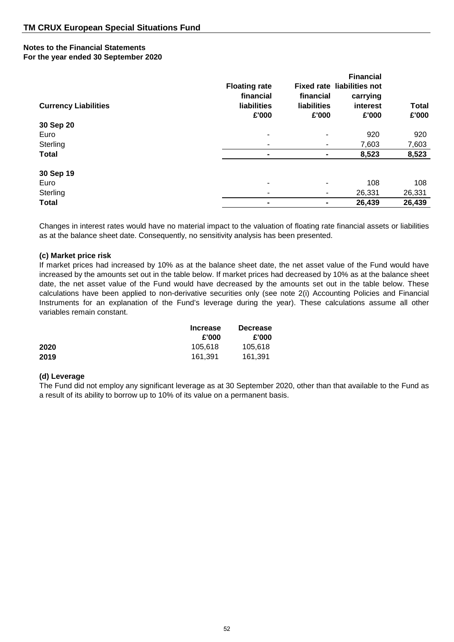## **Notes to the Financial Statements**

## **For the year ended 30 September 2020**

| <b>Currency Liabilities</b> | <b>Floating rate</b><br>financial<br>liabilities<br>£'000 | financial<br>liabilities<br>£'000 | <b>Financial</b><br><b>Fixed rate liabilities not</b><br>carrying<br>interest<br>£'000 | <b>Total</b><br>£'000 |
|-----------------------------|-----------------------------------------------------------|-----------------------------------|----------------------------------------------------------------------------------------|-----------------------|
| 30 Sep 20                   |                                                           |                                   |                                                                                        |                       |
| Euro                        |                                                           | -                                 | 920                                                                                    | 920                   |
| Sterling                    |                                                           |                                   | 7,603                                                                                  | 7,603                 |
| <b>Total</b>                | $\blacksquare$                                            |                                   | 8,523                                                                                  | 8,523                 |
| 30 Sep 19                   |                                                           |                                   |                                                                                        |                       |
| Euro                        |                                                           | $\blacksquare$                    | 108                                                                                    | 108                   |
| Sterling                    |                                                           | ۰.                                | 26,331                                                                                 | 26,331                |
| <b>Total</b>                |                                                           |                                   | 26,439                                                                                 | 26,439                |

Changes in interest rates would have no material impact to the valuation of floating rate financial assets or liabilities as at the balance sheet date. Consequently, no sensitivity analysis has been presented.

## **(c) Market price risk**

If market prices had increased by 10% as at the balance sheet date, the net asset value of the Fund would have increased by the amounts set out in the table below. If market prices had decreased by 10% as at the balance sheet date, the net asset value of the Fund would have decreased by the amounts set out in the table below. These calculations have been applied to non-derivative securities only (see note 2(i) Accounting Policies and Financial Instruments for an explanation of the Fund's leverage during the year). These calculations assume all other variables remain constant.

|      | <b>Increase</b> | <b>Decrease</b> |
|------|-----------------|-----------------|
|      | £'000           | £'000           |
| 2020 | 105.618         | 105.618         |
| 2019 | 161,391         | 161.391         |

#### **(d) Leverage**

The Fund did not employ any significant leverage as at 30 September 2020, other than that available to the Fund as a result of its ability to borrow up to 10% of its value on a permanent basis.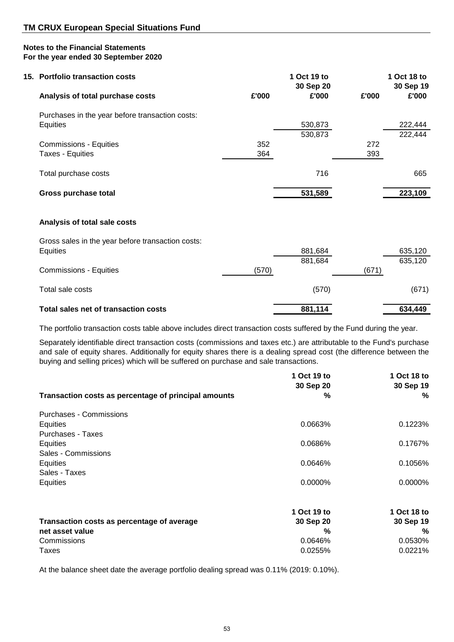| 15. Portfolio transaction costs                   |       | 1 Oct 19 to<br>30 Sep 20 |       | 1 Oct 18 to<br>30 Sep 19 |
|---------------------------------------------------|-------|--------------------------|-------|--------------------------|
| Analysis of total purchase costs                  | £'000 | £'000                    | £'000 | £'000                    |
| Purchases in the year before transaction costs:   |       |                          |       |                          |
| <b>Equities</b>                                   |       | 530,873                  |       | 222,444                  |
|                                                   |       | 530,873                  |       | 222,444                  |
| <b>Commissions - Equities</b>                     | 352   |                          | 272   |                          |
| Taxes - Equities                                  | 364   |                          | 393   |                          |
|                                                   |       |                          |       |                          |
| Total purchase costs                              |       | 716                      |       | 665                      |
|                                                   |       |                          |       |                          |
| Gross purchase total                              |       | 531,589                  |       | 223,109                  |
|                                                   |       |                          |       |                          |
| Analysis of total sale costs                      |       |                          |       |                          |
| Gross sales in the year before transaction costs: |       |                          |       |                          |
| <b>Equities</b>                                   |       | 881,684                  |       | 635,120                  |
|                                                   |       | 881,684                  |       | 635,120                  |
| <b>Commissions - Equities</b>                     | (570) |                          | (671) |                          |
| Total sale costs                                  |       | (570)                    |       | (671)                    |
|                                                   |       |                          |       |                          |

Total sales net of transaction costs **881,114** 634,449

The portfolio transaction costs table above includes direct transaction costs suffered by the Fund during the year.

Separately identifiable direct transaction costs (commissions and taxes etc.) are attributable to the Fund's purchase and sale of equity shares. Additionally for equity shares there is a dealing spread cost (the difference between the buying and selling prices) which will be suffered on purchase and sale transactions.

|                                                      | 1 Oct 19 to<br>30 Sep 20 | 1 Oct 18 to<br>30 Sep 19 |
|------------------------------------------------------|--------------------------|--------------------------|
| Transaction costs as percentage of principal amounts | %                        | %                        |
| Purchases - Commissions                              |                          |                          |
| Equities                                             | 0.0663%                  | 0.1223%                  |
| Purchases - Taxes                                    |                          |                          |
| Equities                                             | 0.0686%                  | 0.1767%                  |
| Sales - Commissions                                  |                          |                          |
| Equities                                             | 0.0646%                  | 0.1056%                  |
| Sales - Taxes                                        |                          |                          |
| Equities                                             | $0.0000\%$               | 0.0000%                  |
|                                                      | 1 Oct 19 to              | 1 Oct 18 to              |
| Transaction costs as percentage of average           | 30 Sep 20                | 30 Sep 19                |
| net asset value                                      | %                        | %                        |
| Commissions                                          | 0.0646%                  | 0.0530%                  |
| Taxes                                                | 0.0255%                  | 0.0221%                  |

At the balance sheet date the average portfolio dealing spread was 0.11% (2019: 0.10%).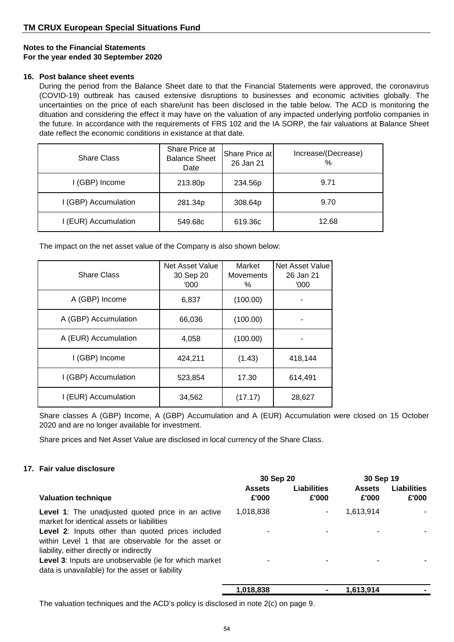#### **16. Post balance sheet events**

During the period from the Balance Sheet date to that the Financial Statements were approved, the coronavirus (COVID-19) outbreak has caused extensive disruptions to businesses and economic activities globally. The uncertainties on the price of each share/unit has been disclosed in the table below. The ACD is monitoring the dituation and considering the effect it may have on the valuation of any impacted underlying portfolio companies in the future. In accordance with the requirements of FRS 102 and the IA SORP, the fair valuations at Balance Sheet date reflect the economic conditions in existance at that date.

| <b>Share Class</b>   | Share Price at<br><b>Balance Sheet</b><br>Date | Share Price at<br>26 Jan 21 | Increase/(Decrease)<br>$\frac{0}{0}$ |
|----------------------|------------------------------------------------|-----------------------------|--------------------------------------|
| I (GBP) Income       | 213.80p                                        | 234.56p                     | 9.71                                 |
| I (GBP) Accumulation | 281.34p                                        | 308.64p                     | 9.70                                 |
| I (EUR) Accumulation | 549.68c                                        | 619.36c                     | 12.68                                |

The impact on the net asset value of the Company is also shown below:

| <b>Share Class</b>   | Net Asset Value<br>30 Sep 20<br>'000' | Market<br><b>Movements</b><br>℅ | <b>Net Asset Value</b><br>26 Jan 21<br>'000' |
|----------------------|---------------------------------------|---------------------------------|----------------------------------------------|
| A (GBP) Income       | 6,837                                 | (100.00)                        |                                              |
| A (GBP) Accumulation | 66,036                                | (100.00)                        |                                              |
| A (EUR) Accumulation | 4,058                                 | (100.00)                        |                                              |
| I (GBP) Income       | 424,211                               | (1.43)                          | 418.144                                      |
| I (GBP) Accumulation | 523,854                               | 17.30                           | 614,491                                      |
| I (EUR) Accumulation | 34,562                                | (17.17)                         | 28,627                                       |

Share classes A (GBP) Income, A (GBP) Accumulation and A (EUR) Accumulation were closed on 15 October 2020 and are no longer available for investment.

Share prices and Net Asset Value are disclosed in local currency of the Share Class.

## **17. Fair value disclosure**

|                                                                                                                                                      | 30 Sep 20              |                      | 30 Sep 19              |                             |
|------------------------------------------------------------------------------------------------------------------------------------------------------|------------------------|----------------------|------------------------|-----------------------------|
| <b>Valuation technique</b>                                                                                                                           | <b>Assets</b><br>£'000 | Liabilities<br>£'000 | <b>Assets</b><br>£'000 | <b>Liabilities</b><br>£'000 |
| <b>Level 1:</b> The unadjusted quoted price in an active<br>market for identical assets or liabilities                                               | 1,018,838              | ۰                    | 1,613,914              |                             |
| Level 2: Inputs other than quoted prices included<br>within Level 1 that are observable for the asset or<br>liability, either directly or indirectly | ۰                      |                      |                        |                             |
| Level 3: Inputs are unobservable (ie for which market<br>data is unavailable) for the asset or liability                                             |                        |                      |                        |                             |
|                                                                                                                                                      | 1.018.838              |                      | 1.613.914              |                             |

The valuation techniques and the ACD's policy is disclosed in note 2(c) on page 9.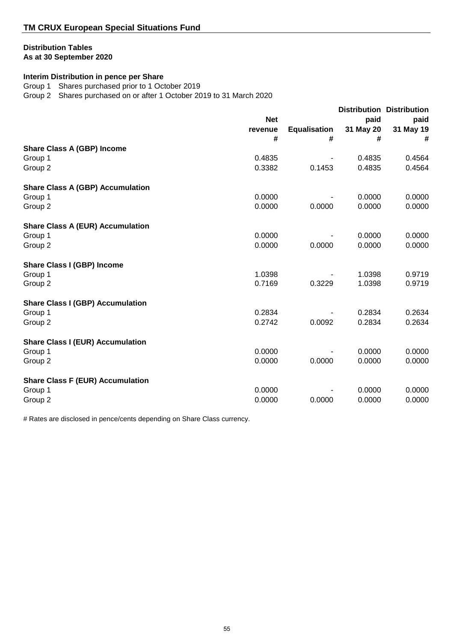## **Distribution Tables**

**As at 30 September 2020**

## **Interim Distribution in pence per Share**

Group 1 Shares purchased prior to 1 October 2019

Group 2 Shares purchased on or after 1 October 2019 to 31 March 2020

|                                         | <b>Net</b>   |                          | paid           | <b>Distribution Distribution</b> |
|-----------------------------------------|--------------|--------------------------|----------------|----------------------------------|
|                                         | revenue<br># | <b>Equalisation</b><br># | 31 May 20<br># | paid<br>31 May 19<br>#           |
| <b>Share Class A (GBP) Income</b>       |              |                          |                |                                  |
| Group 1                                 | 0.4835       |                          | 0.4835         | 0.4564                           |
| Group 2                                 | 0.3382       | 0.1453                   | 0.4835         | 0.4564                           |
| <b>Share Class A (GBP) Accumulation</b> |              |                          |                |                                  |
| Group 1                                 | 0.0000       |                          | 0.0000         | 0.0000                           |
| Group 2                                 | 0.0000       | 0.0000                   | 0.0000         | 0.0000                           |
| <b>Share Class A (EUR) Accumulation</b> |              |                          |                |                                  |
| Group 1                                 | 0.0000       |                          | 0.0000         | 0.0000                           |
| Group 2                                 | 0.0000       | 0.0000                   | 0.0000         | 0.0000                           |
| <b>Share Class I (GBP) Income</b>       |              |                          |                |                                  |
| Group 1                                 | 1.0398       |                          | 1.0398         | 0.9719                           |
| Group 2                                 | 0.7169       | 0.3229                   | 1.0398         | 0.9719                           |
| <b>Share Class I (GBP) Accumulation</b> |              |                          |                |                                  |
| Group 1                                 | 0.2834       |                          | 0.2834         | 0.2634                           |
| Group 2                                 | 0.2742       | 0.0092                   | 0.2834         | 0.2634                           |
| <b>Share Class I (EUR) Accumulation</b> |              |                          |                |                                  |
| Group 1                                 | 0.0000       |                          | 0.0000         | 0.0000                           |
| Group 2                                 | 0.0000       | 0.0000                   | 0.0000         | 0.0000                           |
| <b>Share Class F (EUR) Accumulation</b> |              |                          |                |                                  |
| Group 1                                 | 0.0000       |                          | 0.0000         | 0.0000                           |
| Group 2                                 | 0.0000       | 0.0000                   | 0.0000         | 0.0000                           |

# Rates are disclosed in pence/cents depending on Share Class currency.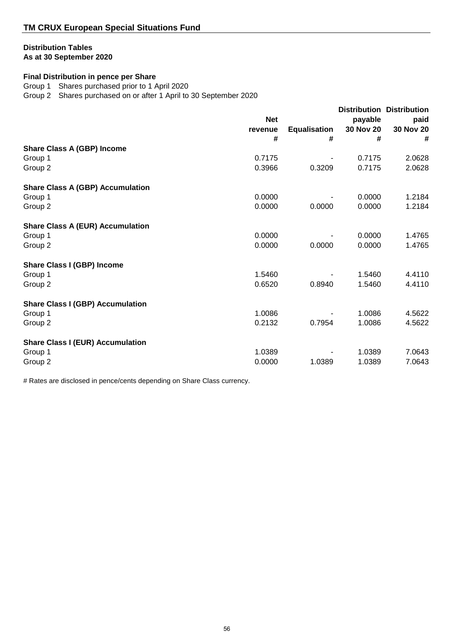## **Distribution Tables**

## **As at 30 September 2020**

## **Final Distribution in pence per Share**

Group 1 Shares purchased prior to 1 April 2020

Group 2 Shares purchased on or after 1 April to 30 September 2020

|                                         |                       |                     |                      | <b>Distribution Distribution</b> |
|-----------------------------------------|-----------------------|---------------------|----------------------|----------------------------------|
|                                         | <b>Net</b><br>revenue | <b>Equalisation</b> | payable<br>30 Nov 20 | paid<br>30 Nov 20                |
|                                         | #                     | #                   | #                    | #                                |
| <b>Share Class A (GBP) Income</b>       |                       |                     |                      |                                  |
| Group 1                                 | 0.7175                |                     | 0.7175               | 2.0628                           |
| Group 2                                 | 0.3966                | 0.3209              | 0.7175               | 2.0628                           |
| <b>Share Class A (GBP) Accumulation</b> |                       |                     |                      |                                  |
| Group 1                                 | 0.0000                |                     | 0.0000               | 1.2184                           |
| Group 2                                 | 0.0000                | 0.0000              | 0.0000               | 1.2184                           |
| <b>Share Class A (EUR) Accumulation</b> |                       |                     |                      |                                  |
| Group 1                                 | 0.0000                |                     | 0.0000               | 1.4765                           |
| Group 2                                 | 0.0000                | 0.0000              | 0.0000               | 1.4765                           |
| <b>Share Class I (GBP) Income</b>       |                       |                     |                      |                                  |
| Group 1                                 | 1.5460                |                     | 1.5460               | 4.4110                           |
| Group 2                                 | 0.6520                | 0.8940              | 1.5460               | 4.4110                           |
| <b>Share Class I (GBP) Accumulation</b> |                       |                     |                      |                                  |
| Group 1                                 | 1.0086                |                     | 1.0086               | 4.5622                           |
| Group 2                                 | 0.2132                | 0.7954              | 1.0086               | 4.5622                           |
| <b>Share Class I (EUR) Accumulation</b> |                       |                     |                      |                                  |
| Group 1                                 | 1.0389                |                     | 1.0389               | 7.0643                           |
| Group 2                                 | 0.0000                | 1.0389              | 1.0389               | 7.0643                           |

# Rates are disclosed in pence/cents depending on Share Class currency.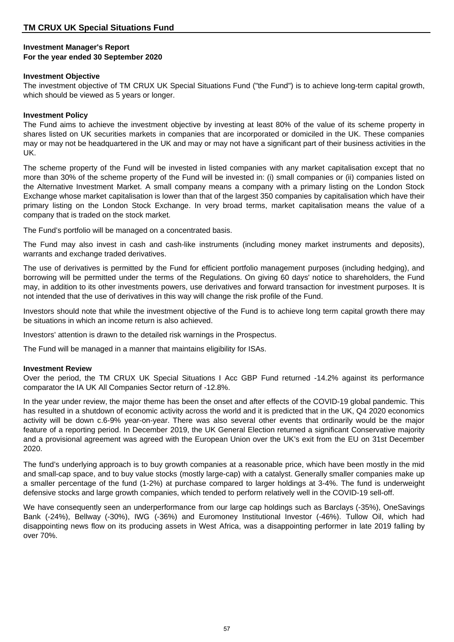#### **Investment Manager's Report For the year ended 30 September 2020**

#### **Investment Objective**

The investment objective of TM CRUX UK Special Situations Fund ("the Fund") is to achieve long-term capital growth, which should be viewed as 5 years or longer.

#### **Investment Policy**

The Fund aims to achieve the investment objective by investing at least 80% of the value of its scheme property in shares listed on UK securities markets in companies that are incorporated or domiciled in the UK. These companies may or may not be headquartered in the UK and may or may not have a significant part of their business activities in the UK.

The scheme property of the Fund will be invested in listed companies with any market capitalisation except that no more than 30% of the scheme property of the Fund will be invested in: (i) small companies or (ii) companies listed on the Alternative Investment Market. A small company means a company with a primary listing on the London Stock Exchange whose market capitalisation is lower than that of the largest 350 companies by capitalisation which have their primary listing on the London Stock Exchange. In very broad terms, market capitalisation means the value of a company that is traded on the stock market.

The Fund's portfolio will be managed on a concentrated basis.

The Fund may also invest in cash and cash-like instruments (including money market instruments and deposits), warrants and exchange traded derivatives.

The use of derivatives is permitted by the Fund for efficient portfolio management purposes (including hedging), and borrowing will be permitted under the terms of the Regulations. On giving 60 days' notice to shareholders, the Fund may, in addition to its other investments powers, use derivatives and forward transaction for investment purposes. It is not intended that the use of derivatives in this way will change the risk profile of the Fund.

Investors should note that while the investment objective of the Fund is to achieve long term capital growth there may be situations in which an income return is also achieved.

Investors' attention is drawn to the detailed risk warnings in the Prospectus.

The Fund will be managed in a manner that maintains eligibility for ISAs.

## **Investment Review**

Over the period, the TM CRUX UK Special Situations I Acc GBP Fund returned -14.2% against its performance comparator the IA UK All Companies Sector return of -12.8%.

In the year under review, the major theme has been the onset and after effects of the COVID-19 global pandemic. This has resulted in a shutdown of economic activity across the world and it is predicted that in the UK, Q4 2020 economics activity will be down c.6-9% year-on-year. There was also several other events that ordinarily would be the major feature of a reporting period. In December 2019, the UK General Election returned a significant Conservative majority and a provisional agreement was agreed with the European Union over the UK's exit from the EU on 31st December 2020.

The fund's underlying approach is to buy growth companies at a reasonable price, which have been mostly in the mid and small-cap space, and to buy value stocks (mostly large-cap) with a catalyst. Generally smaller companies make up a smaller percentage of the fund (1-2%) at purchase compared to larger holdings at 3-4%. The fund is underweight defensive stocks and large growth companies, which tended to perform relatively well in the COVID-19 sell-off.

We have consequently seen an underperformance from our large cap holdings such as Barclays (-35%), OneSavings Bank (-24%), Bellway (-30%), IWG (-36%) and Euromoney Institutional Investor (-46%). Tullow Oil, which had disappointing news flow on its producing assets in West Africa, was a disappointing performer in late 2019 falling by over 70%.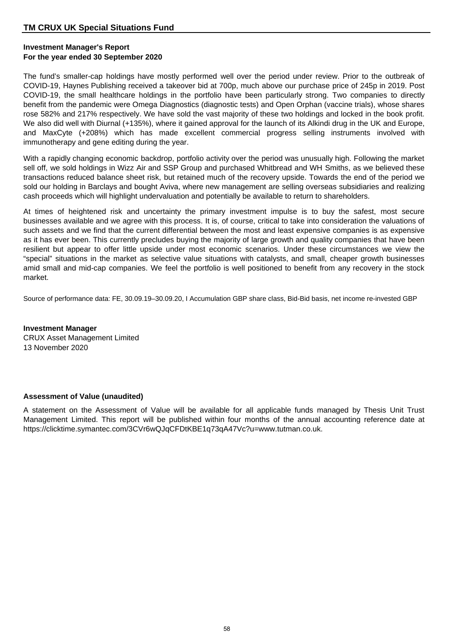## **Investment Manager's Report For the year ended 30 September 2020**

The fund's smaller-cap holdings have mostly performed well over the period under review. Prior to the outbreak of COVID-19, Haynes Publishing received a takeover bid at 700p, much above our purchase price of 245p in 2019. Post COVID-19, the small healthcare holdings in the portfolio have been particularly strong. Two companies to directly benefit from the pandemic were Omega Diagnostics (diagnostic tests) and Open Orphan (vaccine trials), whose shares rose 582% and 217% respectively. We have sold the vast majority of these two holdings and locked in the book profit. We also did well with Diurnal (+135%), where it gained approval for the launch of its Alkindi drug in the UK and Europe, and MaxCyte (+208%) which has made excellent commercial progress selling instruments involved with immunotherapy and gene editing during the year.

With a rapidly changing economic backdrop, portfolio activity over the period was unusually high. Following the market sell off, we sold holdings in Wizz Air and SSP Group and purchased Whitbread and WH Smiths, as we believed these transactions reduced balance sheet risk, but retained much of the recovery upside. Towards the end of the period we sold our holding in Barclays and bought Aviva, where new management are selling overseas subsidiaries and realizing cash proceeds which will highlight undervaluation and potentially be available to return to shareholders.

At times of heightened risk and uncertainty the primary investment impulse is to buy the safest, most secure businesses available and we agree with this process. It is, of course, critical to take into consideration the valuations of such assets and we find that the current differential between the most and least expensive companies is as expensive as it has ever been. This currently precludes buying the majority of large growth and quality companies that have been resilient but appear to offer little upside under most economic scenarios. Under these circumstances we view the "special" situations in the market as selective value situations with catalysts, and small, cheaper growth businesses amid small and mid-cap companies. We feel the portfolio is well positioned to benefit from any recovery in the stock market.

Source of performance data: FE, 30.09.19–30.09.20, I Accumulation GBP share class, Bid-Bid basis, net income re-invested GBP

**Investment Manager** CRUX Asset Management Limited 13 November 2020

## **Assessment of Value (unaudited)**

A statement on the Assessment of Value will be available for all applicable funds managed by Thesis Unit Trust Management Limited. This report will be published within four months of the annual accounting reference date at https://clicktime.symantec.com/3CVr6wQJqCFDtKBE1q73qA47Vc?u=www.tutman.co.uk.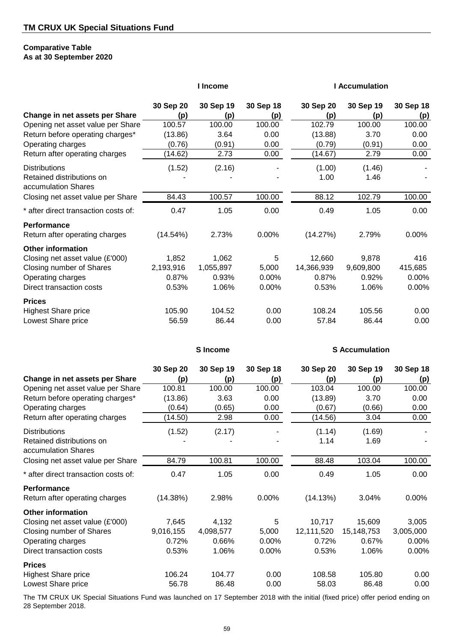#### **Comparative Table As at 30 September 2020**

**Performance**

**Prices**

**Other information**

|                                      | I Income  |                 |           | <b>I</b> Accumulation |                       |           |  |
|--------------------------------------|-----------|-----------------|-----------|-----------------------|-----------------------|-----------|--|
|                                      | 30 Sep 20 | 30 Sep 19       | 30 Sep 18 | 30 Sep 20             | 30 Sep 19             | 30 Sep 18 |  |
| Change in net assets per Share       | (p)       | (p)             | (p)       | (p)                   | (p)                   | (p)       |  |
| Opening net asset value per Share    | 100.57    | 100.00          | 100.00    | 102.79                | 100.00                | 100.00    |  |
| Return before operating charges*     | (13.86)   | 3.64            | 0.00      | (13.88)               | 3.70                  | 0.00      |  |
| Operating charges                    | (0.76)    | (0.91)          | 0.00      | (0.79)                | (0.91)                | 0.00      |  |
| Return after operating charges       | (14.62)   | 2.73            | 0.00      | (14.67)               | 2.79                  | 0.00      |  |
| <b>Distributions</b>                 | (1.52)    | (2.16)          |           | (1.00)                | (1.46)                |           |  |
| Retained distributions on            |           |                 |           | 1.00                  | 1.46                  |           |  |
| accumulation Shares                  |           |                 |           |                       |                       |           |  |
| Closing net asset value per Share    | 84.43     | 100.57          | 100.00    | 88.12                 | 102.79                | 100.00    |  |
| * after direct transaction costs of: | 0.47      | 1.05            | 0.00      | 0.49                  | 1.05                  | 0.00      |  |
| Performance                          |           |                 |           |                       |                       |           |  |
| Return after operating charges       | (14.54%)  | 2.73%           | 0.00%     | (14.27%)              | 2.79%                 | 0.00%     |  |
| <b>Other information</b>             |           |                 |           |                       |                       |           |  |
| Closing net asset value (£'000)      | 1,852     | 1,062           | 5         | 12,660                | 9,878                 | 416       |  |
| <b>Closing number of Shares</b>      | 2,193,916 | 1,055,897       | 5,000     | 14,366,939            | 9,609,800             | 415,685   |  |
| Operating charges                    | 0.87%     | 0.93%           | 0.00%     | 0.87%                 | 0.92%                 | 0.00%     |  |
| Direct transaction costs             | 0.53%     | 1.06%           | 0.00%     | 0.53%                 | 1.06%                 | 0.00%     |  |
| <b>Prices</b>                        |           |                 |           |                       |                       |           |  |
| <b>Highest Share price</b>           | 105.90    | 104.52          | 0.00      | 108.24                | 105.56                | 0.00      |  |
| Lowest Share price                   | 56.59     | 86.44           | 0.00      | 57.84                 | 86.44                 | 0.00      |  |
|                                      |           | <b>S</b> Income |           |                       | <b>S</b> Accumulation |           |  |
|                                      | 30 Sep 20 | 30 Sep 19       | 30 Sep 18 | 30 Sep 20             | 30 Sep 19             | 30 Sep 18 |  |
| Change in net assets per Share       | (p)       | (p)             | (p)       | (p)                   | (p)                   | (p)       |  |
| Opening net asset value per Share    | 100.81    | 100.00          | 100.00    | 103.04                | 100.00                | 100.00    |  |
| Return before operating charges*     | (13.86)   | 3.63            | 0.00      | (13.89)               | 3.70                  | 0.00      |  |
| Operating charges                    | (0.64)    | (0.65)          | 0.00      | (0.67)                | (0.66)                | 0.00      |  |
| Return after operating charges       | (14.50)   | 2.98            | 0.00      | (14.56)               | 3.04                  | 0.00      |  |
| <b>Distributions</b>                 | (1.52)    | (2.17)          |           | (1.14)                | (1.69)                |           |  |
| Retained distributions on            |           |                 |           | 1.14                  | 1.69                  |           |  |
| accumulation Shares                  |           |                 |           |                       |                       |           |  |
| Closing net asset value per Share    | 84.79     | 100.81          | 100.00    | 88.48                 | 103.04                | 100.00    |  |
| * after direct transaction costs of: | 0.47      | 1.05            | 0.00      | 0.49                  | 1.05                  | 0.00      |  |

The TM CRUX UK Special Situations Fund was launched on 17 September 2018 with the initial (fixed price) offer period ending on 28 September 2018.

Highest Share price **106.24** 104.77 0.00 108.58 105.80 0.00 Lowest Share price **56.78** 56.78 86.48 0.00 58.03 86.48 0.00

Return after operating charges (14.38%) 2.98% 0.00% (14.13%) 3.04% 0.00%

Closing net asset value (£'000)  $\overline{7,645}$   $\overline{4,132}$   $\overline{5}$   $\overline{10,717}$   $\overline{15,609}$   $\overline{3,005}$ Closing number of Shares 9,016,155 4,098,577 5,000 12,111,520 15,148,753 3,005,000 Operating charges 0.72% 0.66% 0.00% 0.72% 0.67% 0.00% Direct transaction costs 0.53% 1.06% 0.00% 0.53% 1.06% 0.00%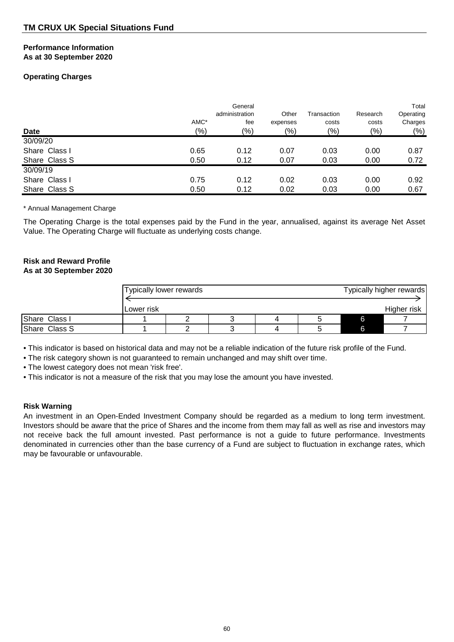#### **Performance Information As at 30 September 2020**

## **Operating Charges**

|               | AMC*  | General<br>administration<br>fee | Other<br>expenses | Transaction<br>costs | Research<br>costs | Total<br>Operating<br>Charges |
|---------------|-------|----------------------------------|-------------------|----------------------|-------------------|-------------------------------|
| Date          | (9/0) | (%)                              | (9/0)             | (%)                  | (9/0)             | $(\%)$                        |
| 30/09/20      |       |                                  |                   |                      |                   |                               |
| Share Class I | 0.65  | 0.12                             | 0.07              | 0.03                 | 0.00              | 0.87                          |
| Share Class S | 0.50  | 0.12                             | 0.07              | 0.03                 | 0.00              | 0.72                          |
| 30/09/19      |       |                                  |                   |                      |                   |                               |
| Share Class I | 0.75  | 0.12                             | 0.02              | 0.03                 | 0.00              | 0.92                          |
| Share Class S | 0.50  | 0.12                             | 0.02              | 0.03                 | 0.00              | 0.67                          |

\* Annual Management Charge

The Operating Charge is the total expenses paid by the Fund in the year, annualised, against its average Net Asset Value. The Operating Charge will fluctuate as underlying costs change.

# **Risk and Reward Profile**

## **As at 30 September 2020**

|               | Typically lower rewards |  |  | Typically higher rewards |
|---------------|-------------------------|--|--|--------------------------|
|               |                         |  |  |                          |
|               | ILower risk             |  |  | Higher risk              |
| Share Class I |                         |  |  |                          |
| Share Class S |                         |  |  |                          |

• This indicator is based on historical data and may not be a reliable indication of the future risk profile of the Fund.

• The risk category shown is not guaranteed to remain unchanged and may shift over time.

• The lowest category does not mean 'risk free'.

• This indicator is not a measure of the risk that you may lose the amount you have invested.

## **Risk Warning**

An investment in an Open-Ended Investment Company should be regarded as a medium to long term investment. Investors should be aware that the price of Shares and the income from them may fall as well as rise and investors may not receive back the full amount invested. Past performance is not a guide to future performance. Investments denominated in currencies other than the base currency of a Fund are subject to fluctuation in exchange rates, which may be favourable or unfavourable.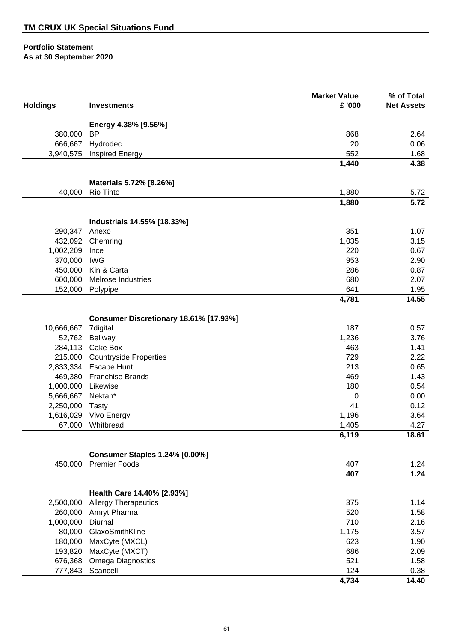|                 |                                        | <b>Market Value</b> | % of Total        |
|-----------------|----------------------------------------|---------------------|-------------------|
| <b>Holdings</b> | <b>Investments</b>                     | £ '000              | <b>Net Assets</b> |
|                 | Energy 4.38% [9.56%]                   |                     |                   |
| 380,000         | <b>BP</b>                              | 868                 | 2.64              |
| 666,667         | Hydrodec                               | 20                  | 0.06              |
| 3,940,575       | <b>Inspired Energy</b>                 | 552                 | 1.68              |
|                 |                                        | 1,440               | 4.38              |
|                 |                                        |                     |                   |
| 40,000          | Materials 5.72% [8.26%]<br>Rio Tinto   | 1,880               | 5.72              |
|                 |                                        | 1,880               | 5.72              |
|                 |                                        |                     |                   |
|                 | Industrials 14.55% [18.33%]            |                     |                   |
| 290,347         | Anexo                                  | 351                 | 1.07              |
| 432,092         | Chemring                               | 1,035               | 3.15              |
| 1,002,209       | Ince                                   | 220                 | 0.67              |
| 370,000         | <b>IWG</b>                             | 953                 | 2.90              |
| 450,000         | Kin & Carta                            | 286                 | 0.87              |
| 600,000         | <b>Melrose Industries</b>              | 680                 | 2.07              |
| 152,000         | Polypipe                               | 641                 | 1.95              |
|                 |                                        | 4,781               | 14.55             |
|                 | Consumer Discretionary 18.61% [17.93%] |                     |                   |
| 10,666,667      | 7digital                               | 187                 | 0.57              |
| 52,762          | Bellway                                | 1,236               | 3.76              |
| 284,113         | Cake Box                               | 463                 | 1.41              |
|                 | 215,000 Countryside Properties         | 729                 | 2.22              |
|                 | 2,833,334 Escape Hunt                  | 213                 | 0.65              |
|                 | 469,380 Franchise Brands               | 469                 | 1.43              |
| 1,000,000       | Likewise                               | 180                 | 0.54              |
| 5,666,667       | Nektan*                                | 0                   | 0.00              |
| 2,250,000       | <b>Tasty</b>                           | 41                  | 0.12              |
| 1,616,029       | Vivo Energy                            | 1,196               | 3.64              |
| 67,000          | Whitbread                              | 1,405               | 4.27              |
|                 |                                        | 6,119               | 18.61             |
|                 | <b>Consumer Staples 1.24% [0.00%]</b>  |                     |                   |
| 450,000         | <b>Premier Foods</b>                   | 407                 | 1.24              |
|                 |                                        | 407                 | 1.24              |
|                 |                                        |                     |                   |
|                 | Health Care 14.40% [2.93%]             |                     |                   |
| 2,500,000       | <b>Allergy Therapeutics</b>            | 375                 | 1.14              |
| 260,000         | Amryt Pharma                           | 520                 | 1.58              |
| 1,000,000       | Diurnal                                | 710                 | 2.16              |
| 80,000          | GlaxoSmithKline                        | 1,175               | 3.57              |
| 180,000         | MaxCyte (MXCL)                         | 623                 | 1.90              |
| 193,820         | MaxCyte (MXCT)                         | 686                 | 2.09              |
| 676,368         | Omega Diagnostics                      | 521                 | 1.58              |

777,843 Scancell 0.38

**4,734 14.40**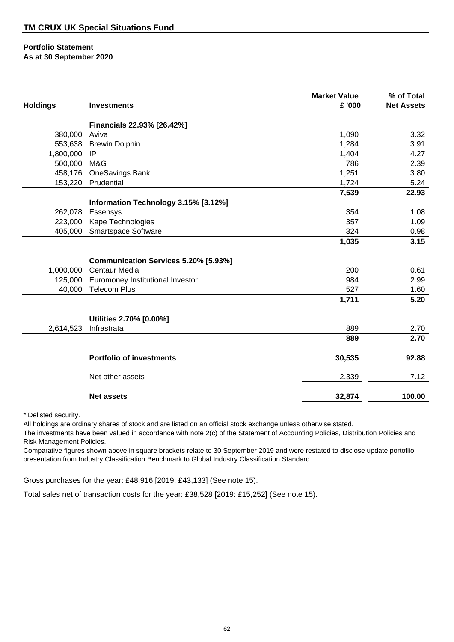| <b>Holdings</b> | <b>Investments</b>                               | <b>Market Value</b><br>£ '000 | % of Total<br><b>Net Assets</b> |
|-----------------|--------------------------------------------------|-------------------------------|---------------------------------|
|                 |                                                  |                               |                                 |
| 380,000         | Financials 22.93% [26.42%]<br>Aviva              | 1,090                         | 3.32                            |
| 553,638         | <b>Brewin Dolphin</b>                            | 1,284                         | 3.91                            |
| 1,800,000       | IP                                               | 1,404                         | 4.27                            |
| 500,000         | M&G                                              | 786                           | 2.39                            |
| 458,176         | OneSavings Bank                                  | 1,251                         | 3.80                            |
|                 | 153,220 Prudential                               | 1,724                         | 5.24                            |
|                 |                                                  | 7,539                         | 22.93                           |
|                 |                                                  |                               |                                 |
| 262,078         | Information Technology 3.15% [3.12%]<br>Essensys | 354                           | 1.08                            |
| 223,000         | Kape Technologies                                | 357                           | 1.09                            |
| 405,000         |                                                  | 324                           | 0.98                            |
|                 | Smartspace Software                              |                               | 3.15                            |
|                 |                                                  | 1,035                         |                                 |
|                 | Communication Services 5.20% [5.93%]             |                               |                                 |
| 1,000,000       | <b>Centaur Media</b>                             | 200                           | 0.61                            |
|                 | 125,000 Euromoney Institutional Investor         | 984                           | 2.99                            |
| 40,000          | <b>Telecom Plus</b>                              | 527                           | 1.60                            |
|                 |                                                  | 1,711                         | 5.20                            |
|                 |                                                  |                               |                                 |
|                 | Utilities 2.70% [0.00%]                          |                               |                                 |
| 2,614,523       | Infrastrata                                      | 889                           | 2.70                            |
|                 |                                                  | 889                           | 2.70                            |
|                 | <b>Portfolio of investments</b>                  | 30,535                        | 92.88                           |
|                 | Net other assets                                 | 2,339                         | 7.12                            |
|                 | <b>Net assets</b>                                | 32,874                        | 100.00                          |

\* Delisted security.

All holdings are ordinary shares of stock and are listed on an official stock exchange unless otherwise stated.

The investments have been valued in accordance with note 2(c) of the Statement of Accounting Policies, Distribution Policies and Risk Management Policies.

Comparative figures shown above in square brackets relate to 30 September 2019 and were restated to disclose update portoflio presentation from Industry Classification Benchmark to Global Industry Classification Standard.

Gross purchases for the year: £48,916 [2019: £43,133] (See note 15).

Total sales net of transaction costs for the year: £38,528 [2019: £15,252] (See note 15).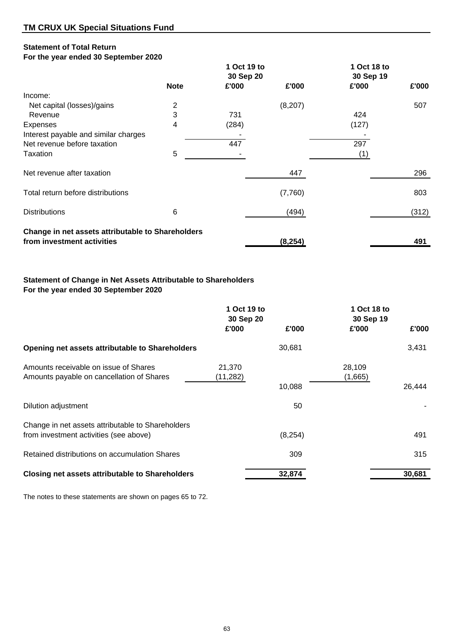## **Statement of Total Return**

## **For the year ended 30 September 2020**

|                                                   |                | 1 Oct 19 to |          | 1 Oct 18 to |       |
|---------------------------------------------------|----------------|-------------|----------|-------------|-------|
|                                                   |                | 30 Sep 20   |          | 30 Sep 19   |       |
|                                                   | <b>Note</b>    | £'000       | £'000    | £'000       | £'000 |
| Income:                                           |                |             |          |             |       |
| Net capital (losses)/gains                        | $\overline{2}$ |             | (8,207)  |             | 507   |
| Revenue                                           | 3              | 731         |          | 424         |       |
| <b>Expenses</b>                                   | 4              | (284)       |          | (127)       |       |
| Interest payable and similar charges              |                |             |          |             |       |
| Net revenue before taxation                       |                | 447         |          | 297         |       |
| Taxation                                          | 5              |             |          | (1)         |       |
| Net revenue after taxation                        |                |             | 447      |             | 296   |
| Total return before distributions                 |                |             | (7,760)  |             | 803   |
| <b>Distributions</b>                              | 6              |             | (494)    |             | (312) |
| Change in net assets attributable to Shareholders |                |             |          |             |       |
| from investment activities                        |                |             | (8, 254) |             | 491   |

## **Statement of Change in Net Assets Attributable to Shareholders For the year ended 30 September 2020**

|                                                                                             | 1 Oct 19 to<br>30 Sep 20 |          | 1 Oct 18 to<br>30 Sep 19 |        |
|---------------------------------------------------------------------------------------------|--------------------------|----------|--------------------------|--------|
|                                                                                             | £'000                    | £'000    | £'000                    | £'000  |
| Opening net assets attributable to Shareholders                                             |                          | 30,681   |                          | 3,431  |
| Amounts receivable on issue of Shares<br>Amounts payable on cancellation of Shares          | 21,370<br>(11, 282)      | 10,088   | 28,109<br>(1,665)        | 26,444 |
| Dilution adjustment                                                                         |                          | 50       |                          |        |
| Change in net assets attributable to Shareholders<br>from investment activities (see above) |                          | (8, 254) |                          | 491    |
| Retained distributions on accumulation Shares                                               |                          | 309      |                          | 315    |
| <b>Closing net assets attributable to Shareholders</b>                                      |                          | 32,874   |                          | 30,681 |

The notes to these statements are shown on pages 65 to 72.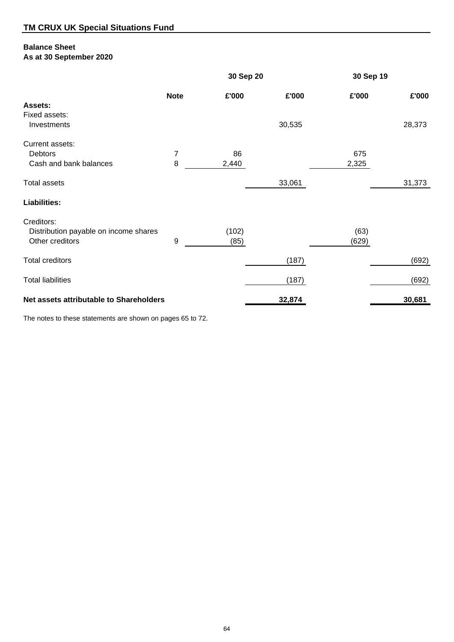## **Balance Sheet**

**As at 30 September 2020**

|                                         |             |       | 30 Sep 20 |       | 30 Sep 19 |
|-----------------------------------------|-------------|-------|-----------|-------|-----------|
|                                         | <b>Note</b> | £'000 | £'000     | £'000 | £'000     |
| Assets:                                 |             |       |           |       |           |
| Fixed assets:                           |             |       |           |       |           |
| Investments                             |             |       | 30,535    |       | 28,373    |
| Current assets:                         |             |       |           |       |           |
| Debtors                                 | 7           | 86    |           | 675   |           |
| Cash and bank balances                  | 8           | 2,440 |           | 2,325 |           |
| <b>Total assets</b>                     |             |       | 33,061    |       | 31,373    |
| <b>Liabilities:</b>                     |             |       |           |       |           |
| Creditors:                              |             |       |           |       |           |
| Distribution payable on income shares   |             | (102) |           | (63)  |           |
| Other creditors                         | 9           | (85)  |           | (629) |           |
|                                         |             |       |           |       |           |
| <b>Total creditors</b>                  |             |       | (187)     |       | (692)     |
| <b>Total liabilities</b>                |             |       | (187)     |       | (692)     |
|                                         |             |       |           |       |           |
| Net assets attributable to Shareholders |             |       | 32,874    |       | 30,681    |

The notes to these statements are shown on pages 65 to 72.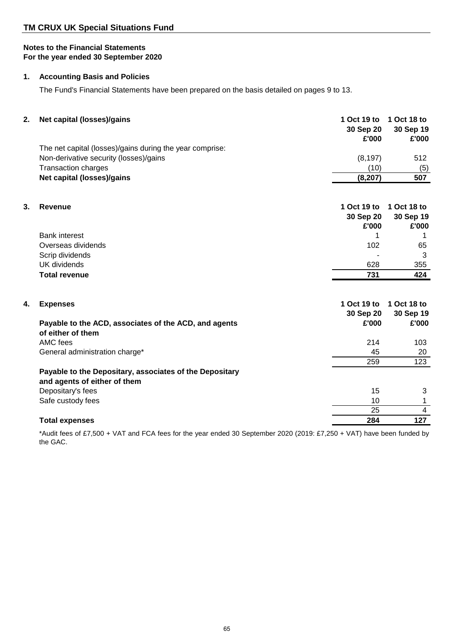## **1. Accounting Basis and Policies**

The Fund's Financial Statements have been prepared on the basis detailed on pages 9 to 13.

| 2. | Net capital (losses)/gains                                                              | 1 Oct 19 to<br>30 Sep 20<br>£'000 | 1 Oct 18 to<br>30 Sep 19<br>£'000 |
|----|-----------------------------------------------------------------------------------------|-----------------------------------|-----------------------------------|
|    | The net capital (losses)/gains during the year comprise:                                |                                   |                                   |
|    | Non-derivative security (losses)/gains                                                  | (8, 197)                          | 512                               |
|    | <b>Transaction charges</b>                                                              | (10)                              | (5)                               |
|    | Net capital (losses)/gains                                                              | (8, 207)                          | 507                               |
|    |                                                                                         |                                   |                                   |
| 3. | Revenue                                                                                 | 1 Oct 19 to                       | 1 Oct 18 to                       |
|    |                                                                                         | 30 Sep 20                         | 30 Sep 19                         |
|    |                                                                                         | £'000                             | £'000                             |
|    | <b>Bank interest</b>                                                                    | 1.                                | 1                                 |
|    | Overseas dividends                                                                      | 102                               | 65                                |
|    | Scrip dividends                                                                         |                                   | 3                                 |
|    | <b>UK</b> dividends                                                                     | 628                               | 355                               |
|    | <b>Total revenue</b>                                                                    | 731                               | 424                               |
|    |                                                                                         |                                   |                                   |
| 4. | <b>Expenses</b>                                                                         | 1 Oct 19 to                       | 1 Oct 18 to                       |
|    |                                                                                         | 30 Sep 20                         | 30 Sep 19                         |
|    | Payable to the ACD, associates of the ACD, and agents                                   | £'000                             | £'000                             |
|    | of either of them                                                                       |                                   |                                   |
|    | AMC fees                                                                                | 214                               | 103                               |
|    | General administration charge*                                                          | 45                                | 20                                |
|    |                                                                                         | 259                               | 123                               |
|    | Payable to the Depositary, associates of the Depositary<br>and agents of either of them |                                   |                                   |
|    | Depositary's fees                                                                       | 15                                | 3                                 |
|    | Safe custody fees                                                                       | 10                                | 1                                 |
|    |                                                                                         | 25                                | 4                                 |
|    | <b>Total expenses</b>                                                                   | 284                               | 127                               |
|    |                                                                                         |                                   |                                   |

\*Audit fees of £7,500 + VAT and FCA fees for the year ended 30 September 2020 (2019: £7,250 + VAT) have been funded by the GAC.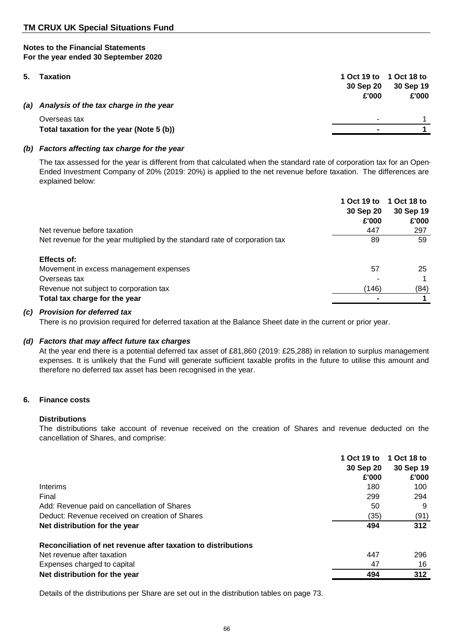| 5. | <b>Taxation</b>                            |                          | 1 Oct 19 to 1 Oct 18 to |
|----|--------------------------------------------|--------------------------|-------------------------|
|    |                                            | 30 Sep 20                | 30 Sep 19               |
|    |                                            | £'000                    | £'000                   |
|    | (a) Analysis of the tax charge in the year |                          |                         |
|    | Overseas tax                               | $\overline{\phantom{a}}$ |                         |
|    | Total taxation for the year (Note 5 (b))   | $\blacksquare$           |                         |
|    |                                            |                          |                         |

## *(b) Factors affecting tax charge for the year*

The tax assessed for the year is different from that calculated when the standard rate of corporation tax for an Open-Ended Investment Company of 20% (2019: 20%) is applied to the net revenue before taxation. The differences are explained below:

| Net revenue before taxation                                                 | 1 Oct 19 to<br>30 Sep 20<br>£'000<br>447 | 1 Oct 18 to<br>30 Sep 19<br>£'000<br>297 |
|-----------------------------------------------------------------------------|------------------------------------------|------------------------------------------|
|                                                                             |                                          |                                          |
| Net revenue for the year multiplied by the standard rate of corporation tax | 89                                       | 59                                       |
| Effects of:                                                                 |                                          |                                          |
| Movement in excess management expenses                                      | 57                                       | 25                                       |
| Overseas tax                                                                |                                          |                                          |
| Revenue not subject to corporation tax                                      | (146)                                    | (84)                                     |
| Total tax charge for the year                                               |                                          |                                          |

## *(c) Provision for deferred tax*

There is no provision required for deferred taxation at the Balance Sheet date in the current or prior year.

## *(d) Factors that may affect future tax charges*

At the year end there is a potential deferred tax asset of £81,860 (2019: £25,288) in relation to surplus management expenses. It is unlikely that the Fund will generate sufficient taxable profits in the future to utilise this amount and therefore no deferred tax asset has been recognised in the year.

## **6. Finance costs**

## **Distributions**

The distributions take account of revenue received on the creation of Shares and revenue deducted on the cancellation of Shares, and comprise:

|                                                               | 1 Oct 19 to<br>30 Sep 20 | 1 Oct 18 to<br>30 Sep 19 |
|---------------------------------------------------------------|--------------------------|--------------------------|
|                                                               | £'000                    | £'000                    |
| Interims                                                      | 180                      | 100                      |
| Final                                                         | 299                      | 294                      |
| Add: Revenue paid on cancellation of Shares                   | 50                       | 9                        |
| Deduct: Revenue received on creation of Shares                | (35)                     | (91)                     |
| Net distribution for the year                                 | 494                      | 312                      |
| Reconciliation of net revenue after taxation to distributions |                          |                          |
| Net revenue after taxation                                    | 447                      | 296                      |
| Expenses charged to capital                                   | 47                       | 16                       |
| Net distribution for the year                                 | 494                      | 312                      |

Details of the distributions per Share are set out in the distribution tables on page 73.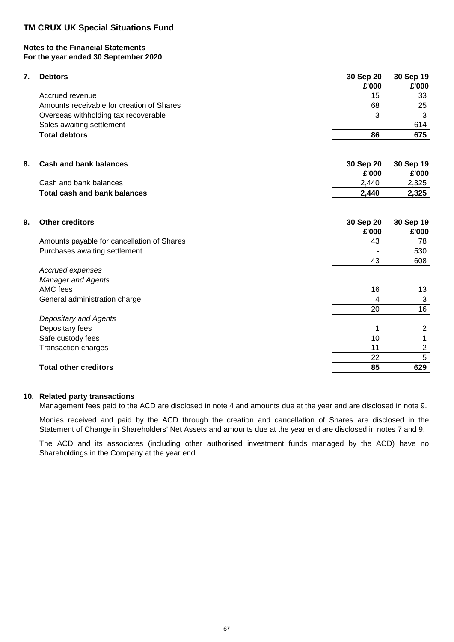| 7. | <b>Debtors</b>                             | 30 Sep 20<br>£'000 | 30 Sep 19<br>£'000 |
|----|--------------------------------------------|--------------------|--------------------|
|    | Accrued revenue                            | 15                 | 33                 |
|    | Amounts receivable for creation of Shares  | 68                 | 25                 |
|    | Overseas withholding tax recoverable       | 3                  | 3                  |
|    | Sales awaiting settlement                  |                    | 614                |
|    | <b>Total debtors</b>                       | 86                 | 675                |
|    |                                            |                    |                    |
| 8. | <b>Cash and bank balances</b>              | 30 Sep 20<br>£'000 | 30 Sep 19<br>£'000 |
|    | Cash and bank balances                     | 2,440              | 2,325              |
|    | <b>Total cash and bank balances</b>        | 2,440              | 2,325              |
|    |                                            |                    |                    |
| 9. | <b>Other creditors</b>                     | 30 Sep 20          | 30 Sep 19          |
|    |                                            | £'000              | £'000              |
|    | Amounts payable for cancellation of Shares | 43                 | 78                 |
|    | Purchases awaiting settlement              |                    | 530                |
|    |                                            | 43                 | 608                |
|    | Accrued expenses                           |                    |                    |
|    | <b>Manager and Agents</b>                  |                    |                    |
|    | AMC fees                                   | 16                 | 13                 |
|    | General administration charge              | 4                  | 3                  |
|    |                                            | 20                 | 16                 |
|    | Depositary and Agents                      |                    |                    |
|    | Depositary fees                            | 1                  | $\overline{2}$     |
|    | Safe custody fees                          | 10                 | 1                  |
|    | <b>Transaction charges</b>                 | 11                 | $\overline{c}$     |
|    |                                            | 22                 | $\overline{5}$     |
|    | <b>Total other creditors</b>               | 85                 | 629                |

## **10. Related party transactions**

Management fees paid to the ACD are disclosed in note 4 and amounts due at the year end are disclosed in note 9.

Monies received and paid by the ACD through the creation and cancellation of Shares are disclosed in the Statement of Change in Shareholders' Net Assets and amounts due at the year end are disclosed in notes 7 and 9.

The ACD and its associates (including other authorised investment funds managed by the ACD) have no Shareholdings in the Company at the year end.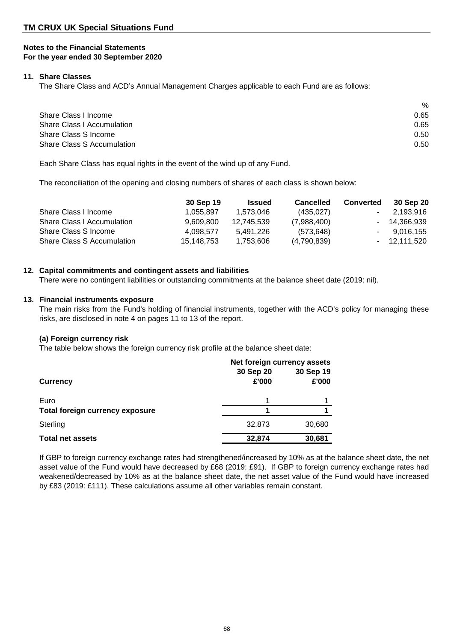#### **11. Share Classes**

The Share Class and ACD's Annual Management Charges applicable to each Fund are as follows:

|                                   | $\%$ |
|-----------------------------------|------|
| Share Class I Income              | 0.65 |
| <b>Share Class I Accumulation</b> | 0.65 |
| Share Class S Income              | 0.50 |
| Share Class S Accumulation        | 0.50 |

Each Share Class has equal rights in the event of the wind up of any Fund.

The reconciliation of the opening and closing numbers of shares of each class is shown below:

|                                   | 30 Sep 19  | <b>Issued</b> | <b>Cancelled</b> | <b>Converted</b> | 30 Sep 20    |
|-----------------------------------|------------|---------------|------------------|------------------|--------------|
| Share Class I Income              | 1.055.897  | 1.573.046     | (435, 027)       |                  | 2.193.916    |
| Share Class I Accumulation        | 9.609.800  | 12.745.539    | (7,988,400)      |                  | - 14.366.939 |
| Share Class S Income              | 4.098.577  | 5.491.226     | (573,648)        |                  | 9.016.155    |
| <b>Share Class S Accumulation</b> | 15,148,753 | 1,753,606     | (4,790,839)      |                  | - 12.111.520 |

## **12. Capital commitments and contingent assets and liabilities**

There were no contingent liabilities or outstanding commitments at the balance sheet date (2019: nil).

#### **13. Financial instruments exposure**

The main risks from the Fund's holding of financial instruments, together with the ACD's policy for managing these risks, are disclosed in note 4 on pages 11 to 13 of the report.

## **(a) Foreign currency risk**

The table below shows the foreign currency risk profile at the balance sheet date:

|                                        | Net foreign currency assets |           |  |  |
|----------------------------------------|-----------------------------|-----------|--|--|
|                                        | 30 Sep 20                   | 30 Sep 19 |  |  |
| <b>Currency</b>                        | £'000                       | £'000     |  |  |
| Euro                                   |                             |           |  |  |
| <b>Total foreign currency exposure</b> |                             |           |  |  |
| Sterling                               | 32,873                      | 30,680    |  |  |
| <b>Total net assets</b>                | 32,874                      | 30,681    |  |  |

If GBP to foreign currency exchange rates had strengthened/increased by 10% as at the balance sheet date, the net asset value of the Fund would have decreased by £68 (2019: £91). If GBP to foreign currency exchange rates had weakened/decreased by 10% as at the balance sheet date, the net asset value of the Fund would have increased by £83 (2019: £111). These calculations assume all other variables remain constant.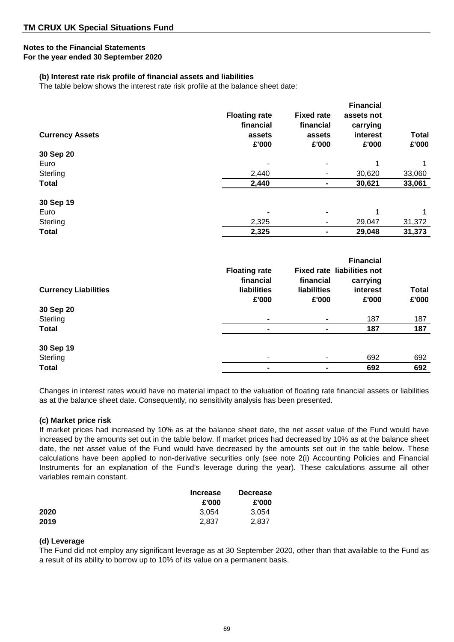## **Notes to the Financial Statements**

**For the year ended 30 September 2020**

## **(b) Interest rate risk profile of financial assets and liabilities**

The table below shows the interest rate risk profile at the balance sheet date:

| <b>Currency Assets</b> | <b>Floating rate</b><br>financial<br>assets | <b>Fixed rate</b><br>financial<br>assets | <b>Financial</b><br>assets not<br>carrying<br>interest | <b>Total</b> |
|------------------------|---------------------------------------------|------------------------------------------|--------------------------------------------------------|--------------|
|                        | £'000                                       | £'000                                    | £'000                                                  | £'000        |
| 30 Sep 20              |                                             |                                          |                                                        |              |
| Euro                   |                                             |                                          | 1                                                      | 1            |
| Sterling               | 2,440                                       |                                          | 30,620                                                 | 33,060       |
| <b>Total</b>           | 2,440                                       |                                          | 30,621                                                 | 33,061       |
| 30 Sep 19              |                                             |                                          |                                                        |              |
| Euro                   |                                             |                                          | 1                                                      | 1            |
| Sterling               | 2,325                                       |                                          | 29,047                                                 | 31,372       |
| <b>Total</b>           | 2,325                                       |                                          | 29,048                                                 | 31,373       |

| <b>Currency Liabilities</b> | <b>Floating rate</b><br>financial<br><b>liabilities</b><br>£'000 | financial<br><b>liabilities</b><br>£'000 | <b>Financial</b><br><b>Fixed rate liabilities not</b><br>carrying<br>interest<br>£'000 | <b>Total</b><br>£'000 |
|-----------------------------|------------------------------------------------------------------|------------------------------------------|----------------------------------------------------------------------------------------|-----------------------|
| 30 Sep 20                   |                                                                  |                                          |                                                                                        |                       |
| Sterling                    |                                                                  | ۰.                                       | 187                                                                                    | 187                   |
| <b>Total</b>                |                                                                  |                                          | 187                                                                                    | 187                   |
| 30 Sep 19                   |                                                                  |                                          |                                                                                        |                       |
| Sterling                    |                                                                  |                                          | 692                                                                                    | 692                   |
| <b>Total</b>                | $\blacksquare$                                                   | ۰                                        | 692                                                                                    | 692                   |

Changes in interest rates would have no material impact to the valuation of floating rate financial assets or liabilities as at the balance sheet date. Consequently, no sensitivity analysis has been presented.

## **(c) Market price risk**

If market prices had increased by 10% as at the balance sheet date, the net asset value of the Fund would have increased by the amounts set out in the table below. If market prices had decreased by 10% as at the balance sheet date, the net asset value of the Fund would have decreased by the amounts set out in the table below. These calculations have been applied to non-derivative securities only (see note 2(i) Accounting Policies and Financial Instruments for an explanation of the Fund's leverage during the year). These calculations assume all other variables remain constant.

|      | <b>Increase</b> | <b>Decrease</b> |  |
|------|-----------------|-----------------|--|
|      | £'000           | £'000           |  |
| 2020 | 3.054           | 3.054           |  |
| 2019 | 2,837           | 2,837           |  |

## **(d) Leverage**

The Fund did not employ any significant leverage as at 30 September 2020, other than that available to the Fund as a result of its ability to borrow up to 10% of its value on a permanent basis.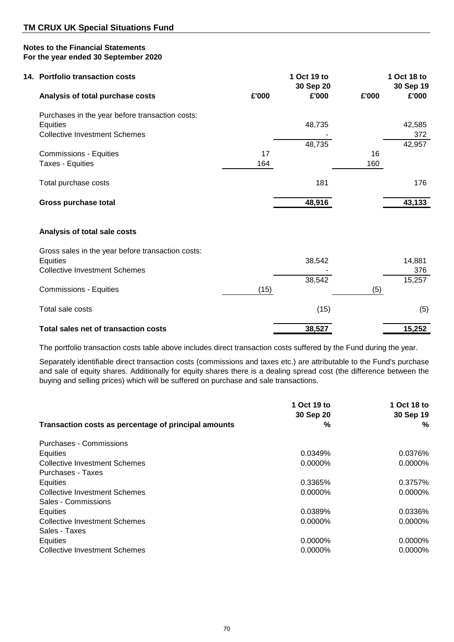| 14. Portfolio transaction costs                   |       | 1 Oct 19 to<br>30 Sep 20 |       | 1 Oct 18 to<br>30 Sep 19 |
|---------------------------------------------------|-------|--------------------------|-------|--------------------------|
| Analysis of total purchase costs                  | £'000 | £'000                    | £'000 | £'000                    |
| Purchases in the year before transaction costs:   |       |                          |       |                          |
| <b>Equities</b>                                   |       | 48,735                   |       | 42,585                   |
| <b>Collective Investment Schemes</b>              |       |                          |       | 372                      |
|                                                   |       | 48,735                   |       | 42,957                   |
| <b>Commissions - Equities</b>                     | 17    |                          | 16    |                          |
| Taxes - Equities                                  | 164   |                          | 160   |                          |
|                                                   |       |                          |       |                          |
| Total purchase costs                              |       | 181                      |       | 176                      |
| <b>Gross purchase total</b>                       |       | 48,916                   |       | 43,133                   |
|                                                   |       |                          |       |                          |
| Analysis of total sale costs                      |       |                          |       |                          |
| Gross sales in the year before transaction costs: |       |                          |       |                          |
| Equities                                          |       | 38,542                   |       | 14,881                   |
| <b>Collective Investment Schemes</b>              |       |                          |       | 376                      |
|                                                   |       | 38,542                   |       | 15,257                   |
| <b>Commissions - Equities</b>                     | (15)  |                          | (5)   |                          |
| Total sale costs                                  |       | (15)                     |       | (5)                      |
| Total sales net of transaction costs              |       | 38,527                   |       | 15,252                   |

The portfolio transaction costs table above includes direct transaction costs suffered by the Fund during the year.

Separately identifiable direct transaction costs (commissions and taxes etc.) are attributable to the Fund's purchase and sale of equity shares. Additionally for equity shares there is a dealing spread cost (the difference between the buying and selling prices) which will be suffered on purchase and sale transactions.

|                                                      | 1 Oct 19 to<br>30 Sep 20 | 1 Oct 18 to<br>30 Sep 19 |
|------------------------------------------------------|--------------------------|--------------------------|
| Transaction costs as percentage of principal amounts | %                        | %                        |
| Purchases - Commissions                              |                          |                          |
| Equities                                             | 0.0349%                  | 0.0376%                  |
| <b>Collective Investment Schemes</b>                 | 0.0000%                  | 0.0000%                  |
| Purchases - Taxes                                    |                          |                          |
| Equities                                             | 0.3365%                  | 0.3757%                  |
| <b>Collective Investment Schemes</b>                 | 0.0000%                  | 0.0000%                  |
| Sales - Commissions                                  |                          |                          |
| Equities                                             | 0.0389%                  | 0.0336%                  |
| Collective Investment Schemes                        | $0.0000\%$               | 0.0000%                  |
| Sales - Taxes                                        |                          |                          |
| Equities                                             | $0.0000\%$               | $0.0000\%$               |
| <b>Collective Investment Schemes</b>                 | 0.0000%                  | 0.0000%                  |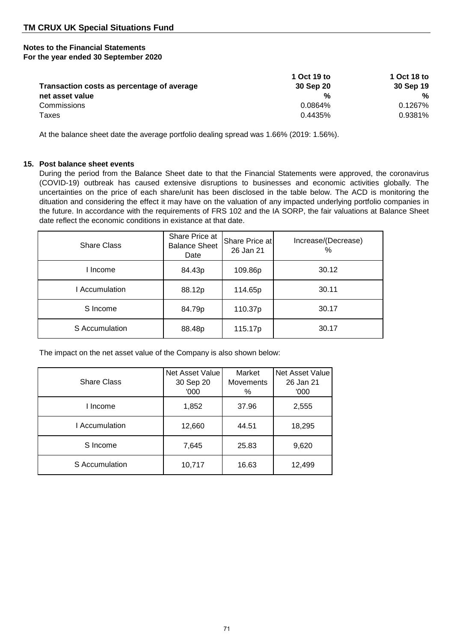|                                            | 1 Oct 19 to | 1 Oct 18 to |
|--------------------------------------------|-------------|-------------|
| Transaction costs as percentage of average | 30 Sep 20   | 30 Sep 19   |
| net asset value                            | %           | %           |
| Commissions                                | 0.0864%     | 0.1267%     |
| Taxes                                      | 0.4435%     | 0.9381%     |

At the balance sheet date the average portfolio dealing spread was 1.66% (2019: 1.56%).

## **15. Post balance sheet events**

During the period from the Balance Sheet date to that the Financial Statements were approved, the coronavirus (COVID-19) outbreak has caused extensive disruptions to businesses and economic activities globally. The uncertainties on the price of each share/unit has been disclosed in the table below. The ACD is monitoring the dituation and considering the effect it may have on the valuation of any impacted underlying portfolio companies in the future. In accordance with the requirements of FRS 102 and the IA SORP, the fair valuations at Balance Sheet date reflect the economic conditions in existance at that date.

| <b>Share Class</b> | Share Price at<br><b>Balance Sheet</b><br>Date | Share Price at<br>26 Jan 21 | Increase/(Decrease)<br>$\frac{0}{0}$ |
|--------------------|------------------------------------------------|-----------------------------|--------------------------------------|
| I Income           | 84.43p                                         | 109.86p                     | 30.12                                |
| l Accumulation     | 88.12p                                         | 114.65p                     | 30.11                                |
| S Income           | 84.79p                                         | 110.37p                     | 30.17                                |
| S Accumulation     | 88.48p                                         | 115.17p                     | 30.17                                |

The impact on the net asset value of the Company is also shown below:

| <b>Share Class</b> | Net Asset Value<br>30 Sep 20<br>'000 | Market<br><b>Movements</b><br>% | Net Asset Value<br>26 Jan 21<br>'000 |
|--------------------|--------------------------------------|---------------------------------|--------------------------------------|
| I Income           | 1,852                                | 37.96                           | 2,555                                |
| I Accumulation     | 12,660                               | 44.51                           | 18,295                               |
| S Income           | 7,645                                | 25.83                           | 9,620                                |
| S Accumulation     | 10,717                               | 16.63                           | 12,499                               |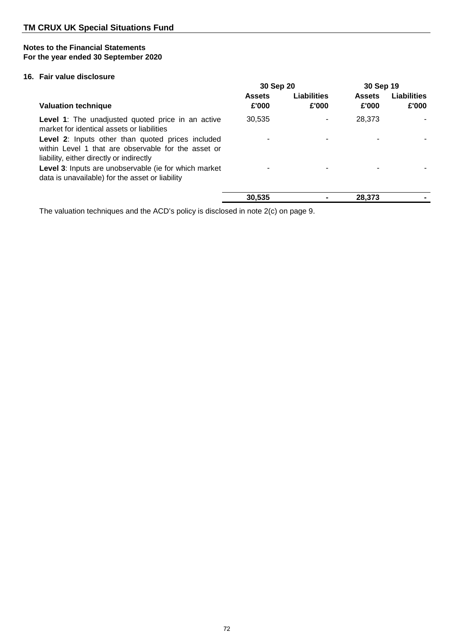## **16. Fair value disclosure**

|                                                                                                                                                      | 30 Sep 20              |                      | 30 Sep 19              |                      |
|------------------------------------------------------------------------------------------------------------------------------------------------------|------------------------|----------------------|------------------------|----------------------|
| <b>Valuation technique</b>                                                                                                                           | <b>Assets</b><br>£'000 | Liabilities<br>£'000 | <b>Assets</b><br>£'000 | Liabilities<br>£'000 |
| <b>Level 1:</b> The unadjusted quoted price in an active<br>market for identical assets or liabilities                                               | 30,535                 |                      | 28,373                 |                      |
| Level 2: Inputs other than quoted prices included<br>within Level 1 that are observable for the asset or<br>liability, either directly or indirectly |                        |                      |                        |                      |
| <b>Level 3:</b> Inputs are unobservable (ie for which market<br>data is unavailable) for the asset or liability                                      |                        |                      |                        |                      |
|                                                                                                                                                      | 30.535                 |                      | 28,373                 |                      |

The valuation techniques and the ACD's policy is disclosed in note 2(c) on page 9.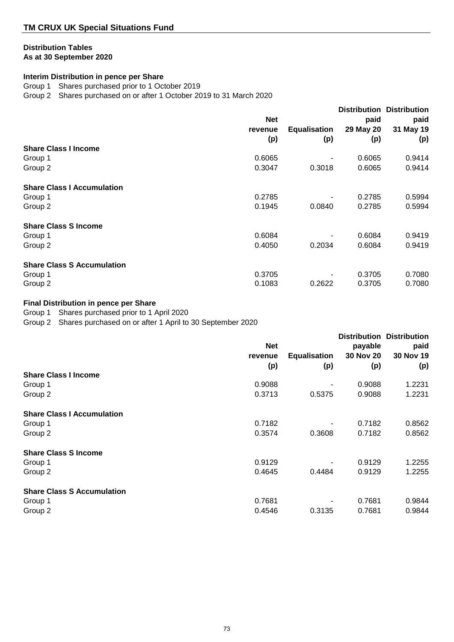# **Distribution Tables**

**As at 30 September 2020**

# **Interim Distribution in pence per Share**

Group 1 Shares purchased prior to 1 October 2019

Group 2 Shares purchased on or after 1 October 2019 to 31 March 2020

|                                   |                |                            | <b>Distribution</b>      | <b>Distribution</b>      |
|-----------------------------------|----------------|----------------------------|--------------------------|--------------------------|
|                                   | <b>Net</b>     |                            | paid<br>29 May 20<br>(p) | paid<br>31 May 19<br>(p) |
|                                   | revenue<br>(p) | <b>Equalisation</b><br>(p) |                          |                          |
|                                   |                |                            |                          |                          |
| <b>Share Class I Income</b>       |                |                            |                          |                          |
| Group 1                           | 0.6065         |                            | 0.6065                   | 0.9414                   |
| Group 2                           | 0.3047         | 0.3018                     | 0.6065                   | 0.9414                   |
| <b>Share Class I Accumulation</b> |                |                            |                          |                          |
| Group 1                           | 0.2785         |                            | 0.2785                   | 0.5994                   |
| Group 2                           | 0.1945         | 0.0840                     | 0.2785                   | 0.5994                   |
| <b>Share Class S Income</b>       |                |                            |                          |                          |
| Group 1                           | 0.6084         |                            | 0.6084                   | 0.9419                   |
| Group 2                           | 0.4050         | 0.2034                     | 0.6084                   | 0.9419                   |
| <b>Share Class S Accumulation</b> |                |                            |                          |                          |
| Group 1                           | 0.3705         |                            | 0.3705                   | 0.7080                   |
| Group 2                           | 0.1083         | 0.2622                     | 0.3705                   | 0.7080                   |

# **Final Distribution in pence per Share**

Group 1 Shares purchased prior to 1 April 2020

Group 2 Shares purchased on or after 1 April to 30 September 2020

|                                   | <b>Net</b>     |                            | payable          | <b>Distribution Distribution</b><br>paid |
|-----------------------------------|----------------|----------------------------|------------------|------------------------------------------|
|                                   | revenue<br>(p) | <b>Equalisation</b><br>(p) | 30 Nov 20<br>(p) | 30 Nov 19<br>(p)                         |
|                                   |                |                            |                  |                                          |
| Group 1                           |                |                            |                  |                                          |
| Group 2                           | 0.3713         | 0.5375                     | 0.9088           | 1.2231                                   |
| <b>Share Class I Accumulation</b> |                |                            |                  |                                          |
| Group 1                           | 0.7182         |                            | 0.7182           | 0.8562                                   |
| Group 2                           | 0.3574         | 0.3608                     | 0.7182           | 0.8562                                   |
| <b>Share Class S Income</b>       |                |                            |                  |                                          |
| Group 1                           | 0.9129         |                            | 0.9129           | 1.2255                                   |
| Group 2                           | 0.4645         | 0.4484                     | 0.9129           | 1.2255                                   |
| <b>Share Class S Accumulation</b> |                |                            |                  |                                          |
| Group 1                           | 0.7681         |                            | 0.7681           | 0.9844                                   |
| Group 2                           | 0.4546         | 0.3135                     | 0.7681           | 0.9844                                   |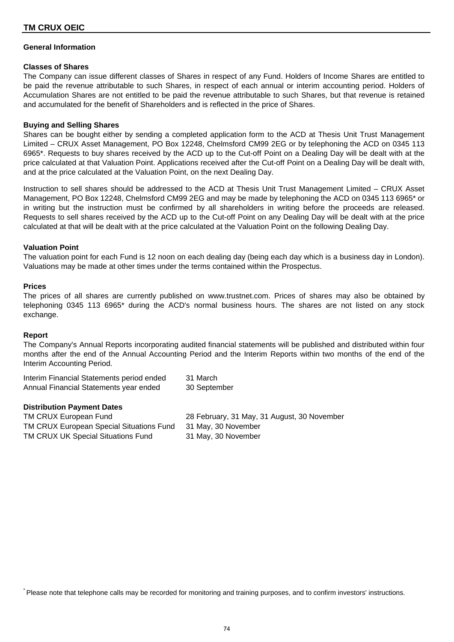# **TM CRUX OEIC**

## **General Information**

### **Classes of Shares**

The Company can issue different classes of Shares in respect of any Fund. Holders of Income Shares are entitled to be paid the revenue attributable to such Shares, in respect of each annual or interim accounting period. Holders of Accumulation Shares are not entitled to be paid the revenue attributable to such Shares, but that revenue is retained and accumulated for the benefit of Shareholders and is reflected in the price of Shares.

## **Buying and Selling Shares**

Shares can be bought either by sending a completed application form to the ACD at Thesis Unit Trust Management Limited – CRUX Asset Management, PO Box 12248, Chelmsford CM99 2EG or by telephoning the ACD on 0345 113 6965\*. Requests to buy shares received by the ACD up to the Cut-off Point on a Dealing Day will be dealt with at the price calculated at that Valuation Point. Applications received after the Cut-off Point on a Dealing Day will be dealt with, and at the price calculated at the Valuation Point, on the next Dealing Day.

Instruction to sell shares should be addressed to the ACD at Thesis Unit Trust Management Limited – CRUX Asset Management, PO Box 12248, Chelmsford CM99 2EG and may be made by telephoning the ACD on 0345 113 6965\* or in writing but the instruction must be confirmed by all shareholders in writing before the proceeds are released. Requests to sell shares received by the ACD up to the Cut-off Point on any Dealing Day will be dealt with at the price calculated at that will be dealt with at the price calculated at the Valuation Point on the following Dealing Day.

## **Valuation Point**

The valuation point for each Fund is 12 noon on each dealing day (being each day which is a business day in London). Valuations may be made at other times under the terms contained within the Prospectus.

### **Prices**

The prices of all shares are currently published on www.trustnet.com. Prices of shares may also be obtained by telephoning 0345 113 6965\* during the ACD's normal business hours. The shares are not listed on any stock exchange.

### **Report**

The Company's Annual Reports incorporating audited financial statements will be published and distributed within four months after the end of the Annual Accounting Period and the Interim Reports within two months of the end of the Interim Accounting Period.

| Interim Financial Statements period ended | 31 March     |
|-------------------------------------------|--------------|
| Annual Financial Statements year ended    | 30 September |

### **Distribution Payment Dates**

TM CRUX European Special Situations Fund 31 May, 30 November TM CRUX UK Special Situations Fund 31 May, 30 November

TM CRUX European Fund 28 February, 31 May, 31 August, 30 November

\* Please note that telephone calls may be recorded for monitoring and training purposes, and to confirm investors' instructions.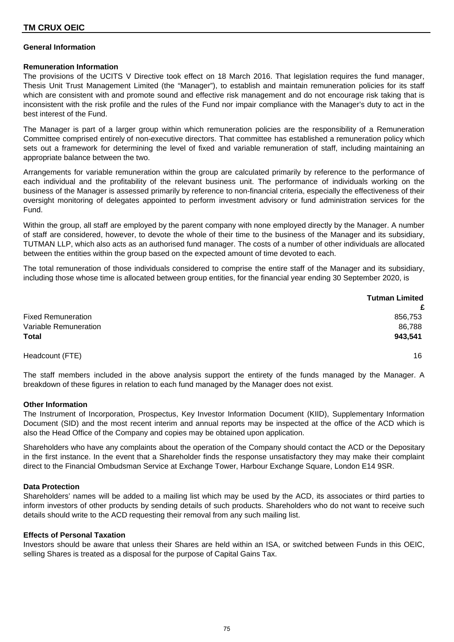# **TM CRUX OEIC**

## **General Information**

### **Remuneration Information**

The provisions of the UCITS V Directive took effect on 18 March 2016. That legislation requires the fund manager, Thesis Unit Trust Management Limited (the "Manager"), to establish and maintain remuneration policies for its staff which are consistent with and promote sound and effective risk management and do not encourage risk taking that is inconsistent with the risk profile and the rules of the Fund nor impair compliance with the Manager's duty to act in the best interest of the Fund.

The Manager is part of a larger group within which remuneration policies are the responsibility of a Remuneration Committee comprised entirely of non-executive directors. That committee has established a remuneration policy which sets out a framework for determining the level of fixed and variable remuneration of staff, including maintaining an appropriate balance between the two.

Arrangements for variable remuneration within the group are calculated primarily by reference to the performance of each individual and the profitability of the relevant business unit. The performance of individuals working on the business of the Manager is assessed primarily by reference to non-financial criteria, especially the effectiveness of their oversight monitoring of delegates appointed to perform investment advisory or fund administration services for the Fund.

Within the group, all staff are employed by the parent company with none employed directly by the Manager. A number of staff are considered, however, to devote the whole of their time to the business of the Manager and its subsidiary, TUTMAN LLP, which also acts as an authorised fund manager. The costs of a number of other individuals are allocated between the entities within the group based on the expected amount of time devoted to each.

The total remuneration of those individuals considered to comprise the entire staff of the Manager and its subsidiary, including those whose time is allocated between group entities, for the financial year ending 30 September 2020, is

|                           | <b>Tutman Limited</b> |
|---------------------------|-----------------------|
|                           | £                     |
| <b>Fixed Remuneration</b> | 856,753               |
| Variable Remuneration     | 86,788                |
| <b>Total</b>              | 943,541               |
| Headcount (FTE)           | 16                    |

The staff members included in the above analysis support the entirety of the funds managed by the Manager. A breakdown of these figures in relation to each fund managed by the Manager does not exist.

### **Other Information**

The Instrument of Incorporation, Prospectus, Key Investor Information Document (KIID), Supplementary Information Document (SID) and the most recent interim and annual reports may be inspected at the office of the ACD which is also the Head Office of the Company and copies may be obtained upon application.

Shareholders who have any complaints about the operation of the Company should contact the ACD or the Depositary in the first instance. In the event that a Shareholder finds the response unsatisfactory they may make their complaint direct to the Financial Ombudsman Service at Exchange Tower, Harbour Exchange Square, London E14 9SR.

### **Data Protection**

Shareholders' names will be added to a mailing list which may be used by the ACD, its associates or third parties to inform investors of other products by sending details of such products. Shareholders who do not want to receive such details should write to the ACD requesting their removal from any such mailing list.

### **Effects of Personal Taxation**

Investors should be aware that unless their Shares are held within an ISA, or switched between Funds in this OEIC, selling Shares is treated as a disposal for the purpose of Capital Gains Tax.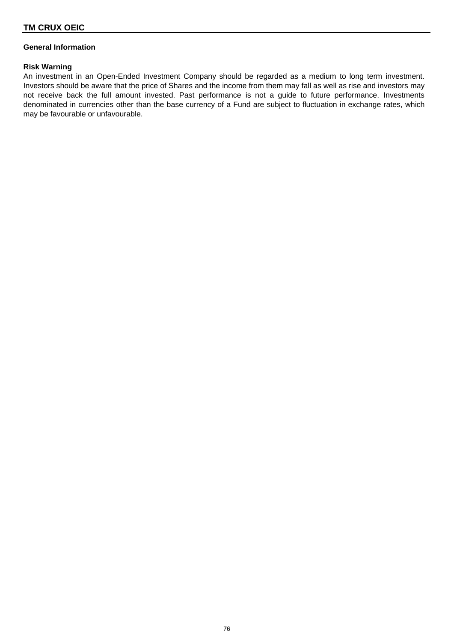# **General Information**

## **Risk Warning**

An investment in an Open-Ended Investment Company should be regarded as a medium to long term investment. Investors should be aware that the price of Shares and the income from them may fall as well as rise and investors may not receive back the full amount invested. Past performance is not a guide to future performance. Investments denominated in currencies other than the base currency of a Fund are subject to fluctuation in exchange rates, which may be favourable or unfavourable.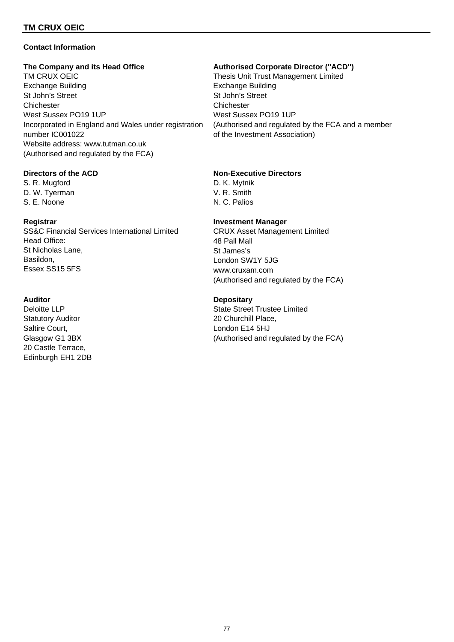# **TM CRUX OEIC**

## **Contact Information**

TM CRUX OEIC **THESIS Unit Trust Management Limited** Exchange Building Exchange Building St John's Street St John's Street Chichester Chichester West Sussex PO19 1UP West Sussex PO19 1UP Incorporated in England and Wales under registration (Authorised and regulated by the FCA and a member number IC001022 **of the Investment Association**) Website address: www.tutman.co.uk (Authorised and regulated by the FCA)

S. R. Mugford **D. K. Mytnik** D. W. Tyerman V. R. Smith S. E. Noone N. C. Palios

SS&C Financial Services International Limited Head Office: St Nicholas Lane, Basildon, Essex SS15 5FS

Statutory Auditor **20 Churchill Place**, Saltire Court, 
Baltire Court,

Condon E14 5HJ 20 Castle Terrace, Edinburgh EH1 2DB

### **The Company and its Head Office Authorised Corporate Director (''ACD'')**

# **Directors of the ACD Non-Executive Directors**

## **Registrar Investment Manager**

CRUX Asset Management Limited 48 Pall Mall St James's London SW1Y 5JG www.cruxam.com (Authorised and regulated by the FCA)

## **Auditor Depositary**

Deloitte LLP State Street Trustee Limited Glasgow G1 3BX (Authorised and regulated by the FCA)